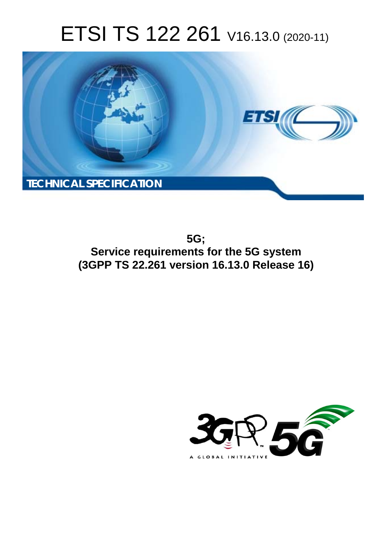# ETSI TS 122 261 V16.13.0 (2020-11)



**5G; Service requirements for the 5G system (3GPP TS 22.261 version 16.13.0 Release 16)** 

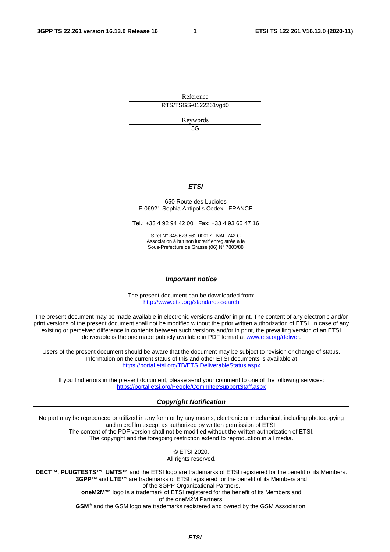Reference RTS/TSGS-0122261vgd0

Keywords

5G

#### *ETSI*

#### 650 Route des Lucioles F-06921 Sophia Antipolis Cedex - FRANCE

Tel.: +33 4 92 94 42 00 Fax: +33 4 93 65 47 16

Siret N° 348 623 562 00017 - NAF 742 C Association à but non lucratif enregistrée à la Sous-Préfecture de Grasse (06) N° 7803/88

#### *Important notice*

The present document can be downloaded from: <http://www.etsi.org/standards-search>

The present document may be made available in electronic versions and/or in print. The content of any electronic and/or print versions of the present document shall not be modified without the prior written authorization of ETSI. In case of any existing or perceived difference in contents between such versions and/or in print, the prevailing version of an ETSI deliverable is the one made publicly available in PDF format at [www.etsi.org/deliver](http://www.etsi.org/deliver).

Users of the present document should be aware that the document may be subject to revision or change of status. Information on the current status of this and other ETSI documents is available at <https://portal.etsi.org/TB/ETSIDeliverableStatus.aspx>

If you find errors in the present document, please send your comment to one of the following services: <https://portal.etsi.org/People/CommiteeSupportStaff.aspx>

#### *Copyright Notification*

No part may be reproduced or utilized in any form or by any means, electronic or mechanical, including photocopying and microfilm except as authorized by written permission of ETSI. The content of the PDF version shall not be modified without the written authorization of ETSI. The copyright and the foregoing restriction extend to reproduction in all media.

> © ETSI 2020. All rights reserved.

**DECT™**, **PLUGTESTS™**, **UMTS™** and the ETSI logo are trademarks of ETSI registered for the benefit of its Members. **3GPP™** and **LTE™** are trademarks of ETSI registered for the benefit of its Members and of the 3GPP Organizational Partners. **oneM2M™** logo is a trademark of ETSI registered for the benefit of its Members and of the oneM2M Partners. **GSM®** and the GSM logo are trademarks registered and owned by the GSM Association.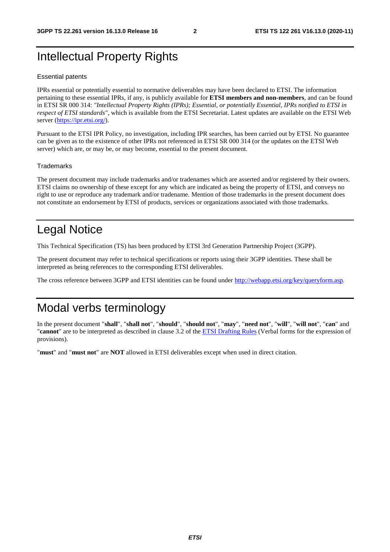# Intellectual Property Rights

#### Essential patents

IPRs essential or potentially essential to normative deliverables may have been declared to ETSI. The information pertaining to these essential IPRs, if any, is publicly available for **ETSI members and non-members**, and can be found in ETSI SR 000 314: *"Intellectual Property Rights (IPRs); Essential, or potentially Essential, IPRs notified to ETSI in respect of ETSI standards"*, which is available from the ETSI Secretariat. Latest updates are available on the ETSI Web server [\(https://ipr.etsi.org/](https://ipr.etsi.org/)).

Pursuant to the ETSI IPR Policy, no investigation, including IPR searches, has been carried out by ETSI. No guarantee can be given as to the existence of other IPRs not referenced in ETSI SR 000 314 (or the updates on the ETSI Web server) which are, or may be, or may become, essential to the present document.

#### **Trademarks**

The present document may include trademarks and/or tradenames which are asserted and/or registered by their owners. ETSI claims no ownership of these except for any which are indicated as being the property of ETSI, and conveys no right to use or reproduce any trademark and/or tradename. Mention of those trademarks in the present document does not constitute an endorsement by ETSI of products, services or organizations associated with those trademarks.

# Legal Notice

This Technical Specification (TS) has been produced by ETSI 3rd Generation Partnership Project (3GPP).

The present document may refer to technical specifications or reports using their 3GPP identities. These shall be interpreted as being references to the corresponding ETSI deliverables.

The cross reference between 3GPP and ETSI identities can be found under<http://webapp.etsi.org/key/queryform.asp>.

# Modal verbs terminology

In the present document "**shall**", "**shall not**", "**should**", "**should not**", "**may**", "**need not**", "**will**", "**will not**", "**can**" and "**cannot**" are to be interpreted as described in clause 3.2 of the [ETSI Drafting Rules](https://portal.etsi.org/Services/editHelp!/Howtostart/ETSIDraftingRules.aspx) (Verbal forms for the expression of provisions).

"**must**" and "**must not**" are **NOT** allowed in ETSI deliverables except when used in direct citation.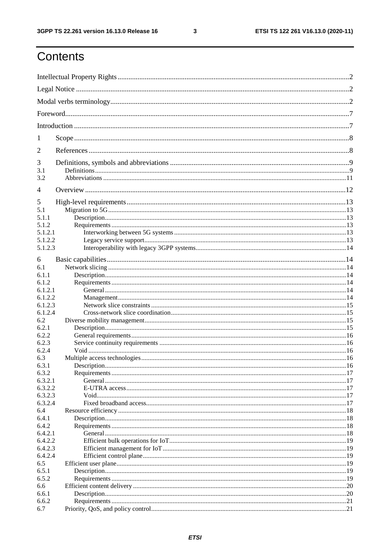$\mathbf{3}$ 

# Contents

| 1          |  |  |  |
|------------|--|--|--|
| 2          |  |  |  |
| 3          |  |  |  |
| 3.1<br>3.2 |  |  |  |
| 4          |  |  |  |
| 5          |  |  |  |
| 5.1        |  |  |  |
| 5.1.1      |  |  |  |
| 5.1.2      |  |  |  |
| 5.1.2.1    |  |  |  |
| 5.1.2.2    |  |  |  |
| 5.1.2.3    |  |  |  |
| 6          |  |  |  |
| 6.1        |  |  |  |
| 6.1.1      |  |  |  |
| 6.1.2      |  |  |  |
| 6.1.2.1    |  |  |  |
| 6.1.2.2    |  |  |  |
| 6.1.2.3    |  |  |  |
| 6.1.2.4    |  |  |  |
| 6.2        |  |  |  |
| 6.2.1      |  |  |  |
| 6.2.2      |  |  |  |
| 6.2.3      |  |  |  |
| 6.2.4      |  |  |  |
| 6.3        |  |  |  |
| 6.3.1      |  |  |  |
| 6.3.2      |  |  |  |
| 6.3.2.1    |  |  |  |
| 6.3.2.2    |  |  |  |
| 6.3.2.3    |  |  |  |
| 6.3.2.4    |  |  |  |
| 6.4        |  |  |  |
| 6.4.1      |  |  |  |
| 6.4.2      |  |  |  |
| 6.4.2.1    |  |  |  |
| 6.4.2.2    |  |  |  |
| 6.4.2.3    |  |  |  |
| 6.4.2.4    |  |  |  |
| 6.5        |  |  |  |
| 6.5.1      |  |  |  |
| 6.5.2      |  |  |  |
| 6.6        |  |  |  |
| 6.6.1      |  |  |  |
| 6.6.2      |  |  |  |
| 6.7        |  |  |  |
|            |  |  |  |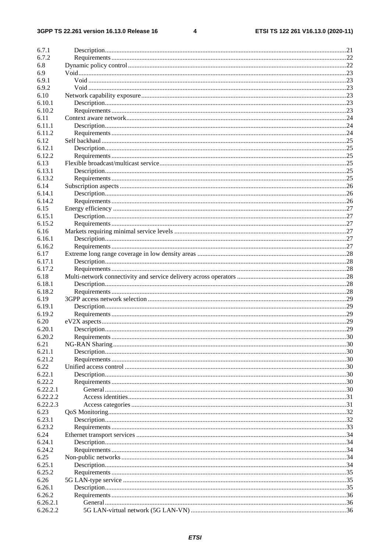#### $\overline{\mathbf{4}}$

| 6.7.1    |  |
|----------|--|
| 6.7.2    |  |
| 6.8      |  |
| 6.9      |  |
| 6.9.1    |  |
| 6.9.2    |  |
| 6.10     |  |
| 6.10.1   |  |
| 6.10.2   |  |
| 6.11     |  |
| 6.11.1   |  |
| 6.11.2   |  |
| 6.12     |  |
| 6.12.1   |  |
| 6.12.2   |  |
| 6.13     |  |
| 6.13.1   |  |
| 6.13.2   |  |
| 6.14     |  |
| 6.14.1   |  |
| 6.14.2   |  |
| 6.15     |  |
| 6.15.1   |  |
| 6.15.2   |  |
| 6.16     |  |
| 6.16.1   |  |
| 6.16.2   |  |
|          |  |
| 6.17     |  |
| 6.17.1   |  |
| 6.17.2   |  |
| 6.18     |  |
| 6.18.1   |  |
| 6.18.2   |  |
| 6.19     |  |
| 6.19.1   |  |
| 6.19.2   |  |
| 6.20     |  |
| 6.20.1   |  |
| 6.20.2   |  |
| 6.21     |  |
| 6.21.1   |  |
| 6.21.2   |  |
| 6.22     |  |
| 6.22.1   |  |
| 6.22.2   |  |
| 6.22.2.1 |  |
| 6.22.2.2 |  |
| 6.22.2.3 |  |
| 6.23     |  |
| 6.23.1   |  |
| 6.23.2   |  |
| 6.24     |  |
| 6.24.1   |  |
| 6.24.2   |  |
| 6.25     |  |
| 6.25.1   |  |
| 6.25.2   |  |
| 6.26     |  |
| 6.26.1   |  |
| 6.26.2   |  |
| 6.26.2.1 |  |
| 6.26.2.2 |  |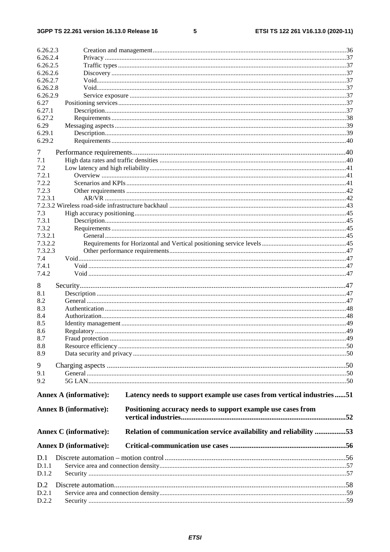$\overline{\phantom{a}}$  5

| 6.26.2.3       |                               |                                                                       |  |
|----------------|-------------------------------|-----------------------------------------------------------------------|--|
| 6.26.2.4       |                               |                                                                       |  |
| 6.26.2.5       |                               |                                                                       |  |
| 6.26.2.6       |                               |                                                                       |  |
| 6.26.2.7       |                               |                                                                       |  |
| 6.26.2.8       |                               |                                                                       |  |
| 6.26.2.9       |                               |                                                                       |  |
| 6.27           |                               |                                                                       |  |
| 6.27.1         |                               |                                                                       |  |
| 6.27.2         |                               |                                                                       |  |
| 6.29<br>6.29.1 |                               |                                                                       |  |
| 6.29.2         |                               |                                                                       |  |
| 7              |                               |                                                                       |  |
| 7.1            |                               |                                                                       |  |
| 7.2            |                               |                                                                       |  |
| 7.2.1          |                               |                                                                       |  |
| 7.2.2          |                               |                                                                       |  |
| 7.2.3          |                               |                                                                       |  |
| 7.2.3.1        |                               |                                                                       |  |
|                |                               |                                                                       |  |
| 7.3            |                               |                                                                       |  |
| 7.3.1          |                               |                                                                       |  |
| 7.3.2          |                               |                                                                       |  |
| 7.3.2.1        |                               |                                                                       |  |
| 7.3.2.2        |                               |                                                                       |  |
| 7.3.2.3        |                               |                                                                       |  |
| 7.4            |                               |                                                                       |  |
| 7.4.1          |                               |                                                                       |  |
| 7.4.2          |                               |                                                                       |  |
| 8              |                               |                                                                       |  |
| 8.1            |                               |                                                                       |  |
| 8.2            |                               |                                                                       |  |
| 8.3            |                               |                                                                       |  |
| 8.4            |                               |                                                                       |  |
| 8.5            |                               |                                                                       |  |
| 8.6            |                               |                                                                       |  |
| 8.7            |                               |                                                                       |  |
| 8.8            |                               |                                                                       |  |
| 8.9            |                               |                                                                       |  |
| 9              |                               |                                                                       |  |
| 9.1            |                               |                                                                       |  |
| 9.2            |                               |                                                                       |  |
|                |                               |                                                                       |  |
|                | <b>Annex A (informative):</b> | Latency needs to support example use cases from vertical industries51 |  |
|                | <b>Annex B</b> (informative): | Positioning accuracy needs to support example use cases from          |  |
|                |                               |                                                                       |  |
|                |                               |                                                                       |  |
|                | <b>Annex C</b> (informative): | Relation of communication service availability and reliability 53     |  |
|                | <b>Annex D</b> (informative): |                                                                       |  |
| D.1            |                               |                                                                       |  |
| D.1.1          |                               |                                                                       |  |
| D.1.2          |                               |                                                                       |  |
| D.2            |                               |                                                                       |  |
| D.2.1          |                               |                                                                       |  |
| D.2.2          |                               |                                                                       |  |
|                |                               |                                                                       |  |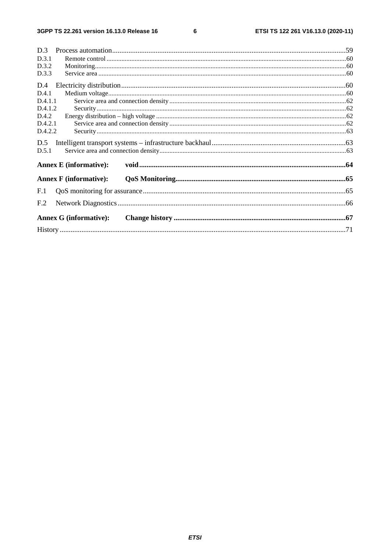$\bf 6$ 

| D.3                           |  |
|-------------------------------|--|
| D.3.1                         |  |
| D.3.2                         |  |
| D.3.3                         |  |
| D.4                           |  |
| D.4.1                         |  |
| D.4.1.1                       |  |
| D.4.1.2                       |  |
| D.4.2                         |  |
| D.4.2.1                       |  |
| D.4.2.2                       |  |
| D.5                           |  |
| D.5.1                         |  |
| <b>Annex E</b> (informative): |  |
| <b>Annex F</b> (informative): |  |
| F <sub>1</sub>                |  |
| F <sub>.2</sub>               |  |
| <b>Annex G (informative):</b> |  |
|                               |  |
|                               |  |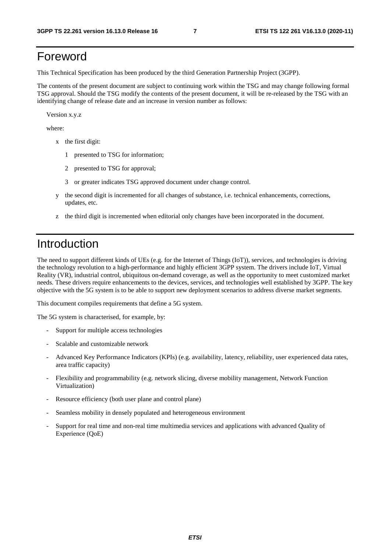# Foreword

This Technical Specification has been produced by the third Generation Partnership Project (3GPP).

The contents of the present document are subject to continuing work within the TSG and may change following formal TSG approval. Should the TSG modify the contents of the present document, it will be re-released by the TSG with an identifying change of release date and an increase in version number as follows:

Version x.y.z

where:

- x the first digit:
	- 1 presented to TSG for information;
	- 2 presented to TSG for approval;
	- 3 or greater indicates TSG approved document under change control.
- y the second digit is incremented for all changes of substance, i.e. technical enhancements, corrections, updates, etc.
- z the third digit is incremented when editorial only changes have been incorporated in the document.

# Introduction

The need to support different kinds of UEs (e.g. for the Internet of Things (IoT)), services, and technologies is driving the technology revolution to a high-performance and highly efficient 3GPP system. The drivers include IoT, Virtual Reality (VR), industrial control, ubiquitous on-demand coverage, as well as the opportunity to meet customized market needs. These drivers require enhancements to the devices, services, and technologies well established by 3GPP. The key objective with the 5G system is to be able to support new deployment scenarios to address diverse market segments.

This document compiles requirements that define a 5G system.

The 5G system is characterised, for example, by:

- Support for multiple access technologies
- Scalable and customizable network
- Advanced Key Performance Indicators (KPIs) (e.g. availability, latency, reliability, user experienced data rates, area traffic capacity)
- Flexibility and programmability (e.g. network slicing, diverse mobility management, Network Function Virtualization)
- Resource efficiency (both user plane and control plane)
- Seamless mobility in densely populated and heterogeneous environment
- Support for real time and non-real time multimedia services and applications with advanced Quality of Experience (QoE)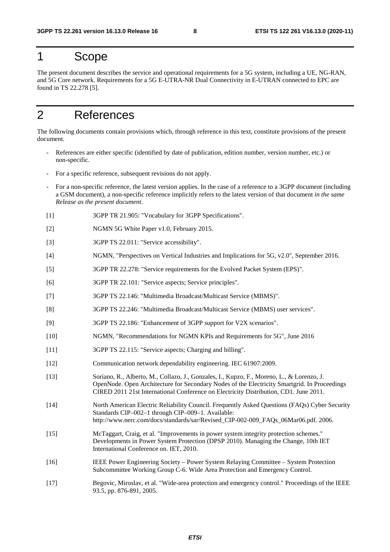# 1 Scope

The present document describes the service and operational requirements for a 5G system, including a UE, NG-RAN, and 5G Core network. Requirements for a 5G E-UTRA-NR Dual Connectivity in E-UTRAN connected to EPC are found in TS 22.278 [5].

# 2 References

The following documents contain provisions which, through reference in this text, constitute provisions of the present document.

- References are either specific (identified by date of publication, edition number, version number, etc.) or non-specific.
- For a specific reference, subsequent revisions do not apply.
- For a non-specific reference, the latest version applies. In the case of a reference to a 3GPP document (including a GSM document), a non-specific reference implicitly refers to the latest version of that document *in the same Release as the present document*.
- [1] 3GPP TR 21.905: "Vocabulary for 3GPP Specifications".
- [2] NGMN 5G White Paper v1.0, February 2015.
- [3] 3GPP TS 22.011: "Service accessibility".
- [4] NGMN, "Perspectives on Vertical Industries and Implications for 5G, v2.0", September 2016.
- [5] 3GPP TR 22.278: "Service requirements for the Evolved Packet System (EPS)".
- [6] 3GPP TR 22.101: "Service aspects; Service principles".
- [7] 3GPP TS 22.146: "Multimedia Broadcast/Multicast Service (MBMS)".
- [8] 3GPP TS 22.246: "Multimedia Broadcast/Multicast Service (MBMS) user services".
- [9] 3GPP TS 22.186: "Enhancement of 3GPP support for V2X scenarios".
- [10] NGMN, "Recommendations for NGMN KPIs and Requirements for 5G", June 2016
- [11] 3GPP TS 22.115: "Service aspects; Charging and billing".
- [12] Communication network dependability engineering. IEC 61907:2009.
- [13] Soriano, R., Alberto, M., Collazo, J., Gonzales, I., Kupzo, F., Moreno, L., & Lorenzo, J. OpenNode. Open Architecture for Secondary Nodes of the Electricity Smartgrid. In Proceedings CIRED 2011 21st International Conference on Electricity Distribution, CD1. June 2011.
- [14] North American Electric Reliability Council. Frequently Asked Questions (FAQs) Cyber Security Standards CIP–002–1 through CIP–009–1. Available: http://www.nerc.com/docs/standards/sar/Revised\_CIP-002-009\_FAOs\_06Mar06.pdf. 2006.
- [15] McTaggart, Craig, et al. "Improvements in power system integrity protection schemes." Developments in Power System Protection (DPSP 2010). Managing the Change, 10th IET International Conference on. IET, 2010.
- [16] IEEE Power Engineering Society Power System Relaying Committee System Protection Subcommittee Working Group C-6. Wide Area Protection and Emergency Control.
- [17] Begovic, Miroslav, et al. "Wide-area protection and emergency control." Proceedings of the IEEE 93.5, pp. 876-891, 2005.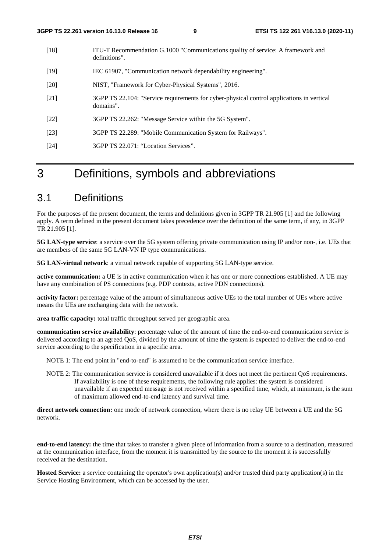- [18] ITU-T Recommendation G.1000 "Communications quality of service: A framework and definitions".
- [19] IEC 61907, "Communication network dependability engineering".
- [20] NIST, "Framework for Cyber-Physical Systems", 2016.
- [21] 3GPP TS 22.104: "Service requirements for cyber-physical control applications in vertical domains".
- [22] 3GPP TS 22.262: "Message Service within the 5G System".
- [23] 3GPP TS 22.289: "Mobile Communication System for Railways".
- [24] 3GPP TS 22.071: "Location Services".

# 3 Definitions, symbols and abbreviations

# 3.1 Definitions

For the purposes of the present document, the terms and definitions given in 3GPP TR 21.905 [1] and the following apply. A term defined in the present document takes precedence over the definition of the same term, if any, in 3GPP TR 21.905 [1].

**5G LAN-type service**: a service over the 5G system offering private communication using IP and/or non-, i.e. UEs that are members of the same 5G LAN-VN IP type communications.

**5G LAN-virtual network**: a virtual network capable of supporting 5G LAN-type service.

**active communication:** a UE is in active communication when it has one or more connections established. A UE may have any combination of PS connections (e.g. PDP contexts, active PDN connections).

**activity factor:** percentage value of the amount of simultaneous active UEs to the total number of UEs where active means the UEs are exchanging data with the network.

**area traffic capacity:** total traffic throughput served per geographic area.

**communication service availability**: percentage value of the amount of time the end-to-end communication service is delivered according to an agreed QoS, divided by the amount of time the system is expected to deliver the end-to-end service according to the specification in a specific area.

NOTE 1: The end point in "end-to-end" is assumed to be the communication service interface.

NOTE 2: The communication service is considered unavailable if it does not meet the pertinent QoS requirements. If availability is one of these requirements, the following rule applies: the system is considered unavailable if an expected message is not received within a specified time, which, at minimum, is the sum of maximum allowed end-to-end latency and survival time.

**direct network connection:** one mode of network connection, where there is no relay UE between a UE and the 5G network.

**end-to-end latency:** the time that takes to transfer a given piece of information from a source to a destination, measured at the communication interface, from the moment it is transmitted by the source to the moment it is successfully received at the destination.

**Hosted Service:** a service containing the operator's own application(s) and/or trusted third party application(s) in the Service Hosting Environment, which can be accessed by the user.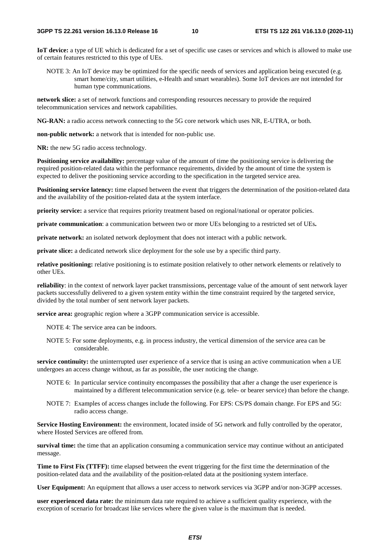**IoT device:** a type of UE which is dedicated for a set of specific use cases or services and which is allowed to make use of certain features restricted to this type of UEs.

NOTE 3: An IoT device may be optimized for the specific needs of services and application being executed (e.g. smart home/city, smart utilities, e-Health and smart wearables). Some IoT devices are not intended for human type communications.

**network slice:** a set of network functions and corresponding resources necessary to provide the required telecommunication services and network capabilities.

**NG-RAN:** a radio access network connecting to the 5G core network which uses NR, E-UTRA, or both.

**non-public network:** a network that is intended for non-public use.

**NR:** the new 5G radio access technology.

**Positioning service availability:** percentage value of the amount of time the positioning service is delivering the required position-related data within the performance requirements, divided by the amount of time the system is expected to deliver the positioning service according to the specification in the targeted service area.

**Positioning service latency:** time elapsed between the event that triggers the determination of the position-related data and the availability of the position-related data at the system interface.

**priority service:** a service that requires priority treatment based on regional/national or operator policies.

**private communication**: a communication between two or more UEs belonging to a restricted set of UEs**.** 

**private network:** an isolated network deployment that does not interact with a public network.

**private slice:** a dedicated network slice deployment for the sole use by a specific third party.

**relative positioning:** relative positioning is to estimate position relatively to other network elements or relatively to other UEs.

**reliability**: in the context of network layer packet transmissions, percentage value of the amount of sent network layer packets successfully delivered to a given system entity within the time constraint required by the targeted service, divided by the total number of sent network layer packets.

**service area:** geographic region where a 3GPP communication service is accessible.

NOTE 4: The service area can be indoors.

NOTE 5: For some deployments, e.g. in process industry, the vertical dimension of the service area can be considerable.

**service continuity:** the uninterrupted user experience of a service that is using an active communication when a UE undergoes an access change without, as far as possible, the user noticing the change.

- NOTE 6: In particular service continuity encompasses the possibility that after a change the user experience is maintained by a different telecommunication service (e.g. tele- or bearer service) than before the change.
- NOTE 7: Examples of access changes include the following. For EPS: CS/PS domain change. For EPS and 5G: radio access change.

**Service Hosting Environment:** the environment, located inside of 5G network and fully controlled by the operator, where Hosted Services are offered from.

**survival time:** the time that an application consuming a communication service may continue without an anticipated message.

**Time to First Fix (TTFF):** time elapsed between the event triggering for the first time the determination of the position-related data and the availability of the position-related data at the positioning system interface.

**User Equipment:** An equipment that allows a user access to network services via 3GPP and/or non-3GPP accesses.

**user experienced data rate:** the minimum data rate required to achieve a sufficient quality experience, with the exception of scenario for broadcast like services where the given value is the maximum that is needed.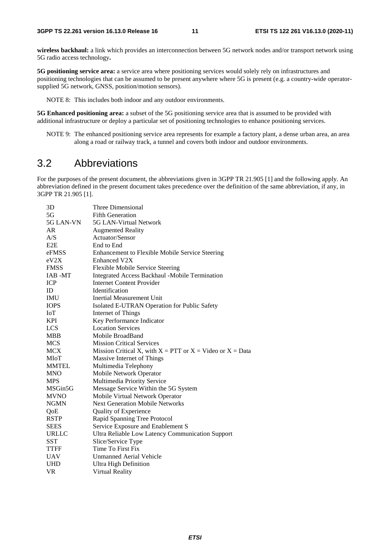**wireless backhaul:** a link which provides an interconnection between 5G network nodes and/or transport network using 5G radio access technology**.** 

**5G positioning service area:** a service area where positioning services would solely rely on infrastructures and positioning technologies that can be assumed to be present anywhere where 5G is present (e.g. a country-wide operatorsupplied 5G network, GNSS, position/motion sensors).

NOTE 8: This includes both indoor and any outdoor environments.

**5G Enhanced positioning area:** a subset of the 5G positioning service area that is assumed to be provided with additional infrastructure or deploy a particular set of positioning technologies to enhance positioning services.

NOTE 9: The enhanced positioning service area represents for example a factory plant, a dense urban area, an area along a road or railway track, a tunnel and covers both indoor and outdoor environments.

### 3.2 Abbreviations

For the purposes of the present document, the abbreviations given in 3GPP TR 21.905 [1] and the following apply. An abbreviation defined in the present document takes precedence over the definition of the same abbreviation, if any, in 3GPP TR 21.905 [1].

| 3D           | Three Dimensional                                               |
|--------------|-----------------------------------------------------------------|
| 5G           | <b>Fifth Generation</b>                                         |
| 5G LAN-VN    | 5G LAN-Virtual Network                                          |
| AR           | <b>Augmented Reality</b>                                        |
| A/S          | Actuator/Sensor                                                 |
| E2E          | End to End                                                      |
| eFMSS        | Enhancement to Flexible Mobile Service Steering                 |
| eV2X         | <b>Enhanced V2X</b>                                             |
| <b>FMSS</b>  | Flexible Mobile Service Steering                                |
| IAB-MT       | Integrated Access Backhaul -Mobile Termination                  |
| <b>ICP</b>   | <b>Internet Content Provider</b>                                |
| ID           | <b>Identification</b>                                           |
| <b>IMU</b>   | Inertial Measurement Unit                                       |
| <b>IOPS</b>  | Isolated E-UTRAN Operation for Public Safety                    |
| IoT          | Internet of Things                                              |
| <b>KPI</b>   | Key Performance Indicator                                       |
| <b>LCS</b>   | <b>Location Services</b>                                        |
| <b>MBB</b>   | Mobile BroadBand                                                |
| <b>MCS</b>   | <b>Mission Critical Services</b>                                |
| <b>MCX</b>   | Mission Critical X, with $X = PTT$ or $X = Video$ or $X = Data$ |
| MIoT         | Massive Internet of Things                                      |
| <b>MMTEL</b> | Multimedia Telephony                                            |
| <b>MNO</b>   | Mobile Network Operator                                         |
| <b>MPS</b>   | Multimedia Priority Service                                     |
| MSGin5G      | Message Service Within the 5G System                            |
| <b>MVNO</b>  | Mobile Virtual Network Operator                                 |
| <b>NGMN</b>  | <b>Next Generation Mobile Networks</b>                          |
| QoE          | Quality of Experience                                           |
| <b>RSTP</b>  | Rapid Spanning Tree Protocol                                    |
| <b>SEES</b>  | Service Exposure and Enablement S                               |
| URLLC        | Ultra Reliable Low Latency Communication Support                |
| <b>SST</b>   | Slice/Service Type                                              |
| <b>TTFF</b>  | Time To First Fix                                               |
| <b>UAV</b>   | <b>Unmanned Aerial Vehicle</b>                                  |
| <b>UHD</b>   | Ultra High Definition                                           |
| VR           | Virtual Reality                                                 |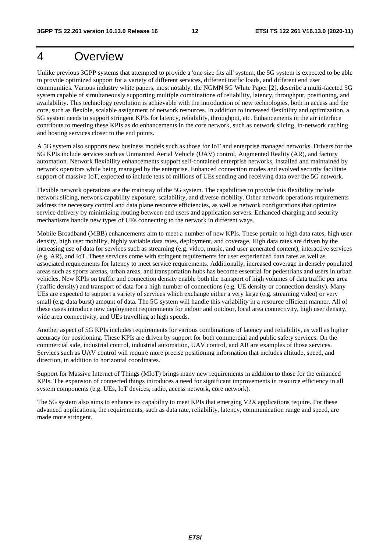# 4 Overview

Unlike previous 3GPP systems that attempted to provide a 'one size fits all' system, the 5G system is expected to be able to provide optimized support for a variety of different services, different traffic loads, and different end user communities. Various industry white papers, most notably, the NGMN 5G White Paper [2], describe a multi-faceted 5G system capable of simultaneously supporting multiple combinations of reliability, latency, throughput, positioning, and availability. This technology revolution is achievable with the introduction of new technologies, both in access and the core, such as flexible, scalable assignment of network resources. In addition to increased flexibility and optimization, a 5G system needs to support stringent KPIs for latency, reliability, throughput, etc. Enhancements in the air interface contribute to meeting these KPIs as do enhancements in the core network, such as network slicing, in-network caching and hosting services closer to the end points.

A 5G system also supports new business models such as those for IoT and enterprise managed networks. Drivers for the 5G KPIs include services such as Unmanned Aerial Vehicle (UAV) control, Augmented Reality (AR), and factory automation. Network flexibility enhancements support self-contained enterprise networks, installed and maintained by network operators while being managed by the enterprise. Enhanced connection modes and evolved security facilitate support of massive IoT, expected to include tens of millions of UEs sending and receiving data over the 5G network.

Flexible network operations are the mainstay of the 5G system. The capabilities to provide this flexibility include network slicing, network capability exposure, scalability, and diverse mobility. Other network operations requirements address the necessary control and data plane resource efficiencies, as well as network configurations that optimize service delivery by minimizing routing between end users and application servers. Enhanced charging and security mechanisms handle new types of UEs connecting to the network in different ways.

Mobile Broadband (MBB) enhancements aim to meet a number of new KPIs. These pertain to high data rates, high user density, high user mobility, highly variable data rates, deployment, and coverage. High data rates are driven by the increasing use of data for services such as streaming (e.g. video, music, and user generated content), interactive services (e.g. AR), and IoT. These services come with stringent requirements for user experienced data rates as well as associated requirements for latency to meet service requirements. Additionally, increased coverage in densely populated areas such as sports arenas, urban areas, and transportation hubs has become essential for pedestrians and users in urban vehicles. New KPIs on traffic and connection density enable both the transport of high volumes of data traffic per area (traffic density) and transport of data for a high number of connections (e.g. UE density or connection density). Many UEs are expected to support a variety of services which exchange either a very large (e.g. streaming video) or very small (e.g. data burst) amount of data. The 5G system will handle this variability in a resource efficient manner. All of these cases introduce new deployment requirements for indoor and outdoor, local area connectivity, high user density, wide area connectivity, and UEs travelling at high speeds.

Another aspect of 5G KPIs includes requirements for various combinations of latency and reliability, as well as higher accuracy for positioning. These KPIs are driven by support for both commercial and public safety services. On the commercial side, industrial control, industrial automation, UAV control, and AR are examples of those services. Services such as UAV control will require more precise positioning information that includes altitude, speed, and direction, in addition to horizontal coordinates.

Support for Massive Internet of Things (MIoT) brings many new requirements in addition to those for the enhanced KPIs. The expansion of connected things introduces a need for significant improvements in resource efficiency in all system components (e.g. UEs, IoT devices, radio, access network, core network).

The 5G system also aims to enhance its capability to meet KPIs that emerging V2X applications require. For these advanced applications, the requirements, such as data rate, reliability, latency, communication range and speed, are made more stringent.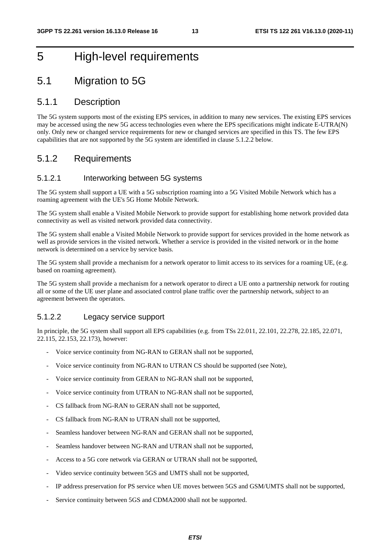# 5 High-level requirements

# 5.1 Migration to 5G

#### 5.1.1 Description

The 5G system supports most of the existing EPS services, in addition to many new services. The existing EPS services may be accessed using the new 5G access technologies even where the EPS specifications might indicate E-UTRA(N) only. Only new or changed service requirements for new or changed services are specified in this TS. The few EPS capabilities that are not supported by the 5G system are identified in clause 5.1.2.2 below.

#### 5.1.2 Requirements

#### 5.1.2.1 Interworking between 5G systems

The 5G system shall support a UE with a 5G subscription roaming into a 5G Visited Mobile Network which has a roaming agreement with the UE's 5G Home Mobile Network.

The 5G system shall enable a Visited Mobile Network to provide support for establishing home network provided data connectivity as well as visited network provided data connectivity.

The 5G system shall enable a Visited Mobile Network to provide support for services provided in the home network as well as provide services in the visited network. Whether a service is provided in the visited network or in the home network is determined on a service by service basis.

The 5G system shall provide a mechanism for a network operator to limit access to its services for a roaming UE, (e.g. based on roaming agreement).

The 5G system shall provide a mechanism for a network operator to direct a UE onto a partnership network for routing all or some of the UE user plane and associated control plane traffic over the partnership network, subject to an agreement between the operators.

#### 5.1.2.2 Legacy service support

In principle, the 5G system shall support all EPS capabilities (e.g. from TSs 22.011, 22.101, 22.278, 22.185, 22.071, 22.115, 22.153, 22.173), however:

- Voice service continuity from NG-RAN to GERAN shall not be supported,
- Voice service continuity from NG-RAN to UTRAN CS should be supported (see Note),
- Voice service continuity from GERAN to NG-RAN shall not be supported,
- Voice service continuity from UTRAN to NG-RAN shall not be supported,
- CS fallback from NG-RAN to GERAN shall not be supported,
- CS fallback from NG-RAN to UTRAN shall not be supported,
- Seamless handover between NG-RAN and GERAN shall not be supported,
- Seamless handover between NG-RAN and UTRAN shall not be supported,
- Access to a 5G core network via GERAN or UTRAN shall not be supported,
- Video service continuity between 5GS and UMTS shall not be supported,
- IP address preservation for PS service when UE moves between 5GS and GSM/UMTS shall not be supported,
- Service continuity between 5GS and CDMA2000 shall not be supported.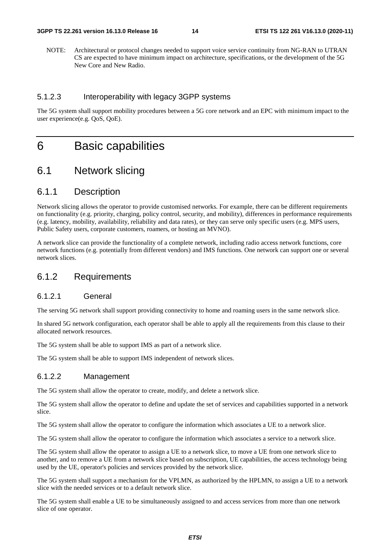NOTE: Architectural or protocol changes needed to support voice service continuity from NG-RAN to UTRAN CS are expected to have minimum impact on architecture, specifications, or the development of the 5G New Core and New Radio.

#### 5.1.2.3 Interoperability with legacy 3GPP systems

The 5G system shall support mobility procedures between a 5G core network and an EPC with minimum impact to the user experience(e.g. QoS, QoE).

# 6 Basic capabilities

### 6.1 Network slicing

#### 6.1.1 Description

Network slicing allows the operator to provide customised networks. For example, there can be different requirements on functionality (e.g. priority, charging, policy control, security, and mobility), differences in performance requirements (e.g. latency, mobility, availability, reliability and data rates), or they can serve only specific users (e.g. MPS users, Public Safety users, corporate customers, roamers, or hosting an MVNO).

A network slice can provide the functionality of a complete network, including radio access network functions, core network functions (e.g. potentially from different vendors) and IMS functions. One network can support one or several network slices.

#### 6.1.2 Requirements

#### 6.1.2.1 General

The serving 5G network shall support providing connectivity to home and roaming users in the same network slice.

In shared 5G network configuration, each operator shall be able to apply all the requirements from this clause to their allocated network resources.

The 5G system shall be able to support IMS as part of a network slice.

The 5G system shall be able to support IMS independent of network slices.

#### 6.1.2.2 Management

The 5G system shall allow the operator to create, modify, and delete a network slice.

The 5G system shall allow the operator to define and update the set of services and capabilities supported in a network slice.

The 5G system shall allow the operator to configure the information which associates a UE to a network slice.

The 5G system shall allow the operator to configure the information which associates a service to a network slice.

The 5G system shall allow the operator to assign a UE to a network slice, to move a UE from one network slice to another, and to remove a UE from a network slice based on subscription, UE capabilities, the access technology being used by the UE, operator's policies and services provided by the network slice.

The 5G system shall support a mechanism for the VPLMN, as authorized by the HPLMN, to assign a UE to a network slice with the needed services or to a default network slice.

The 5G system shall enable a UE to be simultaneously assigned to and access services from more than one network slice of one operator.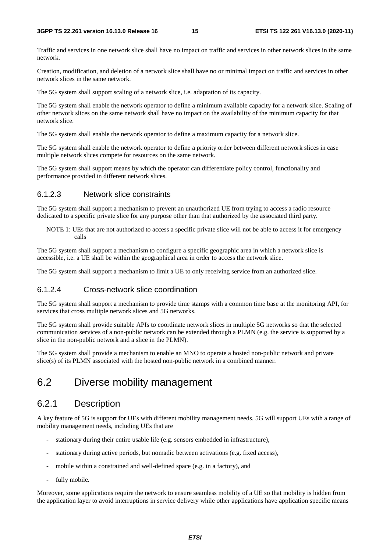Traffic and services in one network slice shall have no impact on traffic and services in other network slices in the same network.

Creation, modification, and deletion of a network slice shall have no or minimal impact on traffic and services in other network slices in the same network.

The 5G system shall support scaling of a network slice, i.e. adaptation of its capacity.

The 5G system shall enable the network operator to define a minimum available capacity for a network slice. Scaling of other network slices on the same network shall have no impact on the availability of the minimum capacity for that network slice.

The 5G system shall enable the network operator to define a maximum capacity for a network slice.

The 5G system shall enable the network operator to define a priority order between different network slices in case multiple network slices compete for resources on the same network.

The 5G system shall support means by which the operator can differentiate policy control, functionality and performance provided in different network slices.

#### 6.1.2.3 Network slice constraints

The 5G system shall support a mechanism to prevent an unauthorized UE from trying to access a radio resource dedicated to a specific private slice for any purpose other than that authorized by the associated third party.

NOTE 1: UEs that are not authorized to access a specific private slice will not be able to access it for emergency calls

The 5G system shall support a mechanism to configure a specific geographic area in which a network slice is accessible, i.e. a UE shall be within the geographical area in order to access the network slice.

The 5G system shall support a mechanism to limit a UE to only receiving service from an authorized slice.

#### 6.1.2.4 Cross-network slice coordination

The 5G system shall support a mechanism to provide time stamps with a common time base at the monitoring API, for services that cross multiple network slices and 5G networks.

The 5G system shall provide suitable APIs to coordinate network slices in multiple 5G networks so that the selected communication services of a non-public network can be extended through a PLMN (e.g. the service is supported by a slice in the non-public network and a slice in the PLMN).

The 5G system shall provide a mechanism to enable an MNO to operate a hosted non-public network and private slice(s) of its PLMN associated with the hosted non-public network in a combined manner.

### 6.2 Diverse mobility management

#### 6.2.1 Description

A key feature of 5G is support for UEs with different mobility management needs. 5G will support UEs with a range of mobility management needs, including UEs that are

- stationary during their entire usable life (e.g. sensors embedded in infrastructure),
- stationary during active periods, but nomadic between activations (e.g. fixed access),
- mobile within a constrained and well-defined space (e.g. in a factory), and
- fully mobile.

Moreover, some applications require the network to ensure seamless mobility of a UE so that mobility is hidden from the application layer to avoid interruptions in service delivery while other applications have application specific means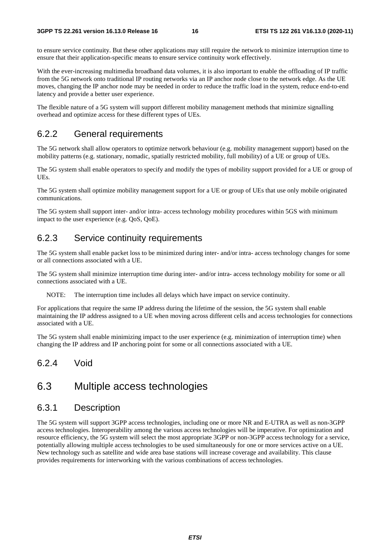to ensure service continuity. But these other applications may still require the network to minimize interruption time to ensure that their application-specific means to ensure service continuity work effectively.

With the ever-increasing multimedia broadband data volumes, it is also important to enable the offloading of IP traffic from the 5G network onto traditional IP routing networks via an IP anchor node close to the network edge. As the UE moves, changing the IP anchor node may be needed in order to reduce the traffic load in the system, reduce end-to-end latency and provide a better user experience.

The flexible nature of a 5G system will support different mobility management methods that minimize signalling overhead and optimize access for these different types of UEs.

#### 6.2.2 General requirements

The 5G network shall allow operators to optimize network behaviour (e.g. mobility management support) based on the mobility patterns (e.g. stationary, nomadic, spatially restricted mobility, full mobility) of a UE or group of UEs.

The 5G system shall enable operators to specify and modify the types of mobility support provided for a UE or group of UEs.

The 5G system shall optimize mobility management support for a UE or group of UEs that use only mobile originated communications.

The 5G system shall support inter- and/or intra- access technology mobility procedures within 5GS with minimum impact to the user experience (e.g. QoS, QoE).

#### 6.2.3 Service continuity requirements

The 5G system shall enable packet loss to be minimized during inter- and/or intra- access technology changes for some or all connections associated with a UE.

The 5G system shall minimize interruption time during inter- and/or intra- access technology mobility for some or all connections associated with a UE.

NOTE: The interruption time includes all delays which have impact on service continuity.

For applications that require the same IP address during the lifetime of the session, the 5G system shall enable maintaining the IP address assigned to a UE when moving across different cells and access technologies for connections associated with a UE.

The 5G system shall enable minimizing impact to the user experience (e.g. minimization of interruption time) when changing the IP address and IP anchoring point for some or all connections associated with a UE.

#### 6.2.4 Void

# 6.3 Multiple access technologies

#### 6.3.1 Description

The 5G system will support 3GPP access technologies, including one or more NR and E-UTRA as well as non-3GPP access technologies. Interoperability among the various access technologies will be imperative. For optimization and resource efficiency, the 5G system will select the most appropriate 3GPP or non-3GPP access technology for a service, potentially allowing multiple access technologies to be used simultaneously for one or more services active on a UE. New technology such as satellite and wide area base stations will increase coverage and availability. This clause provides requirements for interworking with the various combinations of access technologies.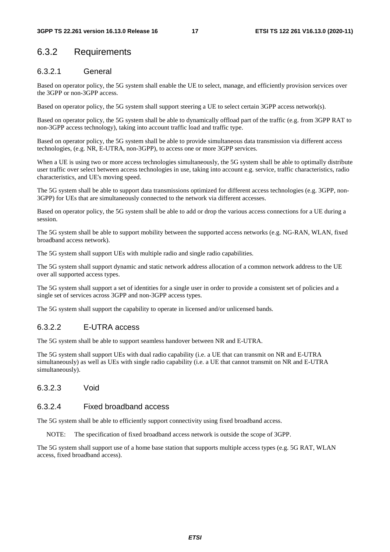#### 6.3.2 Requirements

#### 6.3.2.1 General

Based on operator policy, the 5G system shall enable the UE to select, manage, and efficiently provision services over the 3GPP or non-3GPP access.

Based on operator policy, the 5G system shall support steering a UE to select certain 3GPP access network(s).

Based on operator policy, the 5G system shall be able to dynamically offload part of the traffic (e.g. from 3GPP RAT to non-3GPP access technology), taking into account traffic load and traffic type.

Based on operator policy, the 5G system shall be able to provide simultaneous data transmission via different access technologies, (e.g. NR, E-UTRA, non-3GPP), to access one or more 3GPP services.

When a UE is using two or more access technologies simultaneously, the 5G system shall be able to optimally distribute user traffic over select between access technologies in use, taking into account e.g. service, traffic characteristics, radio characteristics, and UE's moving speed.

The 5G system shall be able to support data transmissions optimized for different access technologies (e.g. 3GPP, non-3GPP) for UEs that are simultaneously connected to the network via different accesses.

Based on operator policy, the 5G system shall be able to add or drop the various access connections for a UE during a session.

The 5G system shall be able to support mobility between the supported access networks (e.g. NG-RAN, WLAN, fixed broadband access network).

The 5G system shall support UEs with multiple radio and single radio capabilities.

The 5G system shall support dynamic and static network address allocation of a common network address to the UE over all supported access types.

The 5G system shall support a set of identities for a single user in order to provide a consistent set of policies and a single set of services across 3GPP and non-3GPP access types.

The 5G system shall support the capability to operate in licensed and/or unlicensed bands.

#### 6.3.2.2 E-UTRA access

The 5G system shall be able to support seamless handover between NR and E-UTRA.

The 5G system shall support UEs with dual radio capability (i.e. a UE that can transmit on NR and E-UTRA simultaneously) as well as UEs with single radio capability (i.e. a UE that cannot transmit on NR and E-UTRA simultaneously).

6.3.2.3 Void

#### 6.3.2.4 Fixed broadband access

The 5G system shall be able to efficiently support connectivity using fixed broadband access.

NOTE: The specification of fixed broadband access network is outside the scope of 3GPP.

The 5G system shall support use of a home base station that supports multiple access types (e.g. 5G RAT, WLAN access, fixed broadband access).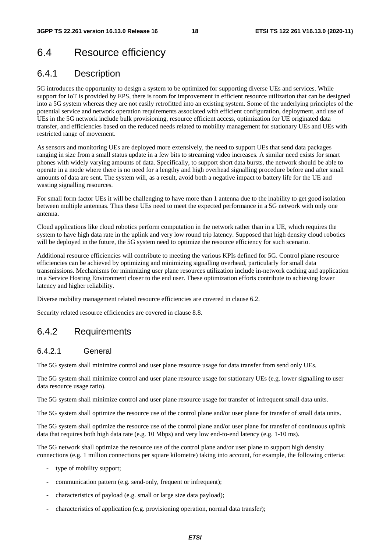# 6.4 Resource efficiency

#### 6.4.1 Description

5G introduces the opportunity to design a system to be optimized for supporting diverse UEs and services. While support for IoT is provided by EPS, there is room for improvement in efficient resource utilization that can be designed into a 5G system whereas they are not easily retrofitted into an existing system. Some of the underlying principles of the potential service and network operation requirements associated with efficient configuration, deployment, and use of UEs in the 5G network include bulk provisioning, resource efficient access, optimization for UE originated data transfer, and efficiencies based on the reduced needs related to mobility management for stationary UEs and UEs with restricted range of movement.

As sensors and monitoring UEs are deployed more extensively, the need to support UEs that send data packages ranging in size from a small status update in a few bits to streaming video increases. A similar need exists for smart phones with widely varying amounts of data. Specifically, to support short data bursts, the network should be able to operate in a mode where there is no need for a lengthy and high overhead signalling procedure before and after small amounts of data are sent. The system will, as a result, avoid both a negative impact to battery life for the UE and wasting signalling resources.

For small form factor UEs it will be challenging to have more than 1 antenna due to the inability to get good isolation between multiple antennas. Thus these UEs need to meet the expected performance in a 5G network with only one antenna.

Cloud applications like cloud robotics perform computation in the network rather than in a UE, which requires the system to have high data rate in the uplink and very low round trip latency. Supposed that high density cloud robotics will be deployed in the future, the 5G system need to optimize the resource efficiency for such scenario.

Additional resource efficiencies will contribute to meeting the various KPIs defined for 5G. Control plane resource efficiencies can be achieved by optimizing and minimizing signalling overhead, particularly for small data transmissions. Mechanisms for minimizing user plane resources utilization include in-network caching and application in a Service Hosting Environment closer to the end user. These optimization efforts contribute to achieving lower latency and higher reliability.

Diverse mobility management related resource efficiencies are covered in clause 6.2.

Security related resource efficiencies are covered in clause 8.8.

#### 6.4.2 Requirements

#### 6.4.2.1 General

The 5G system shall minimize control and user plane resource usage for data transfer from send only UEs.

The 5G system shall minimize control and user plane resource usage for stationary UEs (e.g. lower signalling to user data resource usage ratio).

The 5G system shall minimize control and user plane resource usage for transfer of infrequent small data units.

The 5G system shall optimize the resource use of the control plane and/or user plane for transfer of small data units.

The 5G system shall optimize the resource use of the control plane and/or user plane for transfer of continuous uplink data that requires both high data rate (e.g. 10 Mbps) and very low end-to-end latency (e.g. 1-10 ms).

The 5G network shall optimize the resource use of the control plane and/or user plane to support high density connections (e.g. 1 million connections per square kilometre) taking into account, for example, the following criteria:

- type of mobility support;
- communication pattern (e.g. send-only, frequent or infrequent);
- characteristics of payload (e.g. small or large size data payload);
- characteristics of application (e.g. provisioning operation, normal data transfer);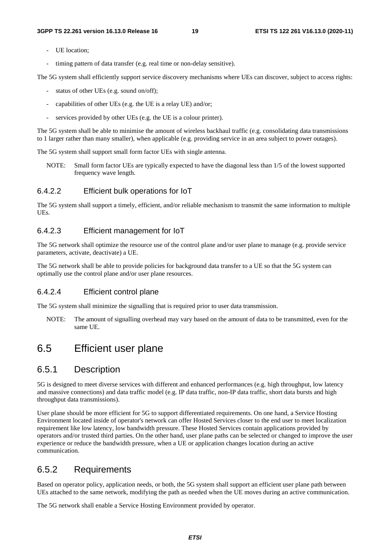- UE location:
- timing pattern of data transfer (e.g. real time or non-delay sensitive).

The 5G system shall efficiently support service discovery mechanisms where UEs can discover, subject to access rights:

- status of other UEs (e.g. sound on/off);
- capabilities of other UEs (e.g. the UE is a relay UE) and/or;
- services provided by other UEs (e.g. the UE is a colour printer).

The 5G system shall be able to minimise the amount of wireless backhaul traffic (e.g. consolidating data transmissions to 1 larger rather than many smaller), when applicable (e.g. providing service in an area subject to power outages).

The 5G system shall support small form factor UEs with single antenna.

NOTE: Small form factor UEs are typically expected to have the diagonal less than 1/5 of the lowest supported frequency wave length.

#### 6.4.2.2 Efficient bulk operations for IoT

The 5G system shall support a timely, efficient, and/or reliable mechanism to transmit the same information to multiple UEs.

#### 6.4.2.3 Efficient management for IoT

The 5G network shall optimize the resource use of the control plane and/or user plane to manage (e.g. provide service parameters, activate, deactivate) a UE.

The 5G network shall be able to provide policies for background data transfer to a UE so that the 5G system can optimally use the control plane and/or user plane resources.

#### 6.4.2.4 Efficient control plane

The 5G system shall minimize the signalling that is required prior to user data transmission.

NOTE: The amount of signalling overhead may vary based on the amount of data to be transmitted, even for the same UE.

### 6.5 Efficient user plane

#### 6.5.1 Description

5G is designed to meet diverse services with different and enhanced performances (e.g. high throughput, low latency and massive connections) and data traffic model (e.g. IP data traffic, non-IP data traffic, short data bursts and high throughput data transmissions).

User plane should be more efficient for 5G to support differentiated requirements. On one hand, a Service Hosting Environment located inside of operator's network can offer Hosted Services closer to the end user to meet localization requirement like low latency, low bandwidth pressure. These Hosted Services contain applications provided by operators and/or trusted third parties. On the other hand, user plane paths can be selected or changed to improve the user experience or reduce the bandwidth pressure, when a UE or application changes location during an active communication.

#### 6.5.2 Requirements

Based on operator policy, application needs, or both, the 5G system shall support an efficient user plane path between UEs attached to the same network, modifying the path as needed when the UE moves during an active communication.

The 5G network shall enable a Service Hosting Environment provided by operator.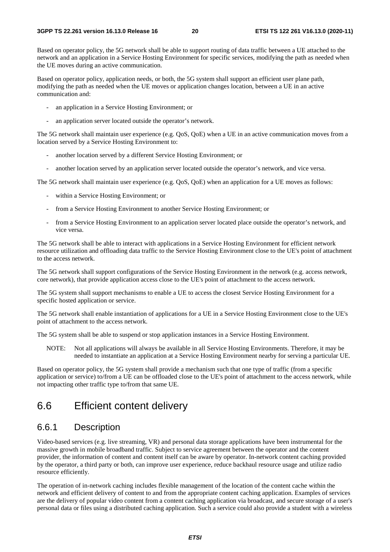Based on operator policy, the 5G network shall be able to support routing of data traffic between a UE attached to the network and an application in a Service Hosting Environment for specific services, modifying the path as needed when the UE moves during an active communication.

Based on operator policy, application needs, or both, the 5G system shall support an efficient user plane path, modifying the path as needed when the UE moves or application changes location, between a UE in an active communication and:

- an application in a Service Hosting Environment; or
- an application server located outside the operator's network.

The 5G network shall maintain user experience (e.g. QoS, QoE) when a UE in an active communication moves from a location served by a Service Hosting Environment to:

- another location served by a different Service Hosting Environment; or
- another location served by an application server located outside the operator's network, and vice versa.

The 5G network shall maintain user experience (e.g. QoS, QoE) when an application for a UE moves as follows:

- within a Service Hosting Environment; or
- from a Service Hosting Environment to another Service Hosting Environment; or
- from a Service Hosting Environment to an application server located place outside the operator's network, and vice versa.

The 5G network shall be able to interact with applications in a Service Hosting Environment for efficient network resource utilization and offloading data traffic to the Service Hosting Environment close to the UE's point of attachment to the access network.

The 5G network shall support configurations of the Service Hosting Environment in the network (e.g. access network, core network), that provide application access close to the UE's point of attachment to the access network.

The 5G system shall support mechanisms to enable a UE to access the closest Service Hosting Environment for a specific hosted application or service.

The 5G network shall enable instantiation of applications for a UE in a Service Hosting Environment close to the UE's point of attachment to the access network.

The 5G system shall be able to suspend or stop application instances in a Service Hosting Environment.

NOTE: Not all applications will always be available in all Service Hosting Environments. Therefore, it may be needed to instantiate an application at a Service Hosting Environment nearby for serving a particular UE.

Based on operator policy, the 5G system shall provide a mechanism such that one type of traffic (from a specific application or service) to/from a UE can be offloaded close to the UE's point of attachment to the access network, while not impacting other traffic type to/from that same UE.

# 6.6 Efficient content delivery

#### 6.6.1 Description

Video-based services (e.g. live streaming, VR) and personal data storage applications have been instrumental for the massive growth in mobile broadband traffic. Subject to service agreement between the operator and the content provider, the information of content and content itself can be aware by operator. In-network content caching provided by the operator, a third party or both, can improve user experience, reduce backhaul resource usage and utilize radio resource efficiently.

The operation of in-network caching includes flexible management of the location of the content cache within the network and efficient delivery of content to and from the appropriate content caching application. Examples of services are the delivery of popular video content from a content caching application via broadcast, and secure storage of a user's personal data or files using a distributed caching application. Such a service could also provide a student with a wireless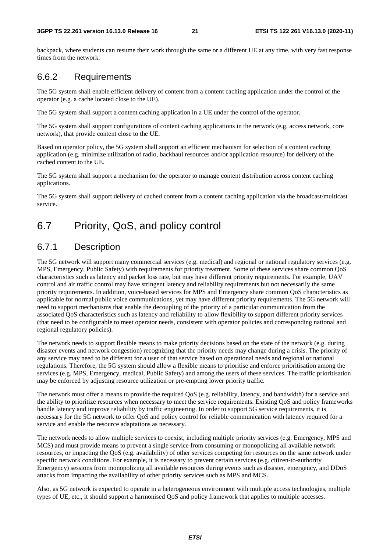backpack, where students can resume their work through the same or a different UE at any time, with very fast response times from the network.

#### 6.6.2 Requirements

The 5G system shall enable efficient delivery of content from a content caching application under the control of the operator (e.g. a cache located close to the UE).

The 5G system shall support a content caching application in a UE under the control of the operator.

The 5G system shall support configurations of content caching applications in the network (e.g. access network, core network), that provide content close to the UE.

Based on operator policy, the 5G system shall support an efficient mechanism for selection of a content caching application (e.g. minimize utilization of radio, backhaul resources and/or application resource) for delivery of the cached content to the UE.

The 5G system shall support a mechanism for the operator to manage content distribution across content caching applications.

The 5G system shall support delivery of cached content from a content caching application via the broadcast/multicast service.

# 6.7 Priority, QoS, and policy control

### 6.7.1 Description

The 5G network will support many commercial services (e.g. medical) and regional or national regulatory services (e.g. MPS, Emergency, Public Safety) with requirements for priority treatment. Some of these services share common QoS characteristics such as latency and packet loss rate, but may have different priority requirements. For example, UAV control and air traffic control may have stringent latency and reliability requirements but not necessarily the same priority requirements. In addition, voice-based services for MPS and Emergency share common QoS characteristics as applicable for normal public voice communications, yet may have different priority requirements. The 5G network will need to support mechanisms that enable the decoupling of the priority of a particular communication from the associated QoS characteristics such as latency and reliability to allow flexibility to support different priority services (that need to be configurable to meet operator needs, consistent with operator policies and corresponding national and regional regulatory policies).

The network needs to support flexible means to make priority decisions based on the state of the network (e.g. during disaster events and network congestion) recognizing that the priority needs may change during a crisis. The priority of any service may need to be different for a user of that service based on operational needs and regional or national regulations. Therefore, the 5G system should allow a flexible means to prioritise and enforce prioritisation among the services (e.g. MPS, Emergency, medical, Public Safety) and among the users of these services. The traffic prioritisation may be enforced by adjusting resource utilization or pre-empting lower priority traffic.

The network must offer a means to provide the required QoS (e.g. reliability, latency, and bandwidth) for a service and the ability to prioritize resources when necessary to meet the service requirements. Existing QoS and policy frameworks handle latency and improve reliability by traffic engineering. In order to support 5G service requirements, it is necessary for the 5G network to offer QoS and policy control for reliable communication with latency required for a service and enable the resource adaptations as necessary.

The network needs to allow multiple services to coexist, including multiple priority services (e.g. Emergency, MPS and MCS) and must provide means to prevent a single service from consuming or monopolizing all available network resources, or impacting the QoS (e.g. availability) of other services competing for resources on the same network under specific network conditions. For example, it is necessary to prevent certain services (e.g. citizen-to-authority Emergency) sessions from monopolizing all available resources during events such as disaster, emergency, and DDoS attacks from impacting the availability of other priority services such as MPS and MCS.

Also, as 5G network is expected to operate in a heterogeneous environment with multiple access technologies, multiple types of UE, etc., it should support a harmonised QoS and policy framework that applies to multiple accesses.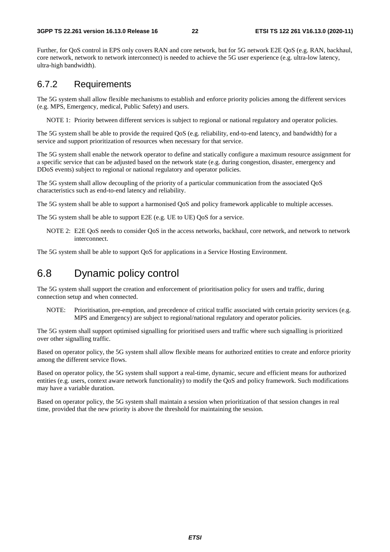Further, for QoS control in EPS only covers RAN and core network, but for 5G network E2E QoS (e.g. RAN, backhaul, core network, network to network interconnect) is needed to achieve the 5G user experience (e.g. ultra-low latency, ultra-high bandwidth).

#### 6.7.2 Requirements

The 5G system shall allow flexible mechanisms to establish and enforce priority policies among the different services (e.g. MPS, Emergency, medical, Public Safety) and users.

NOTE 1: Priority between different services is subject to regional or national regulatory and operator policies.

The 5G system shall be able to provide the required QoS (e.g. reliability, end-to-end latency, and bandwidth) for a service and support prioritization of resources when necessary for that service.

The 5G system shall enable the network operator to define and statically configure a maximum resource assignment for a specific service that can be adjusted based on the network state (e.g. during congestion, disaster, emergency and DDoS events) subject to regional or national regulatory and operator policies.

The 5G system shall allow decoupling of the priority of a particular communication from the associated QoS characteristics such as end-to-end latency and reliability.

The 5G system shall be able to support a harmonised QoS and policy framework applicable to multiple accesses.

The 5G system shall be able to support E2E (e.g. UE to UE) QoS for a service.

NOTE 2: E2E QoS needs to consider QoS in the access networks, backhaul, core network, and network to network interconnect.

The 5G system shall be able to support QoS for applications in a Service Hosting Environment.

# 6.8 Dynamic policy control

The 5G system shall support the creation and enforcement of prioritisation policy for users and traffic, during connection setup and when connected.

NOTE: Prioritisation, pre-emption, and precedence of critical traffic associated with certain priority services (e.g. MPS and Emergency) are subject to regional/national regulatory and operator policies.

The 5G system shall support optimised signalling for prioritised users and traffic where such signalling is prioritized over other signalling traffic.

Based on operator policy, the 5G system shall allow flexible means for authorized entities to create and enforce priority among the different service flows.

Based on operator policy, the 5G system shall support a real-time, dynamic, secure and efficient means for authorized entities (e.g. users, context aware network functionality) to modify the QoS and policy framework. Such modifications may have a variable duration.

Based on operator policy, the 5G system shall maintain a session when prioritization of that session changes in real time, provided that the new priority is above the threshold for maintaining the session.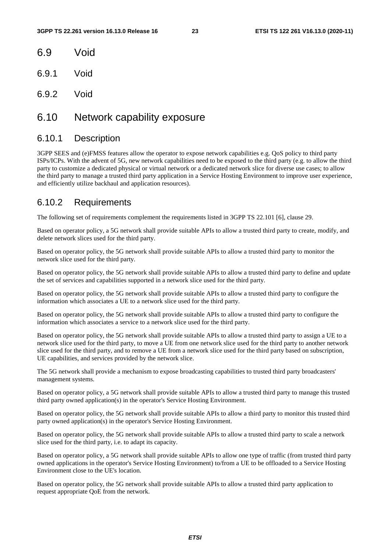- 6.9 Void
- 6.9.1 Void
- 6.9.2 Void

### 6.10 Network capability exposure

#### 6.10.1 Description

3GPP SEES and (e)FMSS features allow the operator to expose network capabilities e.g. QoS policy to third party ISPs/ICPs. With the advent of 5G, new network capabilities need to be exposed to the third party (e.g. to allow the third party to customize a dedicated physical or virtual network or a dedicated network slice for diverse use cases; to allow the third party to manage a trusted third party application in a Service Hosting Environment to improve user experience, and efficiently utilize backhaul and application resources).

#### 6.10.2 Requirements

The following set of requirements complement the requirements listed in 3GPP TS 22.101 [6], clause 29.

Based on operator policy, a 5G network shall provide suitable APIs to allow a trusted third party to create, modify, and delete network slices used for the third party.

Based on operator policy, the 5G network shall provide suitable APIs to allow a trusted third party to monitor the network slice used for the third party.

Based on operator policy, the 5G network shall provide suitable APIs to allow a trusted third party to define and update the set of services and capabilities supported in a network slice used for the third party.

Based on operator policy, the 5G network shall provide suitable APIs to allow a trusted third party to configure the information which associates a UE to a network slice used for the third party.

Based on operator policy, the 5G network shall provide suitable APIs to allow a trusted third party to configure the information which associates a service to a network slice used for the third party.

Based on operator policy, the 5G network shall provide suitable APIs to allow a trusted third party to assign a UE to a network slice used for the third party, to move a UE from one network slice used for the third party to another network slice used for the third party, and to remove a UE from a network slice used for the third party based on subscription, UE capabilities, and services provided by the network slice.

The 5G network shall provide a mechanism to expose broadcasting capabilities to trusted third party broadcasters' management systems.

Based on operator policy, a 5G network shall provide suitable APIs to allow a trusted third party to manage this trusted third party owned application(s) in the operator's Service Hosting Environment.

Based on operator policy, the 5G network shall provide suitable APIs to allow a third party to monitor this trusted third party owned application(s) in the operator's Service Hosting Environment.

Based on operator policy, the 5G network shall provide suitable APIs to allow a trusted third party to scale a network slice used for the third party, i.e. to adapt its capacity.

Based on operator policy, a 5G network shall provide suitable APIs to allow one type of traffic (from trusted third party owned applications in the operator's Service Hosting Environment) to/from a UE to be offloaded to a Service Hosting Environment close to the UE's location.

Based on operator policy, the 5G network shall provide suitable APIs to allow a trusted third party application to request appropriate QoE from the network.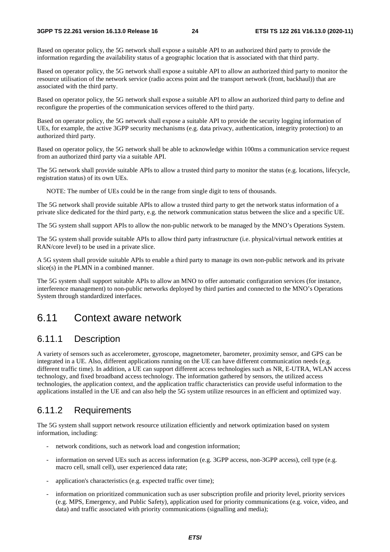Based on operator policy, the 5G network shall expose a suitable API to an authorized third party to provide the information regarding the availability status of a geographic location that is associated with that third party.

Based on operator policy, the 5G network shall expose a suitable API to allow an authorized third party to monitor the resource utilisation of the network service (radio access point and the transport network (front, backhaul)) that are associated with the third party.

Based on operator policy, the 5G network shall expose a suitable API to allow an authorized third party to define and reconfigure the properties of the communication services offered to the third party.

Based on operator policy, the 5G network shall expose a suitable API to provide the security logging information of UEs, for example, the active 3GPP security mechanisms (e.g. data privacy, authentication, integrity protection) to an authorized third party.

Based on operator policy, the 5G network shall be able to acknowledge within 100ms a communication service request from an authorized third party via a suitable API.

The 5G network shall provide suitable APIs to allow a trusted third party to monitor the status (e.g. locations, lifecycle, registration status) of its own UEs.

NOTE: The number of UEs could be in the range from single digit to tens of thousands.

The 5G network shall provide suitable APIs to allow a trusted third party to get the network status information of a private slice dedicated for the third party, e.g. the network communication status between the slice and a specific UE.

The 5G system shall support APIs to allow the non-public network to be managed by the MNO's Operations System.

The 5G system shall provide suitable APIs to allow third party infrastructure (i.e. physical/virtual network entities at RAN/core level) to be used in a private slice.

A 5G system shall provide suitable APIs to enable a third party to manage its own non-public network and its private slice(s) in the PLMN in a combined manner.

The 5G system shall support suitable APIs to allow an MNO to offer automatic configuration services (for instance, interference management) to non-public networks deployed by third parties and connected to the MNO's Operations System through standardized interfaces.

### 6.11 Context aware network

#### 6.11.1 Description

A variety of sensors such as accelerometer, gyroscope, magnetometer, barometer, proximity sensor, and GPS can be integrated in a UE. Also, different applications running on the UE can have different communication needs (e.g. different traffic time). In addition, a UE can support different access technologies such as NR, E-UTRA, WLAN access technology, and fixed broadband access technology. The information gathered by sensors, the utilized access technologies, the application context, and the application traffic characteristics can provide useful information to the applications installed in the UE and can also help the 5G system utilize resources in an efficient and optimized way.

#### 6.11.2 Requirements

The 5G system shall support network resource utilization efficiently and network optimization based on system information, including:

- network conditions, such as network load and congestion information;
- information on served UEs such as access information (e.g. 3GPP access, non-3GPP access), cell type (e.g. macro cell, small cell), user experienced data rate;
- application's characteristics (e.g. expected traffic over time);
- information on prioritized communication such as user subscription profile and priority level, priority services (e.g. MPS, Emergency, and Public Safety), application used for priority communications (e.g. voice, video, and data) and traffic associated with priority communications (signalling and media);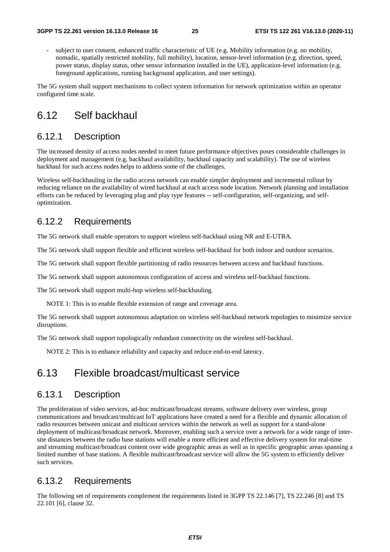subject to user consent, enhanced traffic characteristic of UE (e.g. Mobility information (e.g. no mobility, nomadic, spatially restricted mobility, full mobility), location, sensor-level information (e.g. direction, speed, power status, display status, other sensor information installed in the UE), application-level information (e.g. foreground applications, running background application, and user settings).

The 5G system shall support mechanisms to collect system information for network optimization within an operator configured time scale.

# 6.12 Self backhaul

#### 6.12.1 Description

The increased density of access nodes needed to meet future performance objectives poses considerable challenges in deployment and management (e.g. backhaul availability, backhaul capacity and scalability). The use of wireless backhaul for such access nodes helps to address some of the challenges.

Wireless self-backhauling in the radio access network can enable simpler deployment and incremental rollout by reducing reliance on the availability of wired backhaul at each access node location. Network planning and installation efforts can be reduced by leveraging plug and play type features -- self-configuration, self-organizing, and selfoptimization.

#### 6.12.2 Requirements

The 5G network shall enable operators to support wireless self-backhaul using NR and E-UTRA.

The 5G network shall support flexible and efficient wireless self-backhaul for both indoor and outdoor scenarios.

The 5G network shall support flexible partitioning of radio resources between access and backhaul functions.

The 5G network shall support autonomous configuration of access and wireless self-backhaul functions.

The 5G network shall support multi-hop wireless self-backhauling.

NOTE 1: This is to enable flexible extension of range and coverage area.

The 5G network shall support autonomous adaptation on wireless self-backhaul network topologies to minimize service disruptions.

The 5G network shall support topologically redundant connectivity on the wireless self-backhaul.

NOTE 2: This is to enhance reliability and capacity and reduce end-to-end latency.

# 6.13 Flexible broadcast/multicast service

#### 6.13.1 Description

The proliferation of video services, ad-hoc multicast/broadcast streams, software delivery over wireless, group communications and broadcast/multicast IoT applications have created a need for a flexible and dynamic allocation of radio resources between unicast and multicast services within the network as well as support for a stand-alone deployment of multicast/broadcast network. Moreover, enabling such a service over a network for a wide range of intersite distances between the radio base stations will enable a more efficient and effective delivery system for real-time and streaming multicast/broadcast content over wide geographic areas as well as in specific geographic areas spanning a limited number of base stations. A flexible multicast/broadcast service will allow the 5G system to efficiently deliver such services.

### 6.13.2 Requirements

The following set of requirements complement the requirements listed in 3GPP TS 22.146 [7], TS 22.246 [8] and TS 22.101 [6], clause 32.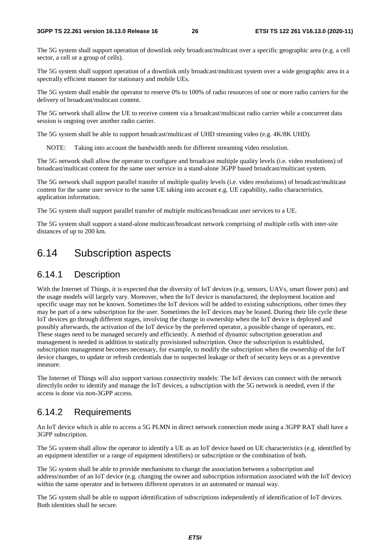The 5G system shall support operation of downlink only broadcast/multicast over a specific geographic area (e.g. a cell sector, a cell or a group of cells).

The 5G system shall support operation of a downlink only broadcast/multicast system over a wide geographic area in a spectrally efficient manner for stationary and mobile UEs.

The 5G system shall enable the operator to reserve 0% to 100% of radio resources of one or more radio carriers for the delivery of broadcast/multicast content.

The 5G network shall allow the UE to receive content via a broadcast/multicast radio carrier while a concurrent data session is ongoing over another radio carrier.

The 5G system shall be able to support broadcast/multicast of UHD streaming video (e.g. 4K/8K UHD).

NOTE: Taking into account the bandwidth needs for different streaming video resolution.

The 5G network shall allow the operator to configure and broadcast multiple quality levels (i.e. video resolutions) of broadcast/multicast content for the same user service in a stand-alone 3GPP based broadcast/multicast system.

The 5G network shall support parallel transfer of multiple quality levels (i.e. video resolutions) of broadcast/multicast content for the same user service to the same UE taking into account e.g. UE capability, radio characteristics, application information.

The 5G system shall support parallel transfer of multiple multicast/broadcast user services to a UE.

The 5G system shall support a stand-alone multicast/broadcast network comprising of multiple cells with inter-site distances of up to 200 km.

# 6.14 Subscription aspects

#### 6.14.1 Description

With the Internet of Things, it is expected that the diversity of IoT devices (e.g. sensors, UAVs, smart flower pots) and the usage models will largely vary. Moreover, when the IoT device is manufactured, the deployment location and specific usage may not be known. Sometimes the IoT devices will be added to existing subscriptions, other times they may be part of a new subscription for the user. Sometimes the IoT devices may be leased. During their life cycle these IoT devices go through different stages, involving the change in ownership when the IoT device is deployed and possibly afterwards, the activation of the IoT device by the preferred operator, a possible change of operators, etc. These stages need to be managed securely and efficiently. A method of dynamic subscription generation and management is needed in addition to statically provisioned subscription. Once the subscription is established, subscription management becomes necessary, for example, to modify the subscription when the ownership of the IoT device changes, to update or refresh credentials due to suspected leakage or theft of security keys or as a preventive measure.

The Internet of Things will also support various connectivity models: The IoT devices can connect with the network directlyIn order to identify and manage the IoT devices, a subscription with the 5G network is needed, even if the access is done via non-3GPP access.

#### 6.14.2 Requirements

An IoT device which is able to access a 5G PLMN in direct network connection mode using a 3GPP RAT shall have a 3GPP subscription.

The 5G system shall allow the operator to identify a UE as an IoT device based on UE characteristics (e.g. identified by an equipment identifier or a range of equipment identifiers) or subscription or the combination of both.

The 5G system shall be able to provide mechanisms to change the association between a subscription and address/number of an IoT device (e.g. changing the owner and subscription information associated with the IoT device) within the same operator and in between different operators in an automated or manual way.

The 5G system shall be able to support identification of subscriptions independently of identification of IoT devices. Both identities shall be secure.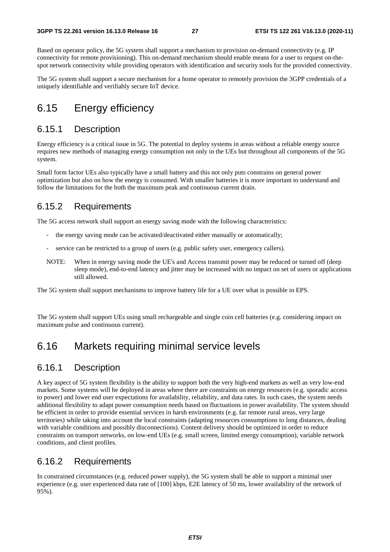Based on operator policy, the 5G system shall support a mechanism to provision on-demand connectivity (e.g. IP connectivity for remote provisioning). This on-demand mechanism should enable means for a user to request on-thespot network connectivity while providing operators with identification and security tools for the provided connectivity.

The 5G system shall support a secure mechanism for a home operator to remotely provision the 3GPP credentials of a uniquely identifiable and verifiably secure IoT device.

# 6.15 Energy efficiency

#### 6.15.1 Description

Energy efficiency is a critical issue in 5G. The potential to deploy systems in areas without a reliable energy source requires new methods of managing energy consumption not only in the UEs but throughout all components of the 5G system.

Small form factor UEs also typically have a small battery and this not only puts constrains on general power optimization but also on how the energy is consumed. With smaller batteries it is more important to understand and follow the limitations for the both the maximum peak and continuous current drain.

#### 6.15.2 Requirements

The 5G access network shall support an energy saving mode with the following characteristics:

- the energy saving mode can be activated/deactivated either manually or automatically;
- service can be restricted to a group of users (e.g. public safety user, emergency callers).
- NOTE: When in energy saving mode the UE's and Access transmit power may be reduced or turned off (deep sleep mode), end-to-end latency and jitter may be increased with no impact on set of users or applications still allowed.

The 5G system shall support mechanisms to improve battery life for a UE over what is possible in EPS.

The 5G system shall support UEs using small rechargeable and single coin cell batteries (e.g. considering impact on maximum pulse and continuous current).

### 6.16 Markets requiring minimal service levels

#### 6.16.1 Description

A key aspect of 5G system flexibility is the ability to support both the very high-end markets as well as very low-end markets. Some systems will be deployed in areas where there are constraints on energy resources (e.g. sporadic access to power) and lower end user expectations for availability, reliability, and data rates. In such cases, the system needs additional flexibility to adapt power consumption needs based on fluctuations in power availability. The system should be efficient in order to provide essential services in harsh environments (e.g. far remote rural areas, very large territories) while taking into account the local constraints (adapting resources consumptions to long distances, dealing with variable conditions and possibly disconnections). Content delivery should be optimized in order to reduce constraints on transport networks, on low-end UEs (e.g. small screen, limited energy consumption), variable network conditions, and client profiles.

#### 6.16.2 Requirements

In constrained circumstances (e.g. reduced power supply), the 5G system shall be able to support a minimal user experience (e.g. user experienced data rate of [100] kbps, E2E latency of 50 ms, lower availability of the network of 95%).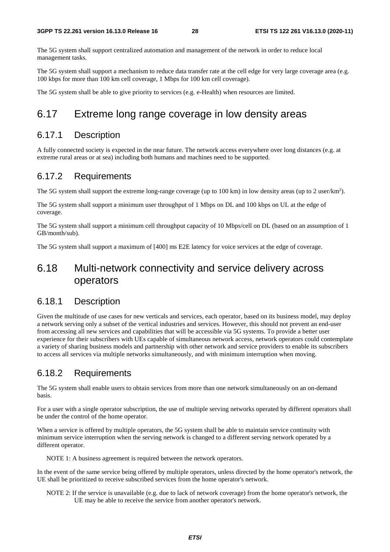The 5G system shall support centralized automation and management of the network in order to reduce local management tasks.

The 5G system shall support a mechanism to reduce data transfer rate at the cell edge for very large coverage area (e.g. 100 kbps for more than 100 km cell coverage, 1 Mbps for 100 km cell coverage).

The 5G system shall be able to give priority to services (e.g. e-Health) when resources are limited.

# 6.17 Extreme long range coverage in low density areas

#### 6.17.1 Description

A fully connected society is expected in the near future. The network access everywhere over long distances (e.g. at extreme rural areas or at sea) including both humans and machines need to be supported.

#### 6.17.2 Requirements

The 5G system shall support the extreme long-range coverage (up to 100 km) in low density areas (up to 2 user/km<sup>2</sup>).

The 5G system shall support a minimum user throughput of 1 Mbps on DL and 100 kbps on UL at the edge of coverage.

The 5G system shall support a minimum cell throughput capacity of 10 Mbps/cell on DL (based on an assumption of 1 GB/month/sub).

The 5G system shall support a maximum of [400] ms E2E latency for voice services at the edge of coverage.

# 6.18 Multi-network connectivity and service delivery across operators

#### 6.18.1 Description

Given the multitude of use cases for new verticals and services, each operator, based on its business model, may deploy a network serving only a subset of the vertical industries and services. However, this should not prevent an end-user from accessing all new services and capabilities that will be accessible via 5G systems. To provide a better user experience for their subscribers with UEs capable of simultaneous network access, network operators could contemplate a variety of sharing business models and partnership with other network and service providers to enable its subscribers to access all services via multiple networks simultaneously, and with minimum interruption when moving.

#### 6.18.2 Requirements

The 5G system shall enable users to obtain services from more than one network simultaneously on an on-demand basis.

For a user with a single operator subscription, the use of multiple serving networks operated by different operators shall be under the control of the home operator.

When a service is offered by multiple operators, the 5G system shall be able to maintain service continuity with minimum service interruption when the serving network is changed to a different serving network operated by a different operator.

NOTE 1: A business agreement is required between the network operators.

In the event of the same service being offered by multiple operators, unless directed by the home operator's network, the UE shall be prioritized to receive subscribed services from the home operator's network.

NOTE 2: If the service is unavailable (e.g. due to lack of network coverage) from the home operator's network, the UE may be able to receive the service from another operator's network.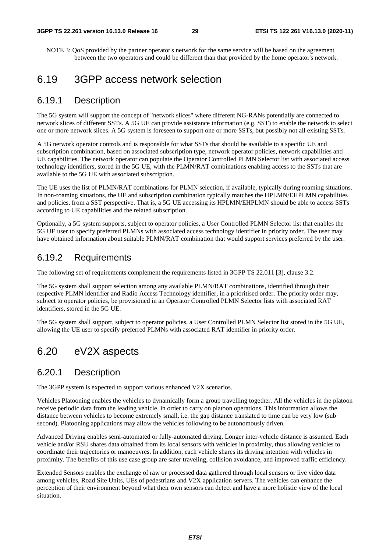NOTE 3: QoS provided by the partner operator's network for the same service will be based on the agreement between the two operators and could be different than that provided by the home operator's network.

### 6.19 3GPP access network selection

#### 6.19.1 Description

The 5G system will support the concept of "network slices" where different NG-RANs potentially are connected to network slices of different SSTs. A 5G UE can provide assistance information (e.g. SST) to enable the network to select one or more network slices. A 5G system is foreseen to support one or more SSTs, but possibly not all existing SSTs.

A 5G network operator controls and is responsible for what SSTs that should be available to a specific UE and subscription combination, based on associated subscription type, network operator policies, network capabilities and UE capabilities. The network operator can populate the Operator Controlled PLMN Selector list with associated access technology identifiers, stored in the 5G UE, with the PLMN/RAT combinations enabling access to the SSTs that are available to the 5G UE with associated subscription.

The UE uses the list of PLMN/RAT combinations for PLMN selection, if available, typically during roaming situations. In non-roaming situations, the UE and subscription combination typically matches the HPLMN/EHPLMN capabilities and policies, from a SST perspective. That is, a 5G UE accessing its HPLMN/EHPLMN should be able to access SSTs according to UE capabilities and the related subscription.

Optionally, a 5G system supports, subject to operator policies, a User Controlled PLMN Selector list that enables the 5G UE user to specify preferred PLMNs with associated access technology identifier in priority order. The user may have obtained information about suitable PLMN/RAT combination that would support services preferred by the user.

#### 6.19.2 Requirements

The following set of requirements complement the requirements listed in 3GPP TS 22.011 [3], clause 3.2.

The 5G system shall support selection among any available PLMN/RAT combinations, identified through their respective PLMN identifier and Radio Access Technology identifier, in a prioritised order. The priority order may, subject to operator policies, be provisioned in an Operator Controlled PLMN Selector lists with associated RAT identifiers, stored in the 5G UE.

The 5G system shall support, subject to operator policies, a User Controlled PLMN Selector list stored in the 5G UE, allowing the UE user to specify preferred PLMNs with associated RAT identifier in priority order.

# 6.20 eV2X aspects

#### 6.20.1 Description

The 3GPP system is expected to support various enhanced V2X scenarios.

Vehicles Platooning enables the vehicles to dynamically form a group travelling together. All the vehicles in the platoon receive periodic data from the leading vehicle, in order to carry on platoon operations. This information allows the distance between vehicles to become extremely small, i.e. the gap distance translated to time can be very low (sub second). Platooning applications may allow the vehicles following to be autonomously driven.

Advanced Driving enables semi-automated or fully-automated driving. Longer inter-vehicle distance is assumed. Each vehicle and/or RSU shares data obtained from its local sensors with vehicles in proximity, thus allowing vehicles to coordinate their trajectories or manoeuvres. In addition, each vehicle shares its driving intention with vehicles in proximity. The benefits of this use case group are safer traveling, collision avoidance, and improved traffic efficiency.

Extended Sensors enables the exchange of raw or processed data gathered through local sensors or live video data among vehicles, Road Site Units, UEs of pedestrians and V2X application servers. The vehicles can enhance the perception of their environment beyond what their own sensors can detect and have a more holistic view of the local situation.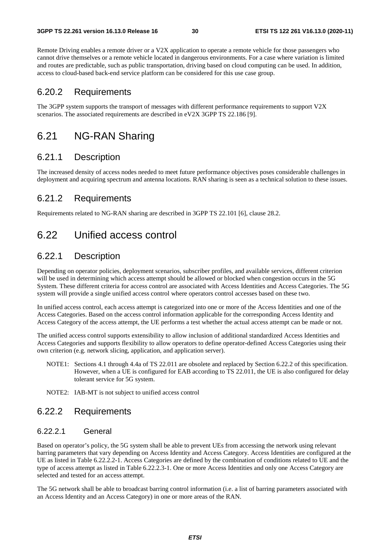Remote Driving enables a remote driver or a V2X application to operate a remote vehicle for those passengers who cannot drive themselves or a remote vehicle located in dangerous environments. For a case where variation is limited and routes are predictable, such as public transportation, driving based on cloud computing can be used. In addition, access to cloud-based back-end service platform can be considered for this use case group.

#### 6.20.2 Requirements

The 3GPP system supports the transport of messages with different performance requirements to support V2X scenarios. The associated requirements are described in eV2X 3GPP TS 22.186 [9].

### 6.21 NG-RAN Sharing

#### 6.21.1 Description

The increased density of access nodes needed to meet future performance objectives poses considerable challenges in deployment and acquiring spectrum and antenna locations. RAN sharing is seen as a technical solution to these issues.

#### 6.21.2 Requirements

Requirements related to NG-RAN sharing are described in 3GPP TS 22.101 [6], clause 28.2.

# 6.22 Unified access control

#### 6.22.1 Description

Depending on operator policies, deployment scenarios, subscriber profiles, and available services, different criterion will be used in determining which access attempt should be allowed or blocked when congestion occurs in the 5G System. These different criteria for access control are associated with Access Identities and Access Categories. The 5G system will provide a single unified access control where operators control accesses based on these two.

In unified access control, each access attempt is categorized into one or more of the Access Identities and one of the Access Categories. Based on the access control information applicable for the corresponding Access Identity and Access Category of the access attempt, the UE performs a test whether the actual access attempt can be made or not.

The unified access control supports extensibility to allow inclusion of additional standardized Access Identities and Access Categories and supports flexibility to allow operators to define operator-defined Access Categories using their own criterion (e.g. network slicing, application, and application server).

- NOTE1: Sections 4.1 through 4.4a of TS 22.011 are obsolete and replaced by Section 6.22.2 of this specification. However, when a UE is configured for EAB according to TS 22.011, the UE is also configured for delay tolerant service for 5G system.
- NOTE2: IAB-MT is not subject to unified access control

#### 6.22.2 Requirements

#### 6.22.2.1 General

Based on operator's policy, the 5G system shall be able to prevent UEs from accessing the network using relevant barring parameters that vary depending on Access Identity and Access Category. Access Identities are configured at the UE as listed in Table 6.22.2.2-1. Access Categories are defined by the combination of conditions related to UE and the type of access attempt as listed in Table 6.22.2.3-1. One or more Access Identities and only one Access Category are selected and tested for an access attempt.

The 5G network shall be able to broadcast barring control information (i.e. a list of barring parameters associated with an Access Identity and an Access Category) in one or more areas of the RAN.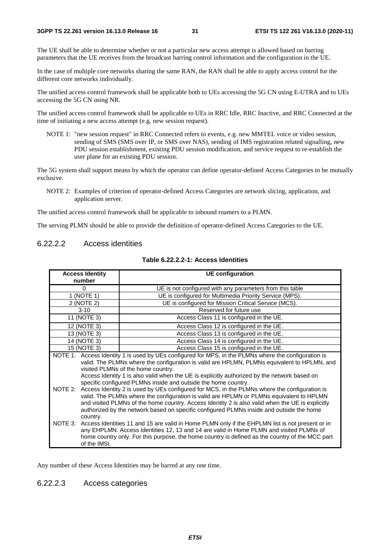The UE shall be able to determine whether or not a particular new access attempt is allowed based on barring parameters that the UE receives from the broadcast barring control information and the configuration in the UE.

In the case of multiple core networks sharing the same RAN, the RAN shall be able to apply access control for the different core networks individually.

The unified access control framework shall be applicable both to UEs accessing the 5G CN using E-UTRA and to UEs accessing the 5G CN using NR.

The unified access control framework shall be applicable to UEs in RRC Idle, RRC Inactive, and RRC Connected at the time of initiating a new access attempt (e.g. new session request).

NOTE 1: "new session request" in RRC Connected refers to events, e.g. new MMTEL voice or video session, sending of SMS (SMS over IP, or SMS over NAS), sending of IMS registration related signalling, new PDU session establishment, existing PDU session modification, and service request to re-establish the user plane for an existing PDU session.

The 5G system shall support means by which the operator can define operator-defined Access Categories to be mutually exclusive.

NOTE 2: Examples of criterion of operator-defined Access Categories are network slicing, application, and application server.

The unified access control framework shall be applicable to inbound roamers to a PLMN.

The serving PLMN should be able to provide the definition of operator-defined Access Categories to the UE.

#### 6.22.2.2 Access identities

| <b>Access Identity</b><br>number    | <b>UE</b> configuration                                                                                                                                                                                                                                                                                                                                                                                                                                                                                                                                                                                                                                                                                             |  |  |
|-------------------------------------|---------------------------------------------------------------------------------------------------------------------------------------------------------------------------------------------------------------------------------------------------------------------------------------------------------------------------------------------------------------------------------------------------------------------------------------------------------------------------------------------------------------------------------------------------------------------------------------------------------------------------------------------------------------------------------------------------------------------|--|--|
| 0                                   | UE is not configured with any parameters from this table                                                                                                                                                                                                                                                                                                                                                                                                                                                                                                                                                                                                                                                            |  |  |
| 1 (NOTE 1)                          | UE is configured for Multimedia Priority Service (MPS).                                                                                                                                                                                                                                                                                                                                                                                                                                                                                                                                                                                                                                                             |  |  |
| 2 (NOTE 2)                          | UE is configured for Mission Critical Service (MCS).                                                                                                                                                                                                                                                                                                                                                                                                                                                                                                                                                                                                                                                                |  |  |
| $3 - 10$                            | Reserved for future use                                                                                                                                                                                                                                                                                                                                                                                                                                                                                                                                                                                                                                                                                             |  |  |
| 11 (NOTE 3)                         | Access Class 11 is configured in the UE.                                                                                                                                                                                                                                                                                                                                                                                                                                                                                                                                                                                                                                                                            |  |  |
| 12 (NOTE 3)                         | Access Class 12 is configured in the UE.                                                                                                                                                                                                                                                                                                                                                                                                                                                                                                                                                                                                                                                                            |  |  |
| 13 (NOTE 3)                         | Access Class 13 is configured in the UE.                                                                                                                                                                                                                                                                                                                                                                                                                                                                                                                                                                                                                                                                            |  |  |
| 14 (NOTE 3)                         | Access Class 14 is configured in the UE.                                                                                                                                                                                                                                                                                                                                                                                                                                                                                                                                                                                                                                                                            |  |  |
| 15 (NOTE 3)                         | Access Class 15 is configured in the UE.                                                                                                                                                                                                                                                                                                                                                                                                                                                                                                                                                                                                                                                                            |  |  |
|                                     | NOTE 1: Access Identity 1 is used by UEs configured for MPS, in the PLMNs where the configuration is<br>valid. The PLMNs where the configuration is valid are HPLMN, PLMNs equivalent to HPLMN, and<br>visited PLMNs of the home country.<br>Access Identity 1 is also valid when the UE is explicitly authorized by the network based on<br>specific configured PLMNs inside and outside the home country.<br>NOTE 2: Access Identity 2 is used by UEs configured for MCS, in the PLMNs where the configuration is<br>valid. The PLMNs where the configuration is valid are HPLMN or PLMNs equivalent to HPLMN<br>and visited PLMNs of the home country. Access Identity 2 is also valid when the UE is explicitly |  |  |
| country.<br>NOTE 3:<br>of the IMSI. | authorized by the network based on specific configured PLMNs inside and outside the home<br>Access Identities 11 and 15 are valid in Home PLMN only if the EHPLMN list is not present or in<br>any EHPLMN. Access Identities 12, 13 and 14 are valid in Home PLMN and visited PLMNs of<br>home country only. For this purpose, the home country is defined as the country of the MCC part                                                                                                                                                                                                                                                                                                                           |  |  |

#### **Table 6.22.2.2-1: Access Identities**

Any number of these Access Identities may be barred at any one time.

#### 6.22.2.3 Access categories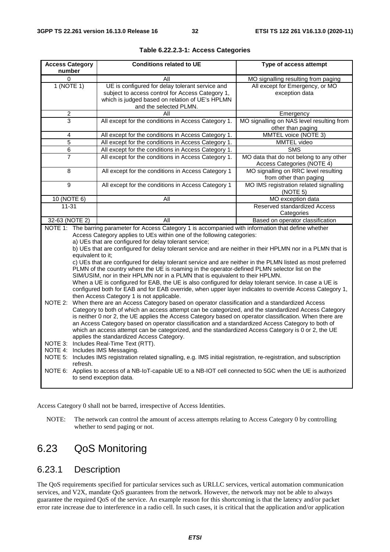| <b>Access Category</b><br>number                                                                                                                                                                                                                                                                                                                                                                                                                                                                                                                                                                                                                                                                                                                                                                                                                                                                                                                                                                                                                                                                                                                                                                                                                                                                                                                                                                                                                                                                                                       |                                                                                                                                                                                                                                                                                                                                                            | <b>Conditions related to UE</b>                                                                                                                                                  | Type of access attempt                                                |
|----------------------------------------------------------------------------------------------------------------------------------------------------------------------------------------------------------------------------------------------------------------------------------------------------------------------------------------------------------------------------------------------------------------------------------------------------------------------------------------------------------------------------------------------------------------------------------------------------------------------------------------------------------------------------------------------------------------------------------------------------------------------------------------------------------------------------------------------------------------------------------------------------------------------------------------------------------------------------------------------------------------------------------------------------------------------------------------------------------------------------------------------------------------------------------------------------------------------------------------------------------------------------------------------------------------------------------------------------------------------------------------------------------------------------------------------------------------------------------------------------------------------------------------|------------------------------------------------------------------------------------------------------------------------------------------------------------------------------------------------------------------------------------------------------------------------------------------------------------------------------------------------------------|----------------------------------------------------------------------------------------------------------------------------------------------------------------------------------|-----------------------------------------------------------------------|
| 0                                                                                                                                                                                                                                                                                                                                                                                                                                                                                                                                                                                                                                                                                                                                                                                                                                                                                                                                                                                                                                                                                                                                                                                                                                                                                                                                                                                                                                                                                                                                      |                                                                                                                                                                                                                                                                                                                                                            | All                                                                                                                                                                              | MO signalling resulting from paging                                   |
| 1 (NOTE 1)                                                                                                                                                                                                                                                                                                                                                                                                                                                                                                                                                                                                                                                                                                                                                                                                                                                                                                                                                                                                                                                                                                                                                                                                                                                                                                                                                                                                                                                                                                                             |                                                                                                                                                                                                                                                                                                                                                            | UE is configured for delay tolerant service and<br>subject to access control for Access Category 1,<br>which is judged based on relation of UE's HPLMN<br>and the selected PLMN. | All except for Emergency, or MO<br>exception data                     |
| $\overline{c}$                                                                                                                                                                                                                                                                                                                                                                                                                                                                                                                                                                                                                                                                                                                                                                                                                                                                                                                                                                                                                                                                                                                                                                                                                                                                                                                                                                                                                                                                                                                         |                                                                                                                                                                                                                                                                                                                                                            | All                                                                                                                                                                              | Emergency                                                             |
| 3                                                                                                                                                                                                                                                                                                                                                                                                                                                                                                                                                                                                                                                                                                                                                                                                                                                                                                                                                                                                                                                                                                                                                                                                                                                                                                                                                                                                                                                                                                                                      |                                                                                                                                                                                                                                                                                                                                                            | All except for the conditions in Access Category 1.                                                                                                                              | MO signalling on NAS level resulting from<br>other than paging        |
| 4                                                                                                                                                                                                                                                                                                                                                                                                                                                                                                                                                                                                                                                                                                                                                                                                                                                                                                                                                                                                                                                                                                                                                                                                                                                                                                                                                                                                                                                                                                                                      |                                                                                                                                                                                                                                                                                                                                                            | All except for the conditions in Access Category 1.                                                                                                                              | MMTEL voice (NOTE 3)                                                  |
| 5                                                                                                                                                                                                                                                                                                                                                                                                                                                                                                                                                                                                                                                                                                                                                                                                                                                                                                                                                                                                                                                                                                                                                                                                                                                                                                                                                                                                                                                                                                                                      |                                                                                                                                                                                                                                                                                                                                                            | All except for the conditions in Access Category 1.                                                                                                                              | MMTEL video                                                           |
| 6                                                                                                                                                                                                                                                                                                                                                                                                                                                                                                                                                                                                                                                                                                                                                                                                                                                                                                                                                                                                                                                                                                                                                                                                                                                                                                                                                                                                                                                                                                                                      |                                                                                                                                                                                                                                                                                                                                                            | All except for the conditions in Access Category 1.                                                                                                                              | <b>SMS</b>                                                            |
| 7                                                                                                                                                                                                                                                                                                                                                                                                                                                                                                                                                                                                                                                                                                                                                                                                                                                                                                                                                                                                                                                                                                                                                                                                                                                                                                                                                                                                                                                                                                                                      |                                                                                                                                                                                                                                                                                                                                                            | All except for the conditions in Access Category 1.                                                                                                                              | MO data that do not belong to any other<br>Access Categories (NOTE 4) |
| $\overline{8}$                                                                                                                                                                                                                                                                                                                                                                                                                                                                                                                                                                                                                                                                                                                                                                                                                                                                                                                                                                                                                                                                                                                                                                                                                                                                                                                                                                                                                                                                                                                         |                                                                                                                                                                                                                                                                                                                                                            | All except for the conditions in Access Category 1                                                                                                                               | MO signalling on RRC level resulting<br>from other than paging        |
| 9                                                                                                                                                                                                                                                                                                                                                                                                                                                                                                                                                                                                                                                                                                                                                                                                                                                                                                                                                                                                                                                                                                                                                                                                                                                                                                                                                                                                                                                                                                                                      |                                                                                                                                                                                                                                                                                                                                                            | All except for the conditions in Access Category 1                                                                                                                               | MO IMS registration related signalling<br>(NOTE 5)                    |
| 10 (NOTE 6)                                                                                                                                                                                                                                                                                                                                                                                                                                                                                                                                                                                                                                                                                                                                                                                                                                                                                                                                                                                                                                                                                                                                                                                                                                                                                                                                                                                                                                                                                                                            |                                                                                                                                                                                                                                                                                                                                                            | All                                                                                                                                                                              | MO exception data                                                     |
| $11 - 31$                                                                                                                                                                                                                                                                                                                                                                                                                                                                                                                                                                                                                                                                                                                                                                                                                                                                                                                                                                                                                                                                                                                                                                                                                                                                                                                                                                                                                                                                                                                              |                                                                                                                                                                                                                                                                                                                                                            |                                                                                                                                                                                  | <b>Reserved standardized Access</b><br>Categories                     |
| 32-63 (NOTE 2)                                                                                                                                                                                                                                                                                                                                                                                                                                                                                                                                                                                                                                                                                                                                                                                                                                                                                                                                                                                                                                                                                                                                                                                                                                                                                                                                                                                                                                                                                                                         |                                                                                                                                                                                                                                                                                                                                                            | All                                                                                                                                                                              | Based on operator classification                                      |
| NOTE 1: The barring parameter for Access Category 1 is accompanied with information that define whether<br>Access Category applies to UEs within one of the following categories:<br>a) UEs that are configured for delay tolerant service;<br>b) UEs that are configured for delay tolerant service and are neither in their HPLMN nor in a PLMN that is<br>equivalent to it;<br>c) UEs that are configured for delay tolerant service and are neither in the PLMN listed as most preferred<br>PLMN of the country where the UE is roaming in the operator-defined PLMN selector list on the<br>SIM/USIM, nor in their HPLMN nor in a PLMN that is equivalent to their HPLMN.<br>When a UE is configured for EAB, the UE is also configured for delay tolerant service. In case a UE is<br>configured both for EAB and for EAB override, when upper layer indicates to override Access Category 1,<br>then Access Category 1 is not applicable.<br>NOTE 2:<br>When there are an Access Category based on operator classification and a standardized Access<br>Category to both of which an access attempt can be categorized, and the standardized Access Category<br>is neither 0 nor 2, the UE applies the Access Category based on operator classification. When there are<br>an Access Category based on operator classification and a standardized Access Category to both of<br>which an access attempt can be categorized, and the standardized Access Category is 0 or 2, the UE<br>applies the standardized Access Category. |                                                                                                                                                                                                                                                                                                                                                            |                                                                                                                                                                                  |                                                                       |
|                                                                                                                                                                                                                                                                                                                                                                                                                                                                                                                                                                                                                                                                                                                                                                                                                                                                                                                                                                                                                                                                                                                                                                                                                                                                                                                                                                                                                                                                                                                                        | NOTE 3: Includes Real-Time Text (RTT).<br>NOTE 4: Includes IMS Messaging.<br>NOTE 5: Includes IMS registration related signalling, e.g. IMS initial registration, re-registration, and subscription<br>refresh.<br>NOTE 6: Applies to access of a NB-IoT-capable UE to a NB-IOT cell connected to 5GC when the UE is authorized<br>to send exception data. |                                                                                                                                                                                  |                                                                       |

Access Category 0 shall not be barred, irrespective of Access Identities.

NOTE: The network can control the amount of access attempts relating to Access Category 0 by controlling whether to send paging or not.

# 6.23 QoS Monitoring

#### 6.23.1 Description

The QoS requirements specified for particular services such as URLLC services, vertical automation communication services, and V2X, mandate QoS guarantees from the network. However, the network may not be able to always guarantee the required QoS of the service. An example reason for this shortcoming is that the latency and/or packet error rate increase due to interference in a radio cell. In such cases, it is critical that the application and/or application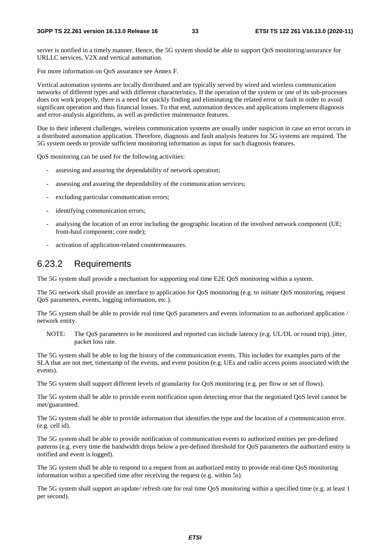server is notified in a timely manner. Hence, the 5G system should be able to support QoS monitoring/assurance for URLLC services, V2X and vertical automation.

For more information on QoS assurance see Annex F.

Vertical automation systems are locally distributed and are typically served by wired and wireless communication networks of different types and with different characteristics. If the operation of the system or one of its sub-processes does not work properly, there is a need for quickly finding and eliminating the related error or fault in order to avoid significant operation and thus financial losses. To that end, automation devices and applications implement diagnosis and error-analysis algorithms, as well as predictive maintenance features.

Due to their inherent challenges, wireless communication systems are usually under suspicion in case an error occurs in a distributed automation application. Therefore, diagnosis and fault analysis features for 5G systems are required. The 5G system needs to provide sufficient monitoring information as input for such diagnosis features.

QoS monitoring can be used for the following activities:

- assessing and assuring the dependability of network operation;
- assessing and assuring the dependability of the communication services;
- excluding particular communication errors;
- identifying communication errors;
- analysing the location of an error including the geographic location of the involved network component (UE; front-haul component; core node);
- activation of application-related countermeasures.

#### 6.23.2 Requirements

The 5G system shall provide a mechanism for supporting real time E2E QoS monitoring within a system.

The 5G network shall provide an interface to application for QoS monitoring (e.g. to initiate QoS monitoring, request QoS parameters, events, logging information, etc.).

The 5G system shall be able to provide real time QoS parameters and events information to an authorized application / network entity.

NOTE: The QoS parameters to be monitored and reported can include latency (e.g. UL/DL or round trip), jitter, packet loss rate.

The 5G system shall be able to log the history of the communication events. This includes for examples parts of the SLA that are not met, timestamp of the events, and event position (e.g. UEs and radio access points associated with the events).

The 5G system shall support different levels of granularity for QoS monitoring (e.g. per flow or set of flows).

The 5G system shall be able to provide event notification upon detecting error that the negotiated QoS level cannot be met/guaranteed.

The 5G system shall be able to provide information that identifies the type and the location of a communication error. (e.g. cell id).

The 5G system shall be able to provide notification of communication events to authorized entities per pre-defined patterns (e.g. every time the bandwidth drops below a pre-defined threshold for QoS parameters the authorized entity is notified and event is logged).

The 5G system shall be able to respond to a request from an authorized entity to provide real-time QoS monitoring information within a specified time after receiving the request (e.g. within 5s).

The 5G system shall support an update/ refresh rate for real time QoS monitoring within a specified time (e.g. at least 1 per second).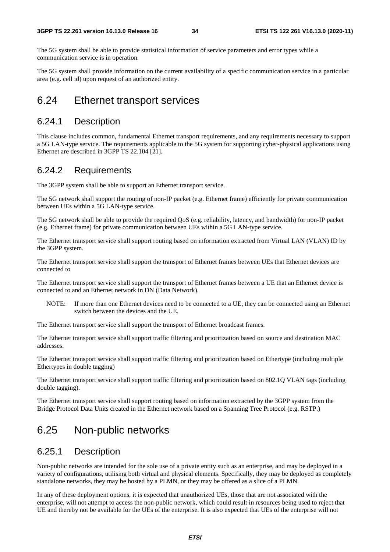The 5G system shall be able to provide statistical information of service parameters and error types while a communication service is in operation.

The 5G system shall provide information on the current availability of a specific communication service in a particular area (e.g. cell id) upon request of an authorized entity.

### 6.24 Ethernet transport services

### 6.24.1 Description

This clause includes common, fundamental Ethernet transport requirements, and any requirements necessary to support a 5G LAN-type service. The requirements applicable to the 5G system for supporting cyber-physical applications using Ethernet are described in 3GPP TS 22.104 [21].

#### 6.24.2 Requirements

The 3GPP system shall be able to support an Ethernet transport service.

The 5G network shall support the routing of non-IP packet (e.g. Ethernet frame) efficiently for private communication between UEs within a 5G LAN-type service.

The 5G network shall be able to provide the required QoS (e.g. reliability, latency, and bandwidth) for non-IP packet (e.g. Ethernet frame) for private communication between UEs within a 5G LAN-type service.

The Ethernet transport service shall support routing based on information extracted from Virtual LAN (VLAN) ID by the 3GPP system.

The Ethernet transport service shall support the transport of Ethernet frames between UEs that Ethernet devices are connected to

The Ethernet transport service shall support the transport of Ethernet frames between a UE that an Ethernet device is connected to and an Ethernet network in DN (Data Network).

NOTE: If more than one Ethernet devices need to be connected to a UE, they can be connected using an Ethernet switch between the devices and the UE.

The Ethernet transport service shall support the transport of Ethernet broadcast frames.

The Ethernet transport service shall support traffic filtering and prioritization based on source and destination MAC addresses.

The Ethernet transport service shall support traffic filtering and prioritization based on Ethertype (including multiple Ethertypes in double tagging)

The Ethernet transport service shall support traffic filtering and prioritization based on 802.1Q VLAN tags (including double tagging).

The Ethernet transport service shall support routing based on information extracted by the 3GPP system from the Bridge Protocol Data Units created in the Ethernet network based on a Spanning Tree Protocol (e.g. RSTP.)

# 6.25 Non-public networks

#### 6.25.1 Description

Non-public networks are intended for the sole use of a private entity such as an enterprise, and may be deployed in a variety of configurations, utilising both virtual and physical elements. Specifically, they may be deployed as completely standalone networks, they may be hosted by a PLMN, or they may be offered as a slice of a PLMN.

In any of these deployment options, it is expected that unauthorized UEs, those that are not associated with the enterprise, will not attempt to access the non-public network, which could result in resources being used to reject that UE and thereby not be available for the UEs of the enterprise. It is also expected that UEs of the enterprise will not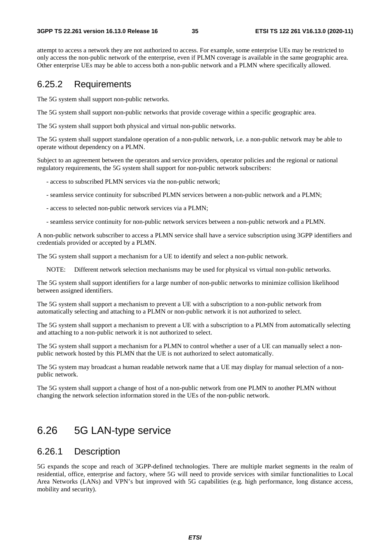attempt to access a network they are not authorized to access. For example, some enterprise UEs may be restricted to only access the non-public network of the enterprise, even if PLMN coverage is available in the same geographic area. Other enterprise UEs may be able to access both a non-public network and a PLMN where specifically allowed.

#### 6.25.2 Requirements

The 5G system shall support non-public networks.

The 5G system shall support non-public networks that provide coverage within a specific geographic area.

The 5G system shall support both physical and virtual non-public networks.

The 5G system shall support standalone operation of a non-public network, i.e. a non-public network may be able to operate without dependency on a PLMN.

Subject to an agreement between the operators and service providers, operator policies and the regional or national regulatory requirements, the 5G system shall support for non-public network subscribers:

- access to subscribed PLMN services via the non-public network;

- seamless service continuity for subscribed PLMN services between a non-public network and a PLMN;
- access to selected non-public network services via a PLMN;
- seamless service continuity for non-public network services between a non-public network and a PLMN.

A non-public network subscriber to access a PLMN service shall have a service subscription using 3GPP identifiers and credentials provided or accepted by a PLMN.

The 5G system shall support a mechanism for a UE to identify and select a non-public network.

NOTE: Different network selection mechanisms may be used for physical vs virtual non-public networks.

The 5G system shall support identifiers for a large number of non-public networks to minimize collision likelihood between assigned identifiers.

The 5G system shall support a mechanism to prevent a UE with a subscription to a non-public network from automatically selecting and attaching to a PLMN or non-public network it is not authorized to select.

The 5G system shall support a mechanism to prevent a UE with a subscription to a PLMN from automatically selecting and attaching to a non-public network it is not authorized to select.

The 5G system shall support a mechanism for a PLMN to control whether a user of a UE can manually select a nonpublic network hosted by this PLMN that the UE is not authorized to select automatically.

The 5G system may broadcast a human readable network name that a UE may display for manual selection of a nonpublic network.

The 5G system shall support a change of host of a non-public network from one PLMN to another PLMN without changing the network selection information stored in the UEs of the non-public network.

# 6.26 5G LAN-type service

#### 6.26.1 Description

5G expands the scope and reach of 3GPP-defined technologies. There are multiple market segments in the realm of residential, office, enterprise and factory, where 5G will need to provide services with similar functionalities to Local Area Networks (LANs) and VPN's but improved with 5G capabilities (e.g. high performance, long distance access, mobility and security).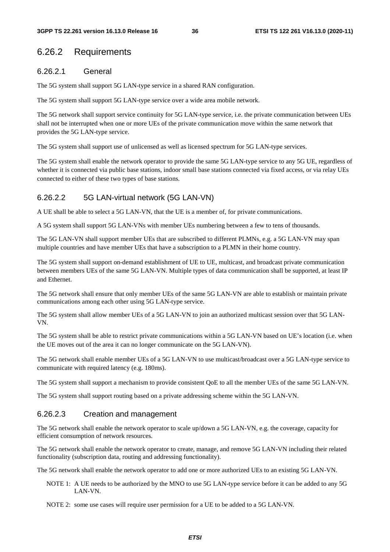### 6.26.2 Requirements

#### 6.26.2.1 General

The 5G system shall support 5G LAN-type service in a shared RAN configuration.

The 5G system shall support 5G LAN-type service over a wide area mobile network.

The 5G network shall support service continuity for 5G LAN-type service, i.e. the private communication between UEs shall not be interrupted when one or more UEs of the private communication move within the same network that provides the 5G LAN-type service.

The 5G system shall support use of unlicensed as well as licensed spectrum for 5G LAN-type services.

The 5G system shall enable the network operator to provide the same 5G LAN-type service to any 5G UE, regardless of whether it is connected via public base stations, indoor small base stations connected via fixed access, or via relay UEs connected to either of these two types of base stations.

#### 6.26.2.2 5G LAN-virtual network (5G LAN-VN)

A UE shall be able to select a 5G LAN-VN, that the UE is a member of, for private communications.

A 5G system shall support 5G LAN-VNs with member UEs numbering between a few to tens of thousands.

The 5G LAN-VN shall support member UEs that are subscribed to different PLMNs, e.g. a 5G LAN-VN may span multiple countries and have member UEs that have a subscription to a PLMN in their home country.

The 5G system shall support on-demand establishment of UE to UE, multicast, and broadcast private communication between members UEs of the same 5G LAN-VN. Multiple types of data communication shall be supported, at least IP and Ethernet.

The 5G network shall ensure that only member UEs of the same 5G LAN-VN are able to establish or maintain private communications among each other using 5G LAN-type service.

The 5G system shall allow member UEs of a 5G LAN-VN to join an authorized multicast session over that 5G LAN-VN.

The 5G system shall be able to restrict private communications within a 5G LAN-VN based on UE's location (i.e. when the UE moves out of the area it can no longer communicate on the 5G LAN-VN).

The 5G network shall enable member UEs of a 5G LAN-VN to use multicast/broadcast over a 5G LAN-type service to communicate with required latency (e.g. 180ms).

The 5G system shall support a mechanism to provide consistent QoE to all the member UEs of the same 5G LAN-VN.

The 5G system shall support routing based on a private addressing scheme within the 5G LAN-VN.

#### 6.26.2.3 Creation and management

The 5G network shall enable the network operator to scale up/down a 5G LAN-VN, e.g. the coverage, capacity for efficient consumption of network resources.

The 5G network shall enable the network operator to create, manage, and remove 5G LAN-VN including their related functionality (subscription data, routing and addressing functionality).

The 5G network shall enable the network operator to add one or more authorized UEs to an existing 5G LAN-VN.

NOTE 1: A UE needs to be authorized by the MNO to use 5G LAN-type service before it can be added to any 5G LAN-VN.

NOTE 2: some use cases will require user permission for a UE to be added to a 5G LAN-VN.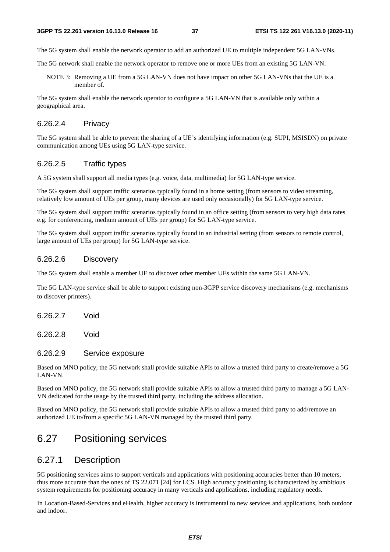The 5G system shall enable the network operator to add an authorized UE to multiple independent 5G LAN-VNs.

The 5G network shall enable the network operator to remove one or more UEs from an existing 5G LAN-VN.

NOTE 3: Removing a UE from a 5G LAN-VN does not have impact on other 5G LAN-VNs that the UE is a member of.

The 5G system shall enable the network operator to configure a 5G LAN-VN that is available only within a geographical area.

#### 6.26.2.4 Privacy

The 5G system shall be able to prevent the sharing of a UE's identifying information (e.g. SUPI, MSISDN) on private communication among UEs using 5G LAN-type service.

#### 6.26.2.5 Traffic types

A 5G system shall support all media types (e.g. voice, data, multimedia) for 5G LAN-type service.

The 5G system shall support traffic scenarios typically found in a home setting (from sensors to video streaming, relatively low amount of UEs per group, many devices are used only occasionally) for 5G LAN-type service.

The 5G system shall support traffic scenarios typically found in an office setting (from sensors to very high data rates e.g. for conferencing, medium amount of UEs per group) for 5G LAN-type service.

The 5G system shall support traffic scenarios typically found in an industrial setting (from sensors to remote control, large amount of UEs per group) for 5G LAN-type service.

#### 6.26.2.6 Discovery

The 5G system shall enable a member UE to discover other member UEs within the same 5G LAN-VN.

The 5G LAN-type service shall be able to support existing non-3GPP service discovery mechanisms (e.g. mechanisms to discover printers).

6.26.2.7 Void

6.26.2.8 Void

#### 6.26.2.9 Service exposure

Based on MNO policy, the 5G network shall provide suitable APIs to allow a trusted third party to create/remove a 5G LAN-VN.

Based on MNO policy, the 5G network shall provide suitable APIs to allow a trusted third party to manage a 5G LAN-VN dedicated for the usage by the trusted third party, including the address allocation.

Based on MNO policy, the 5G network shall provide suitable APIs to allow a trusted third party to add/remove an authorized UE to/from a specific 5G LAN-VN managed by the trusted third party.

## 6.27 Positioning services

### 6.27.1 Description

5G positioning services aims to support verticals and applications with positioning accuracies better than 10 meters, thus more accurate than the ones of TS 22.071 [24] for LCS. High accuracy positioning is characterized by ambitious system requirements for positioning accuracy in many verticals and applications, including regulatory needs.

In Location-Based-Services and eHealth, higher accuracy is instrumental to new services and applications, both outdoor and indoor.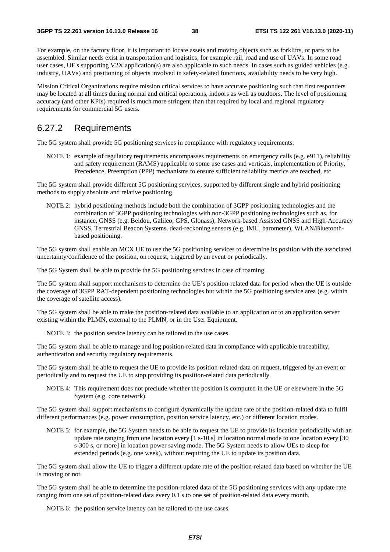For example, on the factory floor, it is important to locate assets and moving objects such as forklifts, or parts to be assembled. Similar needs exist in transportation and logistics, for example rail, road and use of UAVs. In some road user cases, UE's supporting V2X application(s) are also applicable to such needs. In cases such as guided vehicles (e.g. industry, UAVs) and positioning of objects involved in safety-related functions, availability needs to be very high.

Mission Critical Organizations require mission critical services to have accurate positioning such that first responders may be located at all times during normal and critical operations, indoors as well as outdoors. The level of positioning accuracy (and other KPIs) required is much more stringent than that required by local and regional regulatory requirements for commercial 5G users.

### 6.27.2 Requirements

The 5G system shall provide 5G positioning services in compliance with regulatory requirements.

NOTE 1: example of regulatory requirements encompasses requirements on emergency calls (e.g. e911), reliability and safety requirement (RAMS) applicable to some use cases and verticals, implementation of Priority, Precedence, Preemption (PPP) mechanisms to ensure sufficient reliability metrics are reached, etc.

The 5G system shall provide different 5G positioning services, supported by different single and hybrid positioning methods to supply absolute and relative positioning.

NOTE 2: hybrid positioning methods include both the combination of 3GPP positioning technologies and the combination of 3GPP positioning technologies with non-3GPP positioning technologies such as, for instance, GNSS (e.g. Beidou, Galileo, GPS, Glonass), Network-based Assisted GNSS and High-Accuracy GNSS, Terrestrial Beacon Systems, dead-reckoning sensors (e.g. IMU, barometer), WLAN/Bluetoothbased positioning.

The 5G system shall enable an MCX UE to use the 5G positioning services to determine its position with the associated uncertainty/confidence of the position, on request, triggered by an event or periodically.

The 5G System shall be able to provide the 5G positioning services in case of roaming.

The 5G system shall support mechanisms to determine the UE's position-related data for period when the UE is outside the coverage of 3GPP RAT-dependent positioning technologies but within the 5G positioning service area (e.g. within the coverage of satellite access).

The 5G system shall be able to make the position-related data available to an application or to an application server existing within the PLMN, external to the PLMN, or in the User Equipment.

NOTE 3: the position service latency can be tailored to the use cases.

The 5G system shall be able to manage and log position-related data in compliance with applicable traceability, authentication and security regulatory requirements.

The 5G system shall be able to request the UE to provide its position-related-data on request, triggered by an event or periodically and to request the UE to stop providing its position-related data periodically.

NOTE 4: This requirement does not preclude whether the position is computed in the UE or elsewhere in the 5G System (e.g. core network).

The 5G system shall support mechanisms to configure dynamically the update rate of the position-related data to fulfil different performances (e.g. power consumption, position service latency, etc.) or different location modes.

NOTE 5: for example, the 5G System needs to be able to request the UE to provide its location periodically with an update rate ranging from one location every [1 s-10 s] in location normal mode to one location every [30 s-300 s, or more] in location power saving mode. The 5G System needs to allow UEs to sleep for extended periods (e.g. one week), without requiring the UE to update its position data.

The 5G system shall allow the UE to trigger a different update rate of the position-related data based on whether the UE is moving or not.

The 5G system shall be able to determine the position-related data of the 5G positioning services with any update rate ranging from one set of position-related data every 0.1 s to one set of position-related data every month.

NOTE 6: the position service latency can be tailored to the use cases.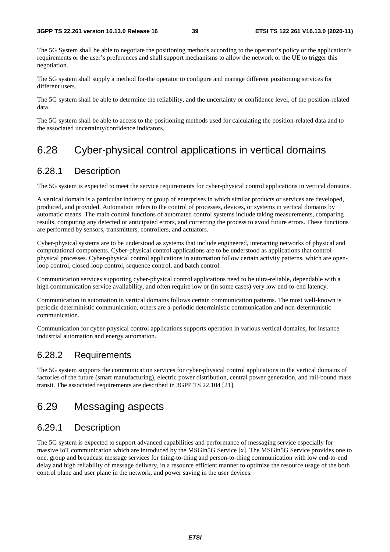The 5G System shall be able to negotiate the positioning methods according to the operator's policy or the application's requirements or the user's preferences and shall support mechanisms to allow the network or the UE to trigger this negotiation.

The 5G system shall supply a method for the operator to configure and manage different positioning services for different users.

The 5G system shall be able to determine the reliability, and the uncertainty or confidence level, of the position-related data.

The 5G system shall be able to access to the positioning methods used for calculating the position-related data and to the associated uncertainty/confidence indicators.

## 6.28 Cyber-physical control applications in vertical domains

### 6.28.1 Description

The 5G system is expected to meet the service requirements for cyber-physical control applications in vertical domains.

A vertical domain is a particular industry or group of enterprises in which similar products or services are developed, produced, and provided. Automation refers to the control of processes, devices, or systems in vertical domains by automatic means. The main control functions of automated control systems include taking measurements, comparing results, computing any detected or anticipated errors, and correcting the process to avoid future errors. These functions are performed by sensors, transmitters, controllers, and actuators.

Cyber-physical systems are to be understood as systems that include engineered, interacting networks of physical and computational components. Cyber-physical control applications are to be understood as applications that control physical processes. Cyber-physical control applications in automation follow certain activity patterns, which are openloop control, closed-loop control, sequence control, and batch control.

Communication services supporting cyber-physical control applications need to be ultra-reliable, dependable with a high communication service availability, and often require low or (in some cases) very low end-to-end latency.

Communication in automation in vertical domains follows certain communication patterns. The most well-known is periodic deterministic communication, others are a-periodic deterministic communication and non-deterministic communication.

Communication for cyber-physical control applications supports operation in various vertical domains, for instance industrial automation and energy automation.

### 6.28.2 Requirements

The 5G system supports the communication services for cyber-physical control applications in the vertical domains of factories of the future (smart manufacturing), electric power distribution, central power generation, and rail-bound mass transit. The associated requirements are described in 3GPP TS 22.104 [21].

## 6.29 Messaging aspects

### 6.29.1 Description

The 5G system is expected to support advanced capabilities and performance of messaging service especially for massive IoT communication which are introduced by the MSGin5G Service [x]. The MSGin5G Service provides one to one, group and broadcast message services for thing-to-thing and person-to-thing communication with low end-to-end delay and high reliability of message delivery, in a resource efficient manner to optimize the resource usage of the both control plane and user plane in the network, and power saving in the user devices.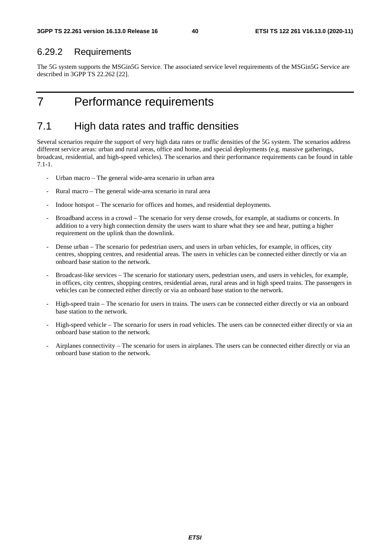### 6.29.2 Requirements

The 5G system supports the MSGin5G Service. The associated service level requirements of the MSGin5G Service are described in 3GPP TS 22.262 [22].

# 7 Performance requirements

## 7.1 High data rates and traffic densities

Several scenarios require the support of very high data rates or traffic densities of the 5G system. The scenarios address different service areas: urban and rural areas, office and home, and special deployments (e.g. massive gatherings, broadcast, residential, and high-speed vehicles). The scenarios and their performance requirements can be found in table 7.1-1.

- Urban macro The general wide-area scenario in urban area
- Rural macro The general wide-area scenario in rural area
- Indoor hotspot The scenario for offices and homes, and residential deployments.
- Broadband access in a crowd The scenario for very dense crowds, for example, at stadiums or concerts. In addition to a very high connection density the users want to share what they see and hear, putting a higher requirement on the uplink than the downlink.
- Dense urban The scenario for pedestrian users, and users in urban vehicles, for example, in offices, city centres, shopping centres, and residential areas. The users in vehicles can be connected either directly or via an onboard base station to the network.
- Broadcast-like services The scenario for stationary users, pedestrian users, and users in vehicles, for example, in offices, city centres, shopping centres, residential areas, rural areas and in high speed trains. The passengers in vehicles can be connected either directly or via an onboard base station to the network.
- High-speed train The scenario for users in trains. The users can be connected either directly or via an onboard base station to the network.
- High-speed vehicle The scenario for users in road vehicles. The users can be connected either directly or via an onboard base station to the network.
- Airplanes connectivity The scenario for users in airplanes. The users can be connected either directly or via an onboard base station to the network.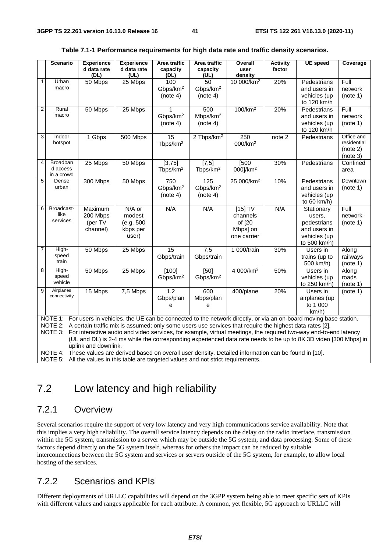|                         | <b>Scenario</b>           | <b>Experience</b><br>d data rate | <b>Experience</b><br>d data rate | Area traffic<br>capacity | Area traffic<br>capacity | Overall<br>user                                                                                                 | <b>Activity</b><br>factor | <b>UE</b> speed                                                                                                          | Coverage                  |
|-------------------------|---------------------------|----------------------------------|----------------------------------|--------------------------|--------------------------|-----------------------------------------------------------------------------------------------------------------|---------------------------|--------------------------------------------------------------------------------------------------------------------------|---------------------------|
|                         |                           | (DL)                             | (UL)                             | (DL)                     | (UL)                     | density                                                                                                         |                           |                                                                                                                          |                           |
| $\mathbf{1}$            | Urban                     | 50 Mbps                          | 25 Mbps                          | 100                      | 50                       | 10 000/km <sup>2</sup>                                                                                          | 20%                       | Pedestrians                                                                                                              | Full                      |
|                         | macro                     |                                  |                                  | Gbps/km <sup>2</sup>     | Gbps/km <sup>2</sup>     |                                                                                                                 |                           | and users in                                                                                                             | network                   |
|                         |                           |                                  |                                  | (note 4)                 | (note 4)                 |                                                                                                                 |                           | vehicles (up                                                                                                             | (note 1)                  |
|                         |                           |                                  |                                  |                          |                          |                                                                                                                 |                           | to 120 km/h                                                                                                              |                           |
| $\overline{\mathbf{c}}$ | Rural                     | 50 Mbps                          | 25 Mbps                          |                          | 500                      | 100/km <sup>2</sup>                                                                                             | 20%                       | Pedestrians                                                                                                              | Full                      |
|                         | macro                     |                                  |                                  | Gbps/km <sup>2</sup>     | Mbps/km <sup>2</sup>     |                                                                                                                 |                           | and users in                                                                                                             | network                   |
|                         |                           |                                  |                                  | (note 4)                 | (note 4)                 |                                                                                                                 |                           | vehicles (up                                                                                                             | (note 1)                  |
|                         |                           |                                  |                                  |                          |                          |                                                                                                                 |                           | to 120 km/h                                                                                                              |                           |
| 3                       | Indoor                    | 1 Gbps                           | 500 Mbps                         | 15                       | 2 Tbps/km <sup>2</sup>   | 250                                                                                                             | note 2                    | Pedestrians                                                                                                              | Office and<br>residential |
|                         | hotspot                   |                                  |                                  | Tbps/km <sup>2</sup>     |                          | 000/km <sup>2</sup>                                                                                             |                           |                                                                                                                          | (note 2)                  |
|                         |                           |                                  |                                  |                          |                          |                                                                                                                 |                           |                                                                                                                          | (note 3)                  |
| 4                       | <b>Broadban</b>           | 25 Mbps                          | 50 Mbps                          | [3, 75]                  | $[7,5]$                  | [500]                                                                                                           | 30%                       | Pedestrians                                                                                                              | Confined                  |
|                         | d access                  |                                  |                                  | Tbps/km <sup>2</sup>     | Tbps/km <sup>2</sup>     | 000]/km <sup>2</sup>                                                                                            |                           |                                                                                                                          | area                      |
|                         | in a crowd                |                                  |                                  |                          |                          |                                                                                                                 |                           |                                                                                                                          |                           |
| 5                       | Dense                     | 300 Mbps                         | 50 Mbps                          | 750                      | $\frac{1}{25}$           | 25 000/km <sup>2</sup>                                                                                          | 10%                       | Pedestrians                                                                                                              | Downtown                  |
|                         | urban                     |                                  |                                  | Gbps/km <sup>2</sup>     | Gbps/km <sup>2</sup>     |                                                                                                                 |                           | and users in                                                                                                             | (note 1)                  |
|                         |                           |                                  |                                  | (note 4)                 | (note 4)                 |                                                                                                                 |                           | vehicles (up                                                                                                             |                           |
|                         |                           |                                  |                                  |                          |                          |                                                                                                                 |                           | to 60 km/h)                                                                                                              |                           |
| 6                       | Broadcast-                | Maximum                          | N/A or                           | N/A                      | N/A                      | $[15]$ TV                                                                                                       | N/A                       | Stationary                                                                                                               | Full                      |
|                         | like                      | 200 Mbps                         | modest                           |                          |                          | channels                                                                                                        |                           | users,                                                                                                                   | network                   |
|                         | services                  | (per TV                          | (e.g. 500                        |                          |                          | of [20                                                                                                          |                           | pedestrians                                                                                                              | (note 1)                  |
|                         |                           | channel)                         | kbps per                         |                          |                          | Mbps] on                                                                                                        |                           | and users in                                                                                                             |                           |
|                         |                           |                                  | user)                            |                          |                          | one carrier                                                                                                     |                           | vehicles (up                                                                                                             |                           |
|                         |                           |                                  |                                  |                          |                          |                                                                                                                 |                           | to 500 km/h)                                                                                                             |                           |
| $\overline{7}$          | High-                     | 50 Mbps                          | 25 Mbps                          | $\overline{15}$          | 7,5                      | 1 000/train                                                                                                     | 30%                       | Users in                                                                                                                 | Along                     |
|                         | speed                     |                                  |                                  | Gbps/train               | Gbps/train               |                                                                                                                 |                           | trains (up to                                                                                                            | railways                  |
|                         | train                     |                                  |                                  |                          |                          |                                                                                                                 |                           | 500 km/h)                                                                                                                | (note 1)                  |
| 8                       | High-                     | 50 Mbps                          | 25 Mbps                          | [100]                    | [50]                     | 4 000/km <sup>2</sup>                                                                                           | 50%                       | Users in                                                                                                                 | Along                     |
|                         | speed                     |                                  |                                  | Gbps/km <sup>2</sup>     | Gbps/km <sup>2</sup>     |                                                                                                                 |                           | vehicles (up                                                                                                             | roads                     |
|                         | vehicle                   |                                  |                                  |                          |                          |                                                                                                                 |                           | to 250 km/h)                                                                                                             | (note 1)                  |
| 9                       | Airplanes<br>connectivity | 15 Mbps                          | 7,5 Mbps                         | 1,2                      | 600                      | 400/plane                                                                                                       | 20%                       | Users in                                                                                                                 | (note 1)                  |
|                         |                           |                                  |                                  | Gbps/plan                | Mbps/plan                |                                                                                                                 |                           | airplanes (up                                                                                                            |                           |
|                         |                           |                                  |                                  | е                        | е                        |                                                                                                                 |                           | to 1 000                                                                                                                 |                           |
|                         |                           |                                  |                                  |                          |                          |                                                                                                                 |                           | km/h)                                                                                                                    |                           |
|                         |                           |                                  |                                  |                          |                          |                                                                                                                 |                           | NOTE 1: For users in vehicles, the UE can be connected to the network directly, or via an on-board moving base station.  |                           |
|                         |                           |                                  |                                  |                          |                          | NOTE 2: A certain traffic mix is assumed; only some users use services that require the highest data rates [2]. |                           |                                                                                                                          |                           |
|                         |                           |                                  |                                  |                          |                          |                                                                                                                 |                           | NOTE 3: For interactive audio and video services, for example, virtual meetings, the required two-way end-to-end latency |                           |
|                         |                           |                                  |                                  |                          |                          |                                                                                                                 |                           | (UL and DL) is 2-4 ms while the corresponding experienced data rate needs to be up to 8K 3D video [300 Mbps] in          |                           |
|                         |                           | uplink and downlink.             |                                  |                          |                          |                                                                                                                 |                           |                                                                                                                          |                           |
|                         |                           |                                  |                                  |                          |                          | NOTE 4: These values are derived based on overall user density. Detailed information can be found in [10].      |                           |                                                                                                                          |                           |

#### **Table 7.1-1 Performance requirements for high data rate and traffic density scenarios.**

NOTE 5: All the values in this table are targeted values and not strict requirements.

## 7.2 Low latency and high reliability

### 7.2.1 Overview

Several scenarios require the support of very low latency and very high communications service availability. Note that this implies a very high reliability. The overall service latency depends on the delay on the radio interface, transmission within the 5G system, transmission to a server which may be outside the 5G system, and data processing. Some of these factors depend directly on the 5G system itself, whereas for others the impact can be reduced by suitable interconnections between the 5G system and services or servers outside of the 5G system, for example, to allow local hosting of the services.

### 7.2.2 Scenarios and KPIs

Different deployments of URLLC capabilities will depend on the 3GPP system being able to meet specific sets of KPIs with different values and ranges applicable for each attribute. A common, yet flexible, 5G approach to URLLC will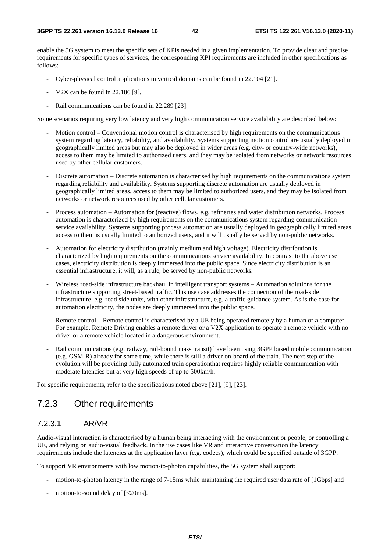enable the 5G system to meet the specific sets of KPIs needed in a given implementation. To provide clear and precise requirements for specific types of services, the corresponding KPI requirements are included in other specifications as follows:

- Cyber-physical control applications in vertical domains can be found in 22.104 [21].
- V2X can be found in 22.186 [9].
- Rail communications can be found in 22.289 [23].

Some scenarios requiring very low latency and very high communication service availability are described below:

- Motion control Conventional motion control is characterised by high requirements on the communications system regarding latency, reliability, and availability. Systems supporting motion control are usually deployed in geographically limited areas but may also be deployed in wider areas (e.g. city- or country-wide networks), access to them may be limited to authorized users, and they may be isolated from networks or network resources used by other cellular customers.
- Discrete automation Discrete automation is characterised by high requirements on the communications system regarding reliability and availability. Systems supporting discrete automation are usually deployed in geographically limited areas, access to them may be limited to authorized users, and they may be isolated from networks or network resources used by other cellular customers.
- Process automation Automation for (reactive) flows, e.g. refineries and water distribution networks. Process automation is characterized by high requirements on the communications system regarding communication service availability. Systems supporting process automation are usually deployed in geographically limited areas, access to them is usually limited to authorized users, and it will usually be served by non-public networks.
- Automation for electricity distribution (mainly medium and high voltage). Electricity distribution is characterized by high requirements on the communications service availability. In contrast to the above use cases, electricity distribution is deeply immersed into the public space. Since electricity distribution is an essential infrastructure, it will, as a rule, be served by non-public networks.
- Wireless road-side infrastructure backhaul in intelligent transport systems Automation solutions for the infrastructure supporting street-based traffic. This use case addresses the connection of the road-side infrastructure, e.g. road side units, with other infrastructure, e.g. a traffic guidance system. As is the case for automation electricity, the nodes are deeply immersed into the public space.
- Remote control Remote control is characterised by a UE being operated remotely by a human or a computer. For example, Remote Driving enables a remote driver or a V2X application to operate a remote vehicle with no driver or a remote vehicle located in a dangerous environment.
- Rail communications (e.g. railway, rail-bound mass transit) have been using 3GPP based mobile communication (e.g. GSM-R) already for some time, while there is still a driver on-board of the train. The next step of the evolution will be providing fully automated train operationthat requires highly reliable communication with moderate latencies but at very high speeds of up to 500km/h.

For specific requirements, refer to the specifications noted above [21], [9], [23].

### 7.2.3 Other requirements

#### 7.2.3.1 AR/VR

Audio-visual interaction is characterised by a human being interacting with the environment or people, or controlling a UE, and relying on audio-visual feedback. In the use cases like VR and interactive conversation the latency requirements include the latencies at the application layer (e.g. codecs), which could be specified outside of 3GPP.

To support VR environments with low motion-to-photon capabilities, the 5G system shall support:

- motion-to-photon latency in the range of 7-15ms while maintaining the required user data rate of [1Gbps] and
- motion-to-sound delay of  $\left[ < 20 \text{ms} \right]$ .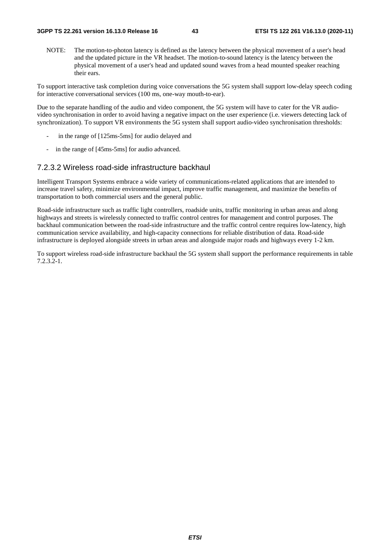NOTE: The motion-to-photon latency is defined as the latency between the physical movement of a user's head and the updated picture in the VR headset. The motion-to-sound latency is the latency between the physical movement of a user's head and updated sound waves from a head mounted speaker reaching their ears.

To support interactive task completion during voice conversations the 5G system shall support low-delay speech coding for interactive conversational services (100 ms, one-way mouth-to-ear).

Due to the separate handling of the audio and video component, the 5G system will have to cater for the VR audiovideo synchronisation in order to avoid having a negative impact on the user experience (i.e. viewers detecting lack of synchronization). To support VR environments the 5G system shall support audio-video synchronisation thresholds:

- in the range of [125ms-5ms] for audio delayed and
- in the range of [45ms-5ms] for audio advanced.

#### 7.2.3.2 Wireless road-side infrastructure backhaul

Intelligent Transport Systems embrace a wide variety of communications-related applications that are intended to increase travel safety, minimize environmental impact, improve traffic management, and maximize the benefits of transportation to both commercial users and the general public.

Road-side infrastructure such as traffic light controllers, roadside units, traffic monitoring in urban areas and along highways and streets is wirelessly connected to traffic control centres for management and control purposes. The backhaul communication between the road-side infrastructure and the traffic control centre requires low-latency, high communication service availability, and high-capacity connections for reliable distribution of data. Road-side infrastructure is deployed alongside streets in urban areas and alongside major roads and highways every 1-2 km.

To support wireless road-side infrastructure backhaul the 5G system shall support the performance requirements in table 7.2.3.2-1.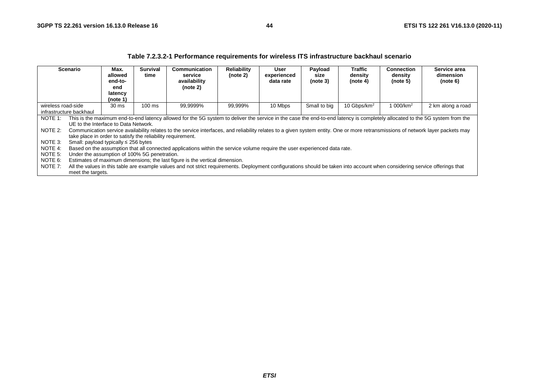|                                                                                                                                                                                                       |                   |                                                                                                                                                  |                         | 1 apro 1.2.0.2 T T on ormanoc Togan chionto ToF Milology ITO Inhabit ablance babitman goonario                                                                                                                                                                                                                                                                                                                                                                                                |                                |                                  |                             |                                |                                   |                                       |  |
|-------------------------------------------------------------------------------------------------------------------------------------------------------------------------------------------------------|-------------------|--------------------------------------------------------------------------------------------------------------------------------------------------|-------------------------|-----------------------------------------------------------------------------------------------------------------------------------------------------------------------------------------------------------------------------------------------------------------------------------------------------------------------------------------------------------------------------------------------------------------------------------------------------------------------------------------------|--------------------------------|----------------------------------|-----------------------------|--------------------------------|-----------------------------------|---------------------------------------|--|
| <b>Scenario</b>                                                                                                                                                                                       |                   | Max.<br>allowed<br>end-to-<br>end<br>latency<br>(note 1)                                                                                         | <b>Survival</b><br>time | Communication<br>service<br>availability<br>(note 2)                                                                                                                                                                                                                                                                                                                                                                                                                                          | <b>Reliability</b><br>(note 2) | User<br>experienced<br>data rate | Payload<br>size<br>(note 3) | Traffic<br>density<br>(note 4) | Connection<br>density<br>(note 5) | Service area<br>dimension<br>(note 6) |  |
| 10 Gbps/km <sup>2</sup><br>99,9999%<br>10 Mbps<br>Small to big<br>1 000/km <sup>2</sup><br>$100 \text{ ms}$<br>99,999%<br>wireless road-side<br>2 km along a road<br>30 ms<br>infrastructure backhaul |                   |                                                                                                                                                  |                         |                                                                                                                                                                                                                                                                                                                                                                                                                                                                                               |                                |                                  |                             |                                |                                   |                                       |  |
| NOTE 1:<br>NOTE 2:<br>NOTE 3:<br>NOTE 4:                                                                                                                                                              |                   | UE to the Interface to Data Network.<br>take place in order to satisfy the reliability requirement.<br>Small: payload typically $\leq$ 256 bytes |                         | This is the maximum end-to-end latency allowed for the 5G system to deliver the service in the case the end-to-end latency is completely allocated to the 5G system from the<br>Communication service availability relates to the service interfaces, and reliability relates to a given system entity. One or more retransmissions of network layer packets may<br>Based on the assumption that all connected applications within the service volume require the user experienced data rate. |                                |                                  |                             |                                |                                   |                                       |  |
| NOTE 5:<br>NOTE 6:<br>NOTE 7:                                                                                                                                                                         | meet the targets. | Under the assumption of 100% 5G penetration.                                                                                                     |                         | Estimates of maximum dimensions; the last figure is the vertical dimension.<br>All the values in this table are example values and not strict requirements. Deployment configurations should be taken into account when considering service offerings that                                                                                                                                                                                                                                    |                                |                                  |                             |                                |                                   |                                       |  |

#### **Table 7.2.3.2-1 Performance requirements for wireless ITS infrastructure backhaul scenario**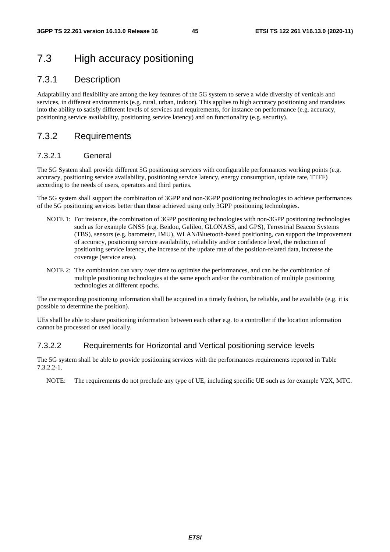## 7.3 High accuracy positioning

### 7.3.1 Description

Adaptability and flexibility are among the key features of the 5G system to serve a wide diversity of verticals and services, in different environments (e.g. rural, urban, indoor). This applies to high accuracy positioning and translates into the ability to satisfy different levels of services and requirements, for instance on performance (e.g. accuracy, positioning service availability, positioning service latency) and on functionality (e.g. security).

### 7.3.2 Requirements

#### 7.3.2.1 General

The 5G System shall provide different 5G positioning services with configurable performances working points (e.g. accuracy, positioning service availability, positioning service latency, energy consumption, update rate, TTFF) according to the needs of users, operators and third parties.

The 5G system shall support the combination of 3GPP and non-3GPP positioning technologies to achieve performances of the 5G positioning services better than those achieved using only 3GPP positioning technologies.

- NOTE 1: For instance, the combination of 3GPP positioning technologies with non-3GPP positioning technologies such as for example GNSS (e.g. Beidou, Galileo, GLONASS, and GPS), Terrestrial Beacon Systems (TBS), sensors (e.g. barometer, IMU), WLAN/Bluetooth-based positioning, can support the improvement of accuracy, positioning service availability, reliability and/or confidence level, the reduction of positioning service latency, the increase of the update rate of the position-related data, increase the coverage (service area).
- NOTE 2: The combination can vary over time to optimise the performances, and can be the combination of multiple positioning technologies at the same epoch and/or the combination of multiple positioning technologies at different epochs.

The corresponding positioning information shall be acquired in a timely fashion, be reliable, and be available (e.g. it is possible to determine the position).

UEs shall be able to share positioning information between each other e.g. to a controller if the location information cannot be processed or used locally.

#### 7.3.2.2 Requirements for Horizontal and Vertical positioning service levels

The 5G system shall be able to provide positioning services with the performances requirements reported in Table 7.3.2.2-1.

NOTE: The requirements do not preclude any type of UE, including specific UE such as for example V2X, MTC.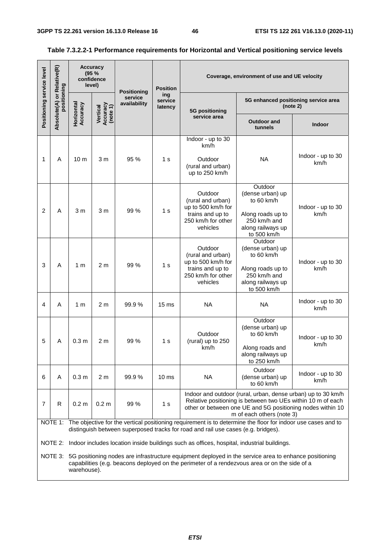Ť.

| Positioning service level | Relative(R)                        |                        | <b>Accuracy</b><br>(95%<br>confidence<br>level) | <b>Positioning</b>      | <b>Position</b>           |                                                                                                          | Coverage, environment of use and UE velocity                                                                                                                                                                           |                                                  |
|---------------------------|------------------------------------|------------------------|-------------------------------------------------|-------------------------|---------------------------|----------------------------------------------------------------------------------------------------------|------------------------------------------------------------------------------------------------------------------------------------------------------------------------------------------------------------------------|--------------------------------------------------|
|                           | Absolute(A) or Rela<br>positioning | Horizontal<br>Accuracy | Vertical<br>Accuracy<br>(note 1)                | service<br>availability | ing<br>service<br>latency | 5G positioning                                                                                           |                                                                                                                                                                                                                        | 5G enhanced positioning service area<br>(note 2) |
|                           |                                    |                        |                                                 |                         |                           | service area                                                                                             | <b>Outdoor and</b><br>tunnels                                                                                                                                                                                          | <b>Indoor</b>                                    |
|                           |                                    |                        |                                                 |                         |                           | Indoor - up to 30<br>km/h                                                                                |                                                                                                                                                                                                                        |                                                  |
| 1                         | A                                  | 10 <sub>m</sub>        | 3 m                                             | 95 %                    | 1 s                       | Outdoor<br>(rural and urban)<br>up to 250 km/h                                                           | <b>NA</b>                                                                                                                                                                                                              | Indoor - up to 30<br>km/h                        |
| $\overline{2}$            | A                                  | 3 m                    | 3 m                                             | 99 %                    | 1 <sub>s</sub>            | Outdoor<br>(rural and urban)<br>up to 500 km/h for<br>trains and up to<br>250 km/h for other<br>vehicles | Outdoor<br>(dense urban) up<br>to 60 km/h<br>Along roads up to<br>250 km/h and<br>along railways up<br>to 500 km/h                                                                                                     | Indoor - up to 30<br>km/h                        |
| 3                         | A                                  | 1 <sub>m</sub>         | 2 <sub>m</sub>                                  | 99 %                    | 1 <sub>s</sub>            | Outdoor<br>(rural and urban)<br>up to 500 km/h for<br>trains and up to<br>250 km/h for other<br>vehicles | Outdoor<br>(dense urban) up<br>to 60 km/h<br>Along roads up to<br>250 km/h and<br>along railways up<br>to 500 km/h                                                                                                     | Indoor - up to 30<br>km/h                        |
| 4                         | Α                                  | 1 m                    | 2 <sub>m</sub>                                  | 99.9%                   | 15 <sub>ms</sub>          | <b>NA</b>                                                                                                | <b>NA</b>                                                                                                                                                                                                              | Indoor - up to 30<br>km/h                        |
| 5                         | А                                  | 0.3 <sub>m</sub>       | 2 <sub>m</sub>                                  | 99 %                    | 1 s                       | Outdoor<br>(rural) up to 250<br>km/h                                                                     | Outdoor<br>(dense urban) up<br>to 60 km/h<br>Along roads and<br>along railways up<br>to 250 km/h                                                                                                                       | Indoor - up to 30<br>km/h                        |
| 6                         | A                                  | 0.3 <sub>m</sub>       | 2 <sub>m</sub>                                  | 99.9%                   | 10 <sub>ms</sub>          | <b>NA</b>                                                                                                | Outdoor<br>(dense urban) up<br>to 60 km/h                                                                                                                                                                              | Indoor - up to 30<br>km/h                        |
| 7                         | R                                  | 0.2 <sub>m</sub>       | 0.2 <sub>m</sub>                                | 99 %                    | 1 <sub>s</sub>            |                                                                                                          | Indoor and outdoor (rural, urban, dense urban) up to 30 km/h<br>Relative positioning is between two UEs within 10 m of each<br>other or between one UE and 5G positioning nodes within 10<br>m of each others (note 3) |                                                  |
|                           |                                    |                        |                                                 |                         |                           | distinguish between superposed tracks for road and rail use cases (e.g. bridges).                        | NOTE 1: The objective for the vertical positioning requirement is to determine the floor for indoor use cases and to                                                                                                   |                                                  |
|                           |                                    |                        |                                                 |                         |                           | NOTE 2: Indoor includes location inside buildings such as offices, hospital, industrial buildings.       | NOTE 3: 5G positioning nodes are infrastructure equipment deployed in the service area to enhance positioning                                                                                                          |                                                  |
|                           |                                    | warehouse).            |                                                 |                         |                           |                                                                                                          | capabilities (e.g. beacons deployed on the perimeter of a rendezvous area or on the side of a                                                                                                                          |                                                  |

### **Table 7.3.2.2-1 Performance requirements for Horizontal and Vertical positioning service levels**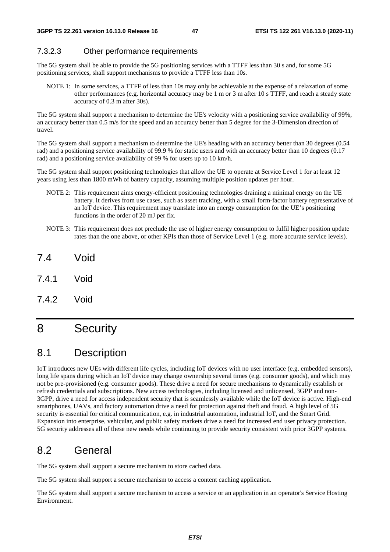#### 7.3.2.3 Other performance requirements

The 5G system shall be able to provide the 5G positioning services with a TTFF less than 30 s and, for some 5G positioning services, shall support mechanisms to provide a TTFF less than 10s.

NOTE 1: In some services, a TTFF of less than 10s may only be achievable at the expense of a relaxation of some other performances (e.g. horizontal accuracy may be 1 m or 3 m after 10 s TTFF, and reach a steady state accuracy of 0.3 m after 30s).

The 5G system shall support a mechanism to determine the UE's velocity with a positioning service availability of 99%, an accuracy better than 0.5 m/s for the speed and an accuracy better than 5 degree for the 3-Dimension direction of travel.

The 5G system shall support a mechanism to determine the UE's heading with an accuracy better than 30 degrees (0.54 rad) and a positioning service availability of 99.9 % for static users and with an accuracy better than 10 degrees (0.17 rad) and a positioning service availability of 99 % for users up to 10 km/h.

The 5G system shall support positioning technologies that allow the UE to operate at Service Level 1 for at least 12 years using less than 1800 mWh of battery capacity, assuming multiple position updates per hour.

- NOTE 2: This requirement aims energy-efficient positioning technologies draining a minimal energy on the UE battery. It derives from use cases, such as asset tracking, with a small form-factor battery representative of an IoT device. This requirement may translate into an energy consumption for the UE's positioning functions in the order of 20 mJ per fix.
- NOTE 3: This requirement does not preclude the use of higher energy consumption to fulfil higher position update rates than the one above, or other KPIs than those of Service Level 1 (e.g. more accurate service levels).
- 7.4 Void
- 7.4.1 Void
- 7.4.2 Void

## 8 Security

## 8.1 Description

IoT introduces new UEs with different life cycles, including IoT devices with no user interface (e.g. embedded sensors), long life spans during which an IoT device may change ownership several times (e.g. consumer goods), and which may not be pre-provisioned (e.g. consumer goods). These drive a need for secure mechanisms to dynamically establish or refresh credentials and subscriptions. New access technologies, including licensed and unlicensed, 3GPP and non-3GPP, drive a need for access independent security that is seamlessly available while the IoT device is active. High-end smartphones, UAVs, and factory automation drive a need for protection against theft and fraud. A high level of 5G security is essential for critical communication, e.g. in industrial automation, industrial IoT, and the Smart Grid. Expansion into enterprise, vehicular, and public safety markets drive a need for increased end user privacy protection. 5G security addresses all of these new needs while continuing to provide security consistent with prior 3GPP systems.

## 8.2 General

The 5G system shall support a secure mechanism to store cached data.

The 5G system shall support a secure mechanism to access a content caching application.

The 5G system shall support a secure mechanism to access a service or an application in an operator's Service Hosting Environment.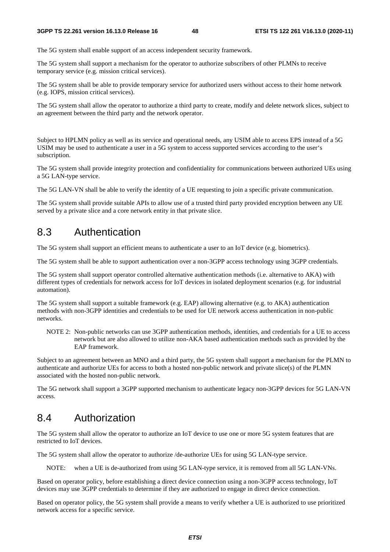The 5G system shall enable support of an access independent security framework.

The 5G system shall support a mechanism for the operator to authorize subscribers of other PLMNs to receive temporary service (e.g. mission critical services).

The 5G system shall be able to provide temporary service for authorized users without access to their home network (e.g. IOPS, mission critical services).

The 5G system shall allow the operator to authorize a third party to create, modify and delete network slices, subject to an agreement between the third party and the network operator.

Subject to HPLMN policy as well as its service and operational needs, any USIM able to access EPS instead of a 5G USIM may be used to authenticate a user in a 5G system to access supported services according to the user's subscription.

The 5G system shall provide integrity protection and confidentiality for communications between authorized UEs using a 5G LAN-type service.

The 5G LAN-VN shall be able to verify the identity of a UE requesting to join a specific private communication.

The 5G system shall provide suitable APIs to allow use of a trusted third party provided encryption between any UE served by a private slice and a core network entity in that private slice.

### 8.3 Authentication

The 5G system shall support an efficient means to authenticate a user to an IoT device (e.g. biometrics).

The 5G system shall be able to support authentication over a non-3GPP access technology using 3GPP credentials.

The 5G system shall support operator controlled alternative authentication methods (i.e. alternative to AKA) with different types of credentials for network access for IoT devices in isolated deployment scenarios (e.g. for industrial automation).

The 5G system shall support a suitable framework (e.g. EAP) allowing alternative (e.g. to AKA) authentication methods with non-3GPP identities and credentials to be used for UE network access authentication in non-public networks.

NOTE 2: Non-public networks can use 3GPP authentication methods, identities, and credentials for a UE to access network but are also allowed to utilize non-AKA based authentication methods such as provided by the EAP framework.

Subject to an agreement between an MNO and a third party, the 5G system shall support a mechanism for the PLMN to authenticate and authorize UEs for access to both a hosted non-public network and private slice(s) of the PLMN associated with the hosted non-public network.

The 5G network shall support a 3GPP supported mechanism to authenticate legacy non-3GPP devices for 5G LAN-VN access.

## 8.4 Authorization

The 5G system shall allow the operator to authorize an IoT device to use one or more 5G system features that are restricted to IoT devices.

The 5G system shall allow the operator to authorize /de-authorize UEs for using 5G LAN-type service.

NOTE: when a UE is de-authorized from using 5G LAN-type service, it is removed from all 5G LAN-VNs.

Based on operator policy, before establishing a direct device connection using a non-3GPP access technology, IoT devices may use 3GPP credentials to determine if they are authorized to engage in direct device connection.

Based on operator policy, the 5G system shall provide a means to verify whether a UE is authorized to use prioritized network access for a specific service.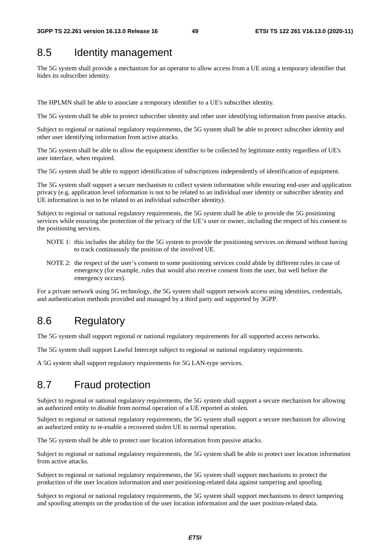## 8.5 Identity management

The 5G system shall provide a mechanism for an operator to allow access from a UE using a temporary identifier that hides its subscriber identity.

The HPLMN shall be able to associate a temporary identifier to a UE's subscriber identity.

The 5G system shall be able to protect subscriber identity and other user identifying information from passive attacks.

Subject to regional or national regulatory requirements, the 5G system shall be able to protect subscriber identity and other user identifying information from active attacks.

The 5G system shall be able to allow the equipment identifier to be collected by legitimate entity regardless of UE's user interface, when required.

The 5G system shall be able to support identification of subscriptions independently of identification of equipment.

The 5G system shall support a secure mechanism to collect system information while ensuring end-user and application privacy (e.g. application level information is not to be related to an individual user identity or subscriber identity and UE information is not to be related to an individual subscriber identity).

Subject to regional or national regulatory requirements, the 5G system shall be able to provide the 5G positioning services while ensuring the protection of the privacy of the UE's user or owner, including the respect of his consent to the positioning services.

- NOTE 1: this includes the ability for the 5G system to provide the positioning services on demand without having to track continuously the position of the involved UE.
- NOTE 2: the respect of the user's consent to some positioning services could abide by different rules in case of emergency (for example, rules that would also receive consent from the user, but well before the emergency occurs).

For a private network using 5G technology, the 5G system shall support network access using identities, credentials, and authentication methods provided and managed by a third party and supported by 3GPP.

## 8.6 Regulatory

The 5G system shall support regional or national regulatory requirements for all supported access networks.

The 5G system shall support Lawful Intercept subject to regional or national regulatory requirements.

A 5G system shall support regulatory requirements for 5G LAN-type services.

## 8.7 Fraud protection

Subject to regional or national regulatory requirements, the 5G system shall support a secure mechanism for allowing an authorized entity to disable from normal operation of a UE reported as stolen.

Subject to regional or national regulatory requirements, the 5G system shall support a secure mechanism for allowing an authorized entity to re-enable a recovered stolen UE to normal operation.

The 5G system shall be able to protect user location information from passive attacks.

Subject to regional or national regulatory requirements, the 5G system shall be able to protect user location information from active attacks.

Subject to regional or national regulatory requirements, the 5G system shall support mechanisms to protect the production of the user location information and user positioning-related data against tampering and spoofing.

Subject to regional or national regulatory requirements, the 5G system shall support mechanisms to detect tampering and spoofing attempts on the production of the user location information and the user position-related data.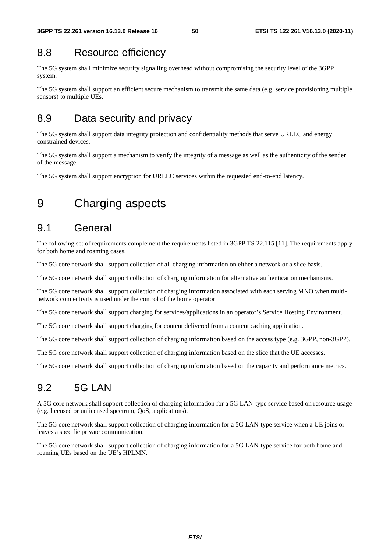## 8.8 Resource efficiency

The 5G system shall minimize security signalling overhead without compromising the security level of the 3GPP system.

The 5G system shall support an efficient secure mechanism to transmit the same data (e.g. service provisioning multiple sensors) to multiple UEs.

## 8.9 Data security and privacy

The 5G system shall support data integrity protection and confidentiality methods that serve URLLC and energy constrained devices.

The 5G system shall support a mechanism to verify the integrity of a message as well as the authenticity of the sender of the message.

The 5G system shall support encryption for URLLC services within the requested end-to-end latency.

## 9 Charging aspects

## 9.1 General

The following set of requirements complement the requirements listed in 3GPP TS 22.115 [11]. The requirements apply for both home and roaming cases.

The 5G core network shall support collection of all charging information on either a network or a slice basis.

The 5G core network shall support collection of charging information for alternative authentication mechanisms.

The 5G core network shall support collection of charging information associated with each serving MNO when multinetwork connectivity is used under the control of the home operator.

The 5G core network shall support charging for services/applications in an operator's Service Hosting Environment.

The 5G core network shall support charging for content delivered from a content caching application.

The 5G core network shall support collection of charging information based on the access type (e.g. 3GPP, non-3GPP).

The 5G core network shall support collection of charging information based on the slice that the UE accesses.

The 5G core network shall support collection of charging information based on the capacity and performance metrics.

## 9.2 5G LAN

A 5G core network shall support collection of charging information for a 5G LAN-type service based on resource usage (e.g. licensed or unlicensed spectrum, QoS, applications).

The 5G core network shall support collection of charging information for a 5G LAN-type service when a UE joins or leaves a specific private communication.

The 5G core network shall support collection of charging information for a 5G LAN-type service for both home and roaming UEs based on the UE's HPLMN.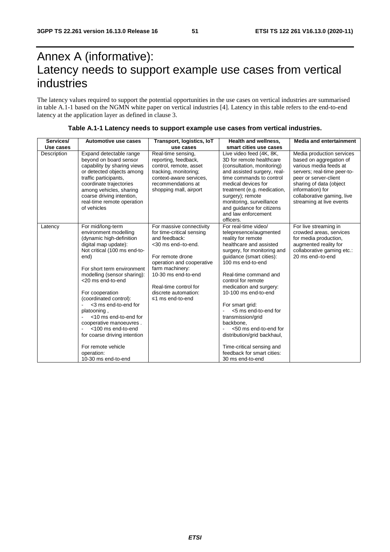# Annex A (informative): Latency needs to support example use cases from vertical industries

The latency values required to support the potential opportunities in the use cases on vertical industries are summarised in table A.1-1 based on the NGMN white paper on vertical industries [4]. Latency in this table refers to the end-to-end latency at the application layer as defined in clause 3.

| Services/   | Automotive use cases                                                                                                                                                                                                                                                                                                                                                                                                                                                              | Transport, logistics, IoT                                                                                                                                                                                                                                    | <b>Health and wellness.</b>                                                                                                                                                                                                                                                                                                                                                                                                                                                                           | <b>Media and entertainment</b>                                                                                                                                                                                                                  |
|-------------|-----------------------------------------------------------------------------------------------------------------------------------------------------------------------------------------------------------------------------------------------------------------------------------------------------------------------------------------------------------------------------------------------------------------------------------------------------------------------------------|--------------------------------------------------------------------------------------------------------------------------------------------------------------------------------------------------------------------------------------------------------------|-------------------------------------------------------------------------------------------------------------------------------------------------------------------------------------------------------------------------------------------------------------------------------------------------------------------------------------------------------------------------------------------------------------------------------------------------------------------------------------------------------|-------------------------------------------------------------------------------------------------------------------------------------------------------------------------------------------------------------------------------------------------|
| Use cases   |                                                                                                                                                                                                                                                                                                                                                                                                                                                                                   | use cases                                                                                                                                                                                                                                                    | smart cities use cases                                                                                                                                                                                                                                                                                                                                                                                                                                                                                |                                                                                                                                                                                                                                                 |
| Description | Expand detectable range<br>beyond on board sensor<br>capability by sharing views<br>or detected objects among<br>traffic participants,<br>coordinate trajectories<br>among vehicles, sharing<br>coarse driving intention,<br>real-time remote operation<br>of vehicles                                                                                                                                                                                                            | Real-time sensing,<br>reporting, feedback,<br>control, remote, asset<br>tracking, monitoring;<br>context-aware services.<br>recommendations at<br>shopping mall, airport                                                                                     | Live video feed (4K, 8K,<br>3D for remote healthcare<br>(consultation, monitoring)<br>and assisted surgery, real-<br>time commands to control<br>medical devices for<br>treatment (e.g. medication,<br>surgery); remote<br>monitoring, surveillance<br>and quidance for citizens<br>and law enforcement<br>officers.                                                                                                                                                                                  | Media production services<br>based on aggregation of<br>various media feeds at<br>servers; real-time peer-to-<br>peer or server-client<br>sharing of data (object<br>information) for<br>collaborative gaming, live<br>streaming at live events |
| Latency     | For mid/long-term<br>environment modelling<br>(dynamic high-definition<br>digital map update):<br>Not critical (100 ms end-to-<br>end)<br>For short term environment<br>modelling (sensor sharing):<br><20 ms end-to-end<br>For cooperation<br>(coordinated control):<br><3 ms end-to-end for<br>platooning,<br><10 ms end-to-end for<br>cooperative manoeuvres.<br><100 ms end-to-end<br>for coarse driving intention<br>For remote vehicle<br>operation:<br>10-30 ms end-to-end | For massive connectivity<br>for time-critical sensing<br>and feedback:<br><30 ms end-to-end.<br>For remote drone<br>operation and cooperative<br>farm machinery:<br>10-30 ms end-to-end<br>Real-time control for<br>discrete automation:<br>≤1 ms end-to-end | For real-time video/<br>telepresence/augmented<br>reality for remote<br>healthcare and assisted<br>surgery, for monitoring and<br>guidance (smart cities):<br>100 ms end-to-end<br>Real-time command and<br>control for remote<br>medication and surgery:<br>10-100 ms end-to-end<br>For smart grid:<br><5 ms end-to-end for<br>transmission/grid<br>backbone.<br><50 ms end-to-end for<br>distribution/grid backhaul,<br>Time-critical sensing and<br>feedback for smart cities:<br>30 ms end-to-end | For live streaming in<br>crowded areas, services<br>for media production,<br>augmented reality for<br>collaborative gaming etc.:<br>20 ms end-to-end                                                                                            |

#### **Table A.1-1 Latency needs to support example use cases from vertical industries.**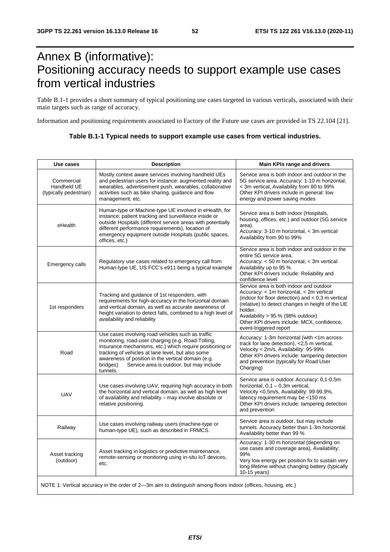## Annex B (informative): Positioning accuracy needs to support example use cases from vertical industries

Table B.1-1 provides a short summary of typical positioning use cases targeted in various verticals, associated with their main targets such as range of accuracy.

Information and positioning requirements associated to Factory of the Future use cases are provided in TS 22.104 [21].

| Table B.1-1 Typical needs to support example use cases from vertical industries. |
|----------------------------------------------------------------------------------|
|                                                                                  |

| Use cases                                           | <b>Description</b>                                                                                                                                                                                                                                                                                                                                 | Main KPIs range and drivers                                                                                                                                                                                                                                                                                             |
|-----------------------------------------------------|----------------------------------------------------------------------------------------------------------------------------------------------------------------------------------------------------------------------------------------------------------------------------------------------------------------------------------------------------|-------------------------------------------------------------------------------------------------------------------------------------------------------------------------------------------------------------------------------------------------------------------------------------------------------------------------|
| Commercial<br>Handheld UE<br>(typically pedestrian) | Mostly context aware services involving handheld UEs<br>and pedestrian users for instance: augmented reality and<br>wearables, advertisement push, wearables, collaborative<br>activities such as bike sharing, guidance and flow<br>management, etc.                                                                                              | Service area is both indoor and outdoor in the<br>5G service area. Accuracy: 1-10 m horizontal,<br>< 3m vertical, Availability from 80 to 99%<br>Other KPI drivers include in general: low<br>energy and power saving modes                                                                                             |
| eHealth                                             | Human-type or Machine-type UE involved in eHealth, for<br>instance: patient tracking and surveillance inside or<br>outside Hospitals (different service areas with potentially<br>different performance requirements), location of<br>emergency equipment outside Hospitals (public spaces,<br>offices, etc.)                                      | Service area is both indoor (Hospitals,<br>housing, offices, etc.) and outdoor (5G service<br>area).<br>Accuracy: 3-10 m horizontal, < 3m vertical<br>Availability from 90 to 99%                                                                                                                                       |
| Emergency calls                                     | Regulatory use cases related to emergency call from<br>Human-type UE, US FCC's e911 being a typical example                                                                                                                                                                                                                                        | Service area is both indoor and outdoor in the<br>entire 5G service area.<br>Accuracy: < 50 m horizontal, < 3m vertical<br>Availability up to 95 %<br>Other KPI drivers include: Reliability and<br>confidence level                                                                                                    |
| 1st responders                                      | Tracking and guidance of 1st responders, with<br>requirements for high-accuracy in the horizontal domain<br>and vertical domain, as well as accurate awareness of<br>height variation to detect falls, combined to a high level of<br>availability and reliability                                                                                 | Service area is both indoor and outdoor<br>Accuracy: < 1m horizontal, < 2m vertical<br>(indoor for floor detection) and $< 0.3$ m vertical<br>(relative) to detect changes in height of the UE<br>holder.<br>Availability > 95 % (98% outdoor)<br>Other KPI drivers include: MCX, confidence,<br>event-triggered report |
| Road                                                | Use cases involving road vehicles such as traffic<br>monitoring, road-user charging (e.g. Road-Tolling,<br>insurance mechanisms, etc.) which require positioning or<br>tracking of vehicles at lane level, but also some<br>awareness of position in the vertical domain (e.g.<br>Service area is outdoor, but may include<br>bridges)<br>tunnels. | Accuracy: 1-3m horizontal (with <1m across-<br>track for lane detection), <2,5 m vertical,<br>Velocity < 2m/s, Availability: 95-99%<br>Other KPI drivers include: tampering detection<br>and prevention (typically for Road User<br>Charging)                                                                           |
| <b>UAV</b>                                          | Use cases involving UAV, requiring high accuracy in both<br>the horizontal and vertical domain, as well as high level<br>of availability and reliability - may involve absolute or<br>relative positioning.                                                                                                                                        | Service area is outdoor. Accuracy: 0,1-0,5m<br>horizontal, $0,1 - 0,3m$ vertical,<br>Velocity <0,5m/s, Availability: 99-99,9%,<br>latency requirement may be <150 ms<br>Other KPI drivers include: tampering detection<br>and prevention                                                                                |
| Railway                                             | Use cases involving railway users (machine-type or<br>human-type UE), such as described in FRMCS.                                                                                                                                                                                                                                                  | Service area is outdoor, but may include<br>tunnels. Accuracy better than 1-3m horizontal.<br>Availability better than 99 %                                                                                                                                                                                             |
| Asset tracking<br>(outdoor)                         | Asset tracking in logistics or predictive maintenance,<br>remote-sensing or monitoring using in-situ IoT devices,<br>etc.                                                                                                                                                                                                                          | Accuracy: 1-30 m horizontal (depending on<br>use cases and coverage area), Availability:<br>99%<br>Very low energy per position fix to sustain very<br>long lifetime without changing battery (typically<br>10-15 years)                                                                                                |
|                                                     | NOTE 1: Vertical accuracy in the order of 2-3m aim to distinguish among floors indoor (offices, housing, etc.)                                                                                                                                                                                                                                     |                                                                                                                                                                                                                                                                                                                         |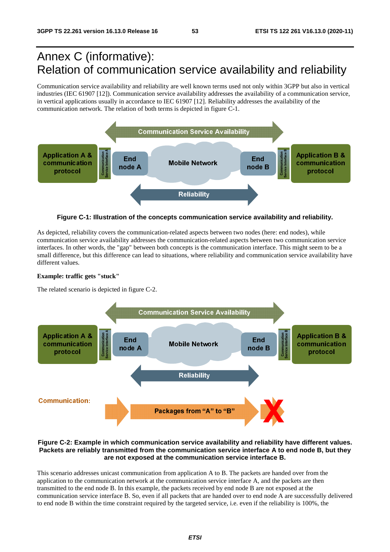# Annex C (informative): Relation of communication service availability and reliability

Communication service availability and reliability are well known terms used not only within 3GPP but also in vertical industries (IEC 61907 [12]). Communication service availability addresses the availability of a communication service, in vertical applications usually in accordance to IEC 61907 [12]. Reliability addresses the availability of the communication network. The relation of both terms is depicted in figure C-1.



**Figure C-1: Illustration of the concepts communication service availability and reliability.** 

As depicted, reliability covers the communication-related aspects between two nodes (here: end nodes), while communication service availability addresses the communication-related aspects between two communication service interfaces. In other words, the "gap" between both concepts is the communication interface. This might seem to be a small difference, but this difference can lead to situations, where reliability and communication service availability have different values.

#### **Example: traffic gets "stuck"**

The related scenario is depicted in figure C-2.



#### **Figure C-2: Example in which communication service availability and reliability have different values. Packets are reliably transmitted from the communication service interface A to end node B, but they are not exposed at the communication service interface B.**

This scenario addresses unicast communication from application A to B. The packets are handed over from the application to the communication network at the communication service interface A, and the packets are then transmitted to the end node B. In this example, the packets received by end node B are not exposed at the communication service interface B. So, even if all packets that are handed over to end node A are successfully delivered to end node B within the time constraint required by the targeted service, i.e. even if the reliability is 100%, the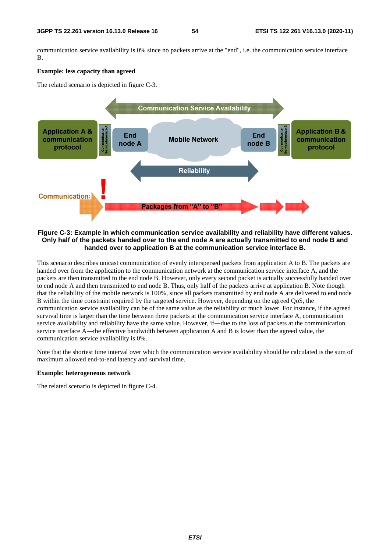communication service availability is 0% since no packets arrive at the "end", i.e. the communication service interface B.

#### **Example: less capacity than agreed**

The related scenario is depicted in figure C-3.



#### **Figure C-3: Example in which communication service availability and reliability have different values. Only half of the packets handed over to the end node A are actually transmitted to end node B and handed over to application B at the communication service interface B.**

This scenario describes unicast communication of evenly interspersed packets from application A to B. The packets are handed over from the application to the communication network at the communication service interface A, and the packets are then transmitted to the end node B. However, only every second packet is actually successfully handed over to end node A and then transmitted to end node B. Thus, only half of the packets arrive at application B. Note though that the reliability of the mobile network is 100%, since all packets transmitted by end node A are delivered to end node B within the time constraint required by the targeted service. However, depending on the agreed QoS, the communication service availability can be of the same value as the reliability or much lower. For instance, if the agreed survival time is larger than the time between three packets at the communication service interface A, communication service availability and reliability have the same value. However, if―due to the loss of packets at the communication service interface A—the effective bandwidth between application A and B is lower than the agreed value, the communication service availability is 0%.

Note that the shortest time interval over which the communication service availability should be calculated is the sum of maximum allowed end-to-end latency and survival time.

#### **Example: heterogeneous network**

The related scenario is depicted in figure C-4.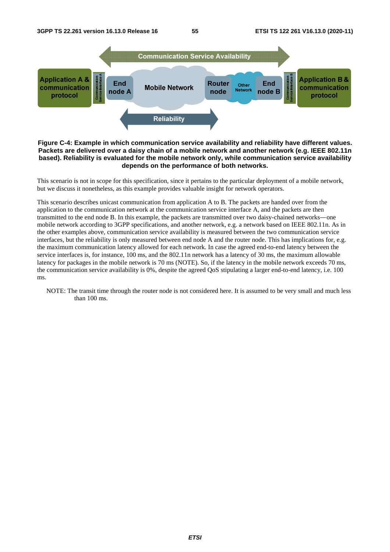

#### **Figure C-4: Example in which communication service availability and reliability have different values. Packets are delivered over a daisy chain of a mobile network and another network (e.g. IEEE 802.11n based). Reliability is evaluated for the mobile network only, while communication service availability depends on the performance of both networks.**

This scenario is not in scope for this specification, since it pertains to the particular deployment of a mobile network, but we discuss it nonetheless, as this example provides valuable insight for network operators.

This scenario describes unicast communication from application A to B. The packets are handed over from the application to the communication network at the communication service interface A, and the packets are then transmitted to the end node B. In this example, the packets are transmitted over two daisy-chained networks―one mobile network according to 3GPP specifications, and another network, e.g. a network based on IEEE 802.11n. As in the other examples above, communication service availability is measured between the two communication service interfaces, but the reliability is only measured between end node A and the router node. This has implications for, e.g. the maximum communication latency allowed for each network. In case the agreed end-to-end latency between the service interfaces is, for instance, 100 ms, and the 802.11n network has a latency of 30 ms, the maximum allowable latency for packages in the mobile network is 70 ms (NOTE). So, if the latency in the mobile network exceeds 70 ms, the communication service availability is 0%, despite the agreed QoS stipulating a larger end-to-end latency, i.e. 100 ms.

NOTE: The transit time through the router node is not considered here. It is assumed to be very small and much less than 100 ms.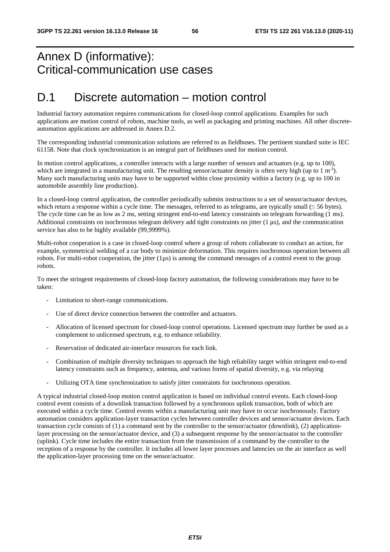## Annex D (informative): Critical-communication use cases

## D.1 Discrete automation – motion control

Industrial factory automation requires communications for closed-loop control applications. Examples for such applications are motion control of robots, machine tools, as well as packaging and printing machines. All other discreteautomation applications are addressed in Annex D.2.

The corresponding industrial communication solutions are referred to as fieldbuses. The pertinent standard suite is IEC 61158. Note that clock synchronization is an integral part of fieldbuses used for motion control.

In motion control applications, a controller interacts with a large number of sensors and actuators (e.g. up to 100), which are integrated in a manufacturing unit. The resulting sensor/actuator density is often very high (up to  $1 \text{ m}^{-3}$ ). Many such manufacturing units may have to be supported within close proximity within a factory (e.g. up to 100 in automobile assembly line production).

In a closed-loop control application, the controller periodically submits instructions to a set of sensor/actuator devices, which return a response within a cycle time. The messages, referred to as telegrams, are typically small  $(\leq 56$  bytes). The cycle time can be as low as 2 ms, setting stringent end-to-end latency constraints on telegram forwarding (1 ms). Additional constraints on isochronous telegram delivery add tight constraints on jitter  $(1 \mu s)$ , and the communication service has also to be highly available (99,9999%).

Multi-robot cooperation is a case in closed-loop control where a group of robots collaborate to conduct an action, for example, symmetrical welding of a car body to minimize deformation. This requires isochronous operation between all robots. For multi-robot cooperation, the jitter  $(1\mu s)$  is among the command messages of a control event to the group robots.

To meet the stringent requirements of closed-loop factory automation, the following considerations may have to be taken:

- Limitation to short-range communications.
- Use of direct device connection between the controller and actuators.
- Allocation of licensed spectrum for closed-loop control operations. Licensed spectrum may further be used as a complement to unlicensed spectrum, e.g. to enhance reliability.
- Reservation of dedicated air-interface resources for each link.
- Combination of multiple diversity techniques to approach the high reliability target within stringent end-to-end latency constraints such as frequency, antenna, and various forms of spatial diversity, e.g. via relaying
- Utilizing OTA time synchronization to satisfy jitter constraints for isochronous operation.

A typical industrial closed-loop motion control application is based on individual control events. Each closed-loop control event consists of a downlink transaction followed by a synchronous uplink transaction, both of which are executed within a cycle time. Control events within a manufacturing unit may have to occur isochronously. Factory automation considers application-layer transaction cycles between controller devices and sensor/actuator devices. Each transaction cycle consists of (1) a command sent by the controller to the sensor/actuator (downlink), (2) applicationlayer processing on the sensor/actuator device, and (3) a subsequent response by the sensor/actuator to the controller (uplink). Cycle time includes the entire transaction from the transmission of a command by the controller to the reception of a response by the controller. It includes all lower layer processes and latencies on the air interface as well the application-layer processing time on the sensor/actuator.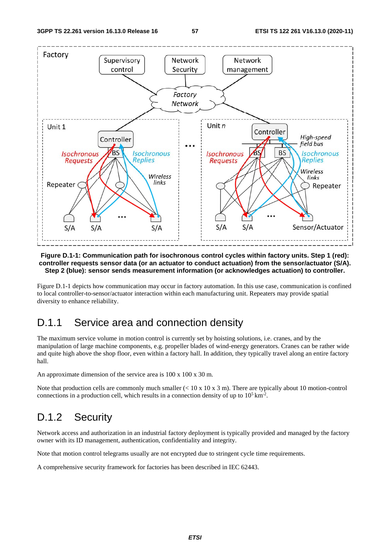

#### **Figure D.1-1: Communication path for isochronous control cycles within factory units. Step 1 (red): controller requests sensor data (or an actuator to conduct actuation) from the sensor/actuator (S/A). Step 2 (blue): sensor sends measurement information (or acknowledges actuation) to controller.**

Figure D.1-1 depicts how communication may occur in factory automation. In this use case, communication is confined to local controller-to-sensor/actuator interaction within each manufacturing unit. Repeaters may provide spatial diversity to enhance reliability.

## D.1.1 Service area and connection density

The maximum service volume in motion control is currently set by hoisting solutions, i.e. cranes, and by the manipulation of large machine components, e.g. propeller blades of wind-energy generators. Cranes can be rather wide and quite high above the shop floor, even within a factory hall. In addition, they typically travel along an entire factory hall.

An approximate dimension of the service area is 100 x 100 x 30 m.

Note that production cells are commonly much smaller  $(< 10 \times 10 \times 3 \text{ m})$ . There are typically about 10 motion-control connections in a production cell, which results in a connection density of up to  $10^5 \text{ km}^2$ .

## D.1.2 Security

Network access and authorization in an industrial factory deployment is typically provided and managed by the factory owner with its ID management, authentication, confidentiality and integrity.

Note that motion control telegrams usually are not encrypted due to stringent cycle time requirements.

A comprehensive security framework for factories has been described in IEC 62443.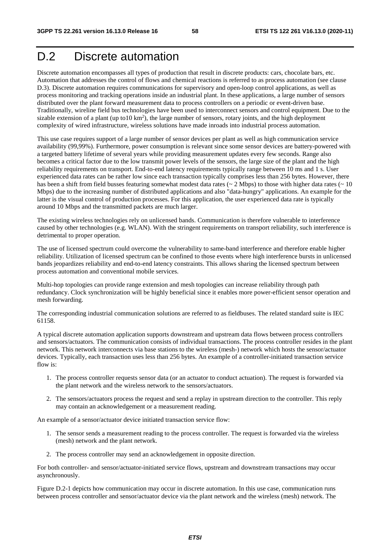## D.2 Discrete automation

Discrete automation encompasses all types of production that result in discrete products: cars, chocolate bars, etc. Automation that addresses the control of flows and chemical reactions is referred to as process automation (see clause D.3). Discrete automation requires communications for supervisory and open-loop control applications, as well as process monitoring and tracking operations inside an industrial plant. In these applications, a large number of sensors distributed over the plant forward measurement data to process controllers on a periodic or event-driven base. Traditionally, wireline field bus technologies have been used to interconnect sensors and control equipment. Due to the sizable extension of a plant (up to  $10 \text{ km}^2$ ), the large number of sensors, rotary joints, and the high deployment complexity of wired infrastructure, wireless solutions have made inroads into industrial process automation.

This use case requires support of a large number of sensor devices per plant as well as high communication service availability (99,99%). Furthermore, power consumption is relevant since some sensor devices are battery-powered with a targeted battery lifetime of several years while providing measurement updates every few seconds. Range also becomes a critical factor due to the low transmit power levels of the sensors, the large size of the plant and the high reliability requirements on transport. End-to-end latency requirements typically range between 10 ms and 1 s. User experienced data rates can be rather low since each transaction typically comprises less than 256 bytes. However, there has been a shift from field busses featuring somewhat modest data rates ( $\sim 2$  Mbps) to those with higher data rates ( $\sim 10$ Mbps) due to the increasing number of distributed applications and also "data-hungry" applications. An example for the latter is the visual control of production processes. For this application, the user experienced data rate is typically around 10 Mbps and the transmitted packets are much larger.

The existing wireless technologies rely on unlicensed bands. Communication is therefore vulnerable to interference caused by other technologies (e.g. WLAN). With the stringent requirements on transport reliability, such interference is detrimental to proper operation.

The use of licensed spectrum could overcome the vulnerability to same-band interference and therefore enable higher reliability. Utilization of licensed spectrum can be confined to those events where high interference bursts in unlicensed bands jeopardizes reliability and end-to-end latency constraints. This allows sharing the licensed spectrum between process automation and conventional mobile services.

Multi-hop topologies can provide range extension and mesh topologies can increase reliability through path redundancy. Clock synchronization will be highly beneficial since it enables more power-efficient sensor operation and mesh forwarding.

The corresponding industrial communication solutions are referred to as fieldbuses. The related standard suite is IEC 61158.

A typical discrete automation application supports downstream and upstream data flows between process controllers and sensors/actuators. The communication consists of individual transactions. The process controller resides in the plant network. This network interconnects via base stations to the wireless (mesh-) network which hosts the sensor/actuator devices. Typically, each transaction uses less than 256 bytes. An example of a controller-initiated transaction service flow is:

- 1. The process controller requests sensor data (or an actuator to conduct actuation). The request is forwarded via the plant network and the wireless network to the sensors/actuators.
- 2. The sensors/actuators process the request and send a replay in upstream direction to the controller. This reply may contain an acknowledgement or a measurement reading.

An example of a sensor/actuator device initiated transaction service flow:

- 1. The sensor sends a measurement reading to the process controller. The request is forwarded via the wireless (mesh) network and the plant network.
- 2. The process controller may send an acknowledgement in opposite direction.

For both controller- and sensor/actuator-initiated service flows, upstream and downstream transactions may occur asynchronously.

Figure D.2-1 depicts how communication may occur in discrete automation. In this use case, communication runs between process controller and sensor/actuator device via the plant network and the wireless (mesh) network. The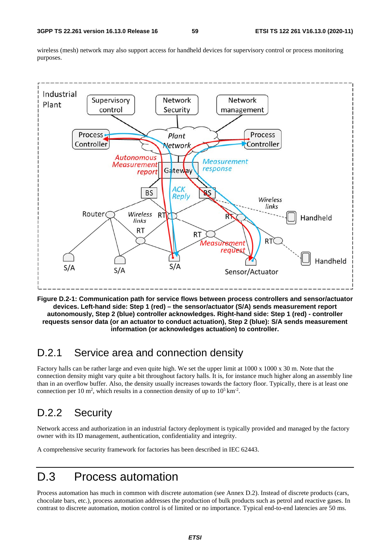wireless (mesh) network may also support access for handheld devices for supervisory control or process monitoring purposes.



**Figure D.2-1: Communication path for service flows between process controllers and sensor/actuator devices. Left-hand side: Step 1 (red) – the sensor/actuator (S/A) sends measurement report autonomously, Step 2 (blue) controller acknowledges. Right-hand side: Step 1 (red) - controller requests sensor data (or an actuator to conduct actuation), Step 2 (blue): S/A sends measurement information (or acknowledges actuation) to controller.** 

## D.2.1 Service area and connection density

Factory halls can be rather large and even quite high. We set the upper limit at 1000 x 1000 x 30 m. Note that the connection density might vary quite a bit throughout factory halls. It is, for instance much higher along an assembly line than in an overflow buffer. Also, the density usually increases towards the factory floor. Typically, there is at least one connection per 10 m<sup>2</sup>, which results in a connection density of up to  $10^5 \text{ km}^2$ .

## D.2.2 Security

Network access and authorization in an industrial factory deployment is typically provided and managed by the factory owner with its ID management, authentication, confidentiality and integrity.

A comprehensive security framework for factories has been described in IEC 62443.

## D.3 Process automation

Process automation has much in common with discrete automation (see Annex D.2). Instead of discrete products (cars, chocolate bars, etc.), process automation addresses the production of bulk products such as petrol and reactive gases. In contrast to discrete automation, motion control is of limited or no importance. Typical end-to-end latencies are 50 ms.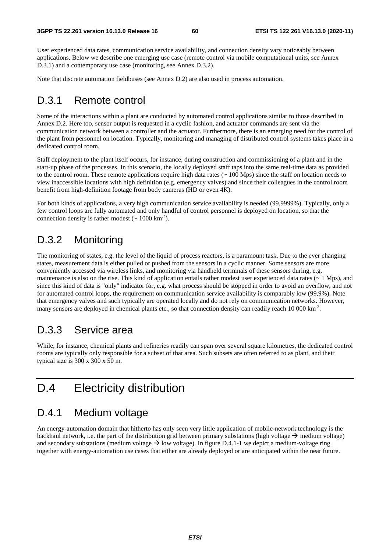User experienced data rates, communication service availability, and connection density vary noticeably between applications. Below we describe one emerging use case (remote control via mobile computational units, see Annex D.3.1) and a contemporary use case (monitoring, see Annex D.3.2).

Note that discrete automation fieldbuses (see Annex D.2) are also used in process automation.

## D.3.1 Remote control

Some of the interactions within a plant are conducted by automated control applications similar to those described in Annex D.2. Here too, sensor output is requested in a cyclic fashion, and actuator commands are sent via the communication network between a controller and the actuator. Furthermore, there is an emerging need for the control of the plant from personnel on location. Typically, monitoring and managing of distributed control systems takes place in a dedicated control room.

Staff deployment to the plant itself occurs, for instance, during construction and commissioning of a plant and in the start-up phase of the processes. In this scenario, the locally deployed staff taps into the same real-time data as provided to the control room. These remote applications require high data rates ( $\sim 100$  Mps) since the staff on location needs to view inaccessible locations with high definition (e.g. emergency valves) and since their colleagues in the control room benefit from high-definition footage from body cameras (HD or even 4K).

For both kinds of applications, a very high communication service availability is needed (99,9999%). Typically, only a few control loops are fully automated and only handful of control personnel is deployed on location, so that the connection density is rather modest  $({\sim 1000 \text{ km}^{-2}})$ .

## D.3.2 Monitoring

The monitoring of states, e.g. the level of the liquid of process reactors, is a paramount task. Due to the ever changing states, measurement data is either pulled or pushed from the sensors in a cyclic manner. Some sensors are more conveniently accessed via wireless links, and monitoring via handheld terminals of these sensors during, e.g. maintenance is also on the rise. This kind of application entails rather modest user experienced data rates  $(~ 1 \text{ Mps})$ , and since this kind of data is "only" indicator for, e.g. what process should be stopped in order to avoid an overflow, and not for automated control loops, the requirement on communication service availability is comparably low (99,9%). Note that emergency valves and such typically are operated locally and do not rely on communication networks. However, many sensors are deployed in chemical plants etc., so that connection density can readily reach 10 000 km<sup>-2</sup>.

## D.3.3 Service area

While, for instance, chemical plants and refineries readily can span over several square kilometres, the dedicated control rooms are typically only responsible for a subset of that area. Such subsets are often referred to as plant, and their typical size is 300 x 300 x 50 m.

## D.4 Electricity distribution

### D.4.1 Medium voltage

An energy-automation domain that hitherto has only seen very little application of mobile-network technology is the backhaul network, i.e. the part of the distribution grid between primary substations (high voltage  $\rightarrow$  medium voltage) and secondary substations (medium voltage  $\rightarrow$  low voltage). In figure D.4.1-1 we depict a medium-voltage ring together with energy-automation use cases that either are already deployed or are anticipated within the near future.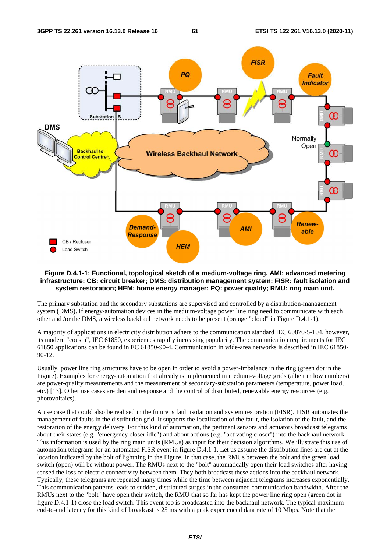

#### **Figure D.4.1-1: Functional, topological sketch of a medium-voltage ring. AMI: advanced metering infrastructure; CB: circuit breaker; DMS: distribution management system; FISR: fault isolation and system restoration; HEM: home energy manager; PQ: power quality; RMU: ring main unit.**

The primary substation and the secondary substations are supervised and controlled by a distribution-management system (DMS). If energy-automation devices in the medium-voltage power line ring need to communicate with each other and /or the DMS, a wireless backhaul network needs to be present (orange "cloud" in Figure D.4.1-1).

A majority of applications in electricity distribution adhere to the communication standard IEC 60870-5-104, however, its modern "cousin", IEC 61850, experiences rapidly increasing popularity. The communication requirements for IEC 61850 applications can be found in EC 61850-90-4. Communication in wide-area networks is described in IEC 61850- 90-12.

Usually, power line ring structures have to be open in order to avoid a power-imbalance in the ring (green dot in the Figure). Examples for energy-automation that already is implemented in medium-voltage grids (albeit in low numbers) are power-quality measurements and the measurement of secondary-substation parameters (temperature, power load, etc.) [13]. Other use cases are demand response and the control of distributed, renewable energy resources (e.g. photovoltaics).

A use case that could also be realised in the future is fault isolation and system restoration (FISR). FISR automates the management of faults in the distribution grid. It supports the localization of the fault, the isolation of the fault, and the restoration of the energy delivery. For this kind of automation, the pertinent sensors and actuators broadcast telegrams about their states (e.g. "emergency closer idle") and about actions (e.g. "activating closer") into the backhaul network. This information is used by the ring main units (RMUs) as input for their decision algorithms. We illustrate this use of automation telegrams for an automated FISR event in figure D.4.1-1. Let us assume the distribution lines are cut at the location indicated by the bolt of lightning in the Figure. In that case, the RMUs between the bolt and the green load switch (open) will be without power. The RMUs next to the "bolt" automatically open their load switches after having sensed the loss of electric connectivity between them. They both broadcast these actions into the backhaul network. Typically, these telegrams are repeated many times while the time between adjacent telegrams increases exponentially. This communication patterns leads to sudden, distributed surges in the consumed communication bandwidth. After the RMUs next to the "bolt" have open their switch, the RMU that so far has kept the power line ring open (green dot in figure D.4.1-1) close the load switch. This event too is broadcasted into the backhaul network. The typical maximum end-to-end latency for this kind of broadcast is 25 ms with a peak experienced data rate of 10 Mbps. Note that the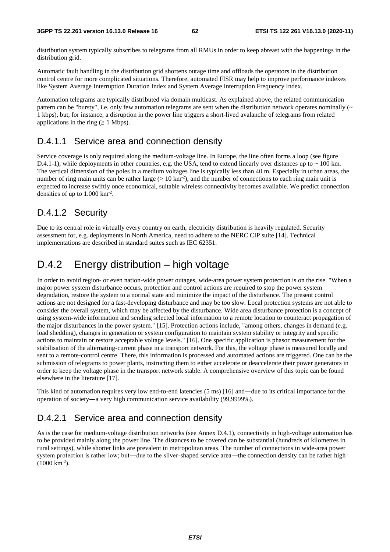distribution system typically subscribes to telegrams from all RMUs in order to keep abreast with the happenings in the distribution grid.

Automatic fault handling in the distribution grid shortens outage time and offloads the operators in the distribution control centre for more complicated situations. Therefore, automated FISR may help to improve performance indexes like System Average Interruption Duration Index and System Average Interruption Frequency Index.

Automation telegrams are typically distributed via domain multicast. As explained above, the related communication pattern can be "bursty", i.e. only few automation telegrams are sent when the distribution network operates nominally  $(\sim$ 1 kbps), but, for instance, a disruption in the power line triggers a short-lived avalanche of telegrams from related applications in the ring ( $\geq 1$  Mbps).

### D.4.1.1 Service area and connection density

Service coverage is only required along the medium-voltage line. In Europe, the line often forms a loop (see figure D.4.1-1), while deployments in other countries, e.g. the USA, tend to extend linearly over distances up to  $\sim 100$  km. The vertical dimension of the poles in a medium voltages line is typically less than 40 m. Especially in urban areas, the number of ring main units can be rather large ( $> 10 \text{ km}^2$ ), and the number of connections to each ring main unit is expected to increase swiftly once economical, suitable wireless connectivity becomes available. We predict connection densities of up to  $1.000 \text{ km}^2$ .

### D.4.1.2 Security

Due to its central role in virtually every country on earth, electricity distribution is heavily regulated. Security assessment for, e.g. deployments in North America, need to adhere to the NERC CIP suite [14]. Technical implementations are described in standard suites such as IEC 62351.

## D.4.2 Energy distribution – high voltage

In order to avoid region- or even nation-wide power outages, wide-area power system protection is on the rise. "When a major power system disturbance occurs, protection and control actions are required to stop the power system degradation, restore the system to a normal state and minimize the impact of the disturbance. The present control actions are not designed for a fast-developing disturbance and may be too slow. Local protection systems are not able to consider the overall system, which may be affected by the disturbance. Wide area disturbance protection is a concept of using system-wide information and sending selected local information to a remote location to counteract propagation of the major disturbances in the power system." [15]. Protection actions include, "among others, changes in demand (e.g. load shedding), changes in generation or system configuration to maintain system stability or integrity and specific actions to maintain or restore acceptable voltage levels." [16]. One specific application is phasor measurement for the stabilisation of the alternating-current phase in a transport network. For this, the voltage phase is measured locally and sent to a remote-control centre. There, this information is processed and automated actions are triggered. One can be the submission of telegrams to power plants, instructing them to either accelerate or deaccelerate their power generators in order to keep the voltage phase in the transport network stable. A comprehensive overview of this topic can be found elsewhere in the literature [17].

This kind of automation requires very low end-to-end latencies (5 ms) [16] and—due to its critical importance for the operation of society―a very high communication service availability (99,9999%).

### D.4.2.1 Service area and connection density

As is the case for medium-voltage distribution networks (see Annex D.4.1), connectivity in high-voltage automation has to be provided mainly along the power line. The distances to be covered can be substantial (hundreds of kilometres in rural settings), while shorter links are prevalent in metropolitan areas. The number of connections in wide-area power system protection is rather low; but—due to the sliver-shaped service area—the connection density can be rather high (1000 km<sup>-2</sup>).<br>(1000 km<sup>-2</sup>).  $(1000 \text{ km}^{-2})$ .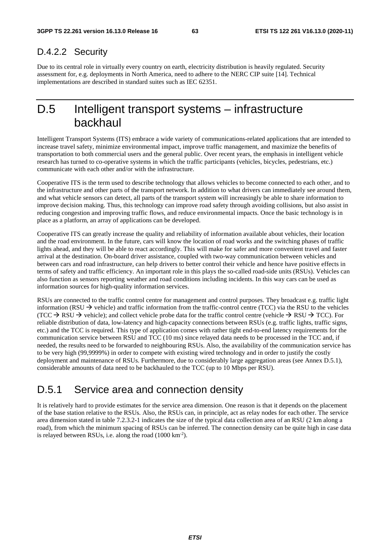### D.4.2.2 Security

Due to its central role in virtually every country on earth, electricity distribution is heavily regulated. Security assessment for, e.g. deployments in North America, need to adhere to the NERC CIP suite [14]. Technical implementations are described in standard suites such as IEC 62351.

## D.5 Intelligent transport systems – infrastructure backhaul

Intelligent Transport Systems (ITS) embrace a wide variety of communications-related applications that are intended to increase travel safety, minimize environmental impact, improve traffic management, and maximize the benefits of transportation to both commercial users and the general public. Over recent years, the emphasis in intelligent vehicle research has turned to co-operative systems in which the traffic participants (vehicles, bicycles, pedestrians, etc.) communicate with each other and/or with the infrastructure.

Cooperative ITS is the term used to describe technology that allows vehicles to become connected to each other, and to the infrastructure and other parts of the transport network. In addition to what drivers can immediately see around them, and what vehicle sensors can detect, all parts of the transport system will increasingly be able to share information to improve decision making. Thus, this technology can improve road safety through avoiding collisions, but also assist in reducing congestion and improving traffic flows, and reduce environmental impacts. Once the basic technology is in place as a platform, an array of applications can be developed.

Cooperative ITS can greatly increase the quality and reliability of information available about vehicles, their location and the road environment. In the future, cars will know the location of road works and the switching phases of traffic lights ahead, and they will be able to react accordingly. This will make for safer and more convenient travel and faster arrival at the destination. On-board driver assistance, coupled with two-way communication between vehicles and between cars and road infrastructure, can help drivers to better control their vehicle and hence have positive effects in terms of safety and traffic efficiency. An important role in this plays the so-called road-side units (RSUs). Vehicles can also function as sensors reporting weather and road conditions including incidents. In this way cars can be used as information sources for high-quality information services.

RSUs are connected to the traffic control centre for management and control purposes. They broadcast e.g. traffic light information (RSU  $\rightarrow$  vehicle) and traffic information from the traffic-control centre (TCC) via the RSU to the vehicles (TCC  $\rightarrow$  RSU  $\rightarrow$  vehicle); and collect vehicle probe data for the traffic control centre (vehicle  $\rightarrow$  RSU  $\rightarrow$  TCC). For reliable distribution of data, low-latency and high-capacity connections between RSUs (e.g. traffic lights, traffic signs, etc.) and the TCC is required. This type of application comes with rather tight end-to-end latency requirements for the communication service between RSU and TCC (10 ms) since relayed data needs to be processed in the TCC and, if needed, the results need to be forwarded to neighbouring RSUs. Also, the availability of the communication service has to be very high (99,9999%) in order to compete with existing wired technology and in order to justify the costly deployment and maintenance of RSUs. Furthermore, due to considerably large aggregation areas (see Annex D.5.1), considerable amounts of data need to be backhauled to the TCC (up to 10 Mbps per RSU).

## D.5.1 Service area and connection density

It is relatively hard to provide estimates for the service area dimension. One reason is that it depends on the placement of the base station relative to the RSUs. Also, the RSUs can, in principle, act as relay nodes for each other. The service area dimension stated in table 7.2.3.2-1 indicates the size of the typical data collection area of an RSU (2 km along a road), from which the minimum spacing of RSUs can be inferred. The connection density can be quite high in case data is relayed between RSUs, i.e. along the road (1000 km-2).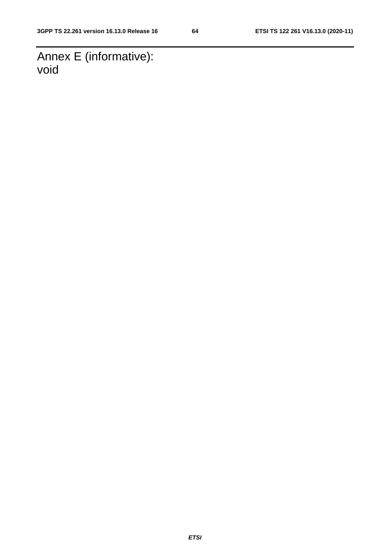Annex E (informative): void

*ETSI*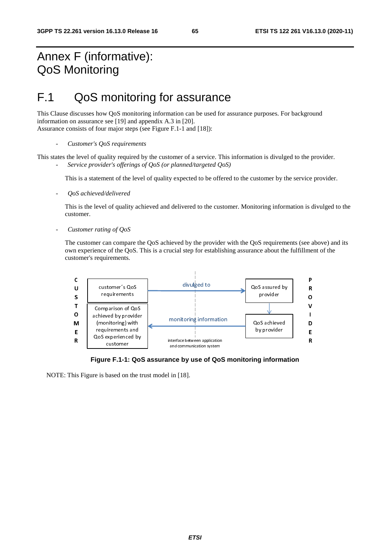## Annex F (informative): QoS Monitoring

## F.1 QoS monitoring for assurance

This Clause discusses how QoS monitoring information can be used for assurance purposes. For background information on assurance see [19] and appendix A.3 in [20]. Assurance consists of four major steps (see Figure F.1-1 and [18]):

- *Customer's QoS requirements* 

This states the level of quality required by the customer of a service. This information is divulged to the provider. - *Service provider's offerings of QoS (or planned/targeted QoS)* 

This is a statement of the level of quality expected to be offered to the customer by the service provider.

- *QoS achieved/delivered* 

This is the level of quality achieved and delivered to the customer. Monitoring information is divulged to the customer.

- *Customer rating of QoS* 

The customer can compare the QoS achieved by the provider with the QoS requirements (see above) and its own experience of the QoS. This is a crucial step for establishing assurance about the fulfillment of the customer's requirements.



**Figure F.1-1: QoS assurance by use of QoS monitoring information** 

NOTE: This Figure is based on the trust model in [18].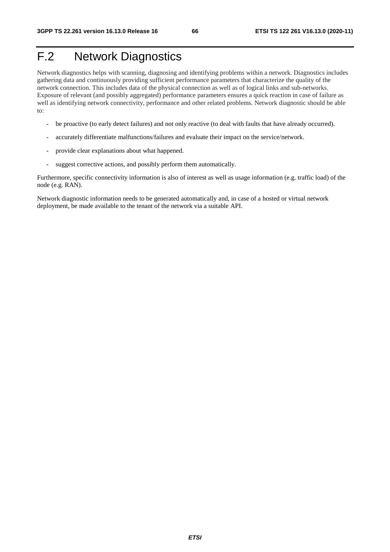# F.2 Network Diagnostics

Network diagnostics helps with scanning, diagnosing and identifying problems within a network. Diagnostics includes gathering data and continuously providing sufficient performance parameters that characterize the quality of the network connection. This includes data of the physical connection as well as of logical links and sub-networks. Exposure of relevant (and possibly aggregated) performance parameters ensures a quick reaction in case of failure as well as identifying network connectivity, performance and other related problems. Network diagnostic should be able to:

- be proactive (to early detect failures) and not only reactive (to deal with faults that have already occurred).
- accurately differentiate malfunctions/failures and evaluate their impact on the service/network.
- provide clear explanations about what happened.
- suggest corrective actions, and possibly perform them automatically.

Furthermore, specific connectivity information is also of interest as well as usage information (e.g. traffic load) of the node (e.g. RAN).

Network diagnostic information needs to be generated automatically and, in case of a hosted or virtual network deployment, be made available to the tenant of the network via a suitable API.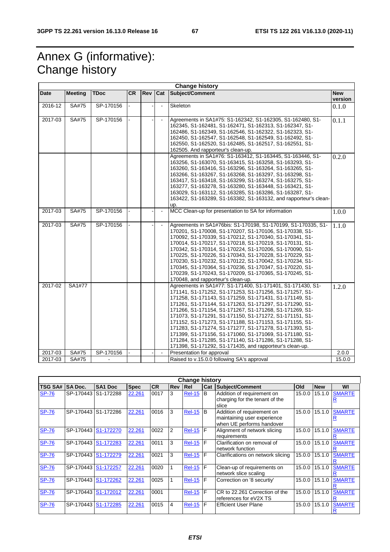# Annex G (informative): Change history

| <b>Change history</b> |                |             |           |     |                |                                                                                                                                                                                                                                                                                                                                                                                                                                                                                                                                                                                                                                                                           |                       |  |  |  |  |  |
|-----------------------|----------------|-------------|-----------|-----|----------------|---------------------------------------------------------------------------------------------------------------------------------------------------------------------------------------------------------------------------------------------------------------------------------------------------------------------------------------------------------------------------------------------------------------------------------------------------------------------------------------------------------------------------------------------------------------------------------------------------------------------------------------------------------------------------|-----------------------|--|--|--|--|--|
| Date                  | <b>Meeting</b> | <b>TDoc</b> | <b>CR</b> | Rev | Cat            | Subject/Comment                                                                                                                                                                                                                                                                                                                                                                                                                                                                                                                                                                                                                                                           | <b>New</b><br>version |  |  |  |  |  |
| 2016-12               | SA#75          | SP-170156   |           |     |                | Skeleton                                                                                                                                                                                                                                                                                                                                                                                                                                                                                                                                                                                                                                                                  | 0.1.0                 |  |  |  |  |  |
| 2017-03               | SA#75          | SP-170156   |           |     |                | Agreements in SA1#75: S1-162342, S1-162305, S1-162480, S1-<br>162345, S1-162481, S1-162471, S1-162313, S1-162347, S1-<br>162486, S1-162349, S1-162546, S1-162322, S1-162323, S1-<br>162450, S1-162547, S1-162548, S1-162549, S1-162492, S1-<br>162550, S1-162520, S1-162485, S1-162517, S1-162551, S1-<br>162505. And rapporteur's clean-up.                                                                                                                                                                                                                                                                                                                              | 0.1.1                 |  |  |  |  |  |
|                       |                |             |           |     |                | Agreements in SA1#76: S1-163412, S1-163445, S1-163446, S1-<br>163256, S1-163070, S1-163415, S1-163258, S1-163293, S1-<br>163260, S1-163416, S1-163296, S1-163264, S1-163265, S1-<br>163266, S1-163267, S1-163268, S1-163297, S1-163298, S1-<br>163417, S1-163418, S1-163299, S1-163274, S1-163275, S1-<br>163277, S1-163278, S1-163280, S1-163448, S1-163421, S1-<br>163029, S1-163112, S1-163285, S1-163286, S1-163287, S1-<br>163422, S1-163289, S1-163382, S1-163132, and rapporteur's clean-<br>up.                                                                                                                                                                   | 0.2.0                 |  |  |  |  |  |
| 2017-03               | SA#75          | SP-170156   |           |     | $\blacksquare$ | MCC Clean-up for presentation to SA for information                                                                                                                                                                                                                                                                                                                                                                                                                                                                                                                                                                                                                       | 1.0.0                 |  |  |  |  |  |
| 2017-03               | SA#75          | SP-170156   |           |     | $\blacksquare$ | Agreements in SA1#76bis: S1-170198, S1-170199, S1-170335, S1-<br>170201, S1-170008, S1-170207, S1-170106, S1-170338, S1-<br>170092, S1-170339, S1-170212, S1-170340, S1-170341, S1-<br>170014, S1-170217, S1-170218, S1-170219, S1-170131, S1-<br>170342, S1-170314, S1-170224, S1-170206, S1-170090, S1-<br>170225, S1-170226, S1-170343, S1-170228, S1-170229, S1-<br>170230, S1-170232, S1-170122, S1-170042, S1-170234, S1-<br>170345, S1-170364, S1-170236, S1-170347, S1-170220, S1-<br>170239, S1-170243, S1-170209, S1-170365, S1-170245, S1-<br>170048, and rapporteur's clean-up.                                                                               | 1.1.0                 |  |  |  |  |  |
| 2017-02               | SA1#77         |             |           |     |                | Agreements in SA1#77: S1-171400, S1-171401, S1-171430, S1-<br>171141, S1-171252, S1-171253, S1-171256, S1-171257, S1-<br>171258, S1-171143, S1-171259, S1-171431, S1-171149, S1-<br>171261, S1-171144, S1-171263, S1-171297, S1-171290, S1-<br>171266, S1-171154, S1-171267, S1-171268, S1-171269, S1-<br>171073, S1-171291, S1-171150, S1-171272, S1-171151, S1-<br>171152, S1-171273, S1-171188, S1-171153, S1-171155, S1-<br>171283, S1-171274, S1-171277, S1-171278, S1-171393, S1-<br>171399, S1-171156, S1-171060, S1-171069, S1-171180, S1-<br>171284, S1-171285, S1-171140, S1-171286, S1-171288, S1-<br>171398, S1-171292, S1-171435, and rapporteur's clean-up. | 1.2.0                 |  |  |  |  |  |
| 2017-03               | SA#75          | SP-170156   |           |     | $\blacksquare$ | Presentation for approval                                                                                                                                                                                                                                                                                                                                                                                                                                                                                                                                                                                                                                                 | 2.0.0                 |  |  |  |  |  |
| 2017-03               | SA#75          |             |           |     |                | Raised to v.15.0.0 following SA's approval                                                                                                                                                                                                                                                                                                                                                                                                                                                                                                                                                                                                                                | 15.0.0                |  |  |  |  |  |

|                | <b>Change history</b> |                     |             |           |            |                 |     |                                                                                        |        |            |               |  |  |  |
|----------------|-----------------------|---------------------|-------------|-----------|------------|-----------------|-----|----------------------------------------------------------------------------------------|--------|------------|---------------|--|--|--|
| <b>TSG SA#</b> | <b>SA Doc.</b>        | SA <sub>1</sub> Doc | <b>Spec</b> | <b>CR</b> | <b>Rev</b> | <b>IRel</b>     | Cat | Subject/Comment                                                                        | Old    | <b>New</b> | WI            |  |  |  |
| <b>SP-76</b>   | SP-170443 S1-172288   |                     | 22.261      | 0017      | 3          | <b>Rel-15</b>   | B   | Addition of requirement on<br>charging for the tenant of the<br>slice                  | 15.0.0 | 15.1.0     | <b>SMARTE</b> |  |  |  |
| <b>SP-76</b>   | SP-170443             | S1-172286           | 22.261      | 0016      | 3          | <b>Rel-15</b>   | B   | Addition of requirement on<br>maintaining user experience<br>when UE performs handover | 15.0.0 | 15.1.0     | <b>SMARTE</b> |  |  |  |
| <b>SP-76</b>   | SP-170443 S1-172270   |                     | 22.261      | 0022      | 2          | <b>Rel-15 F</b> |     | Alignment of network slicing<br>requirements                                           | 15.0.0 | 15.1.0     | <b>SMARTE</b> |  |  |  |
| <b>SP-76</b>   | SP-170443             | S1-172283           | 22.261      | 0011      | 3          | <b>Rel-15 F</b> |     | Clarification on removal of<br>network function                                        | 15.0.0 | 15.1.0     | <b>SMARTE</b> |  |  |  |
| <b>SP-76</b>   | SP-170443             | S1-172279           | 22.261      | 0021      | 3          | <b>Rel-15 F</b> |     | Clarifications on network slicing                                                      | 15.0.0 | 15.1.0     | <b>SMARTE</b> |  |  |  |
| <b>SP-76</b>   | SP-170443             | S1-172257           | 22.261      | 0020      |            | <b>Rel-15 F</b> |     | Clean-up of requirements on<br>network slice scaling                                   | 15.0.0 | 15.1.0     | <b>SMARTE</b> |  |  |  |
| <b>SP-76</b>   | SP-170443             | S1-172262           | 22.261      | 0025      |            | <b>Rel-15</b>   | F   | Correction on '8 securtiy'                                                             | 15.0.0 | 15.1.0     | <b>SMARTE</b> |  |  |  |
| <b>SP-76</b>   | SP-170443 S1-172012   |                     | 22.261      | 0001      |            | $Rel-15$        | F   | CR to 22.261 Correction of the<br>references for eV2X TS                               | 15.0.0 | 15.1.0     | <b>SMARTE</b> |  |  |  |
| <b>SP-76</b>   | SP-170443             | S1-172285           | 22.261      | 0015      | 4          | $Rel-15$ $F$    |     | <b>Efficient User Plane</b>                                                            | 15.0.0 | 15.1.0     | <b>SMARTE</b> |  |  |  |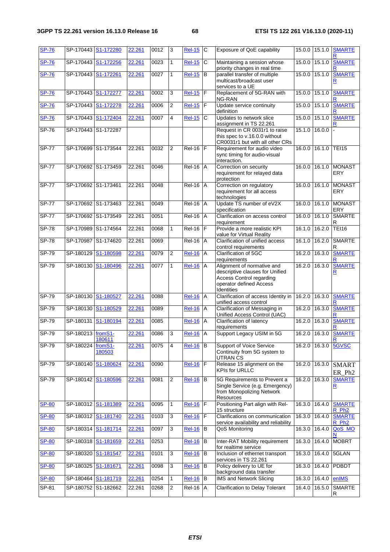| <b>SP-76</b> | SP-170443           | S1-172280           | 22.261 | 0012 | 3              | <b>Rel-15</b>   | C              | Exposure of QoE capability                                                                                                                | 15.0.0 | 15.1.0        | <b>SMARTE</b>                      |
|--------------|---------------------|---------------------|--------|------|----------------|-----------------|----------------|-------------------------------------------------------------------------------------------------------------------------------------------|--------|---------------|------------------------------------|
| <b>SP-76</b> | SP-170443           | S1-172256           | 22.261 | 0023 | $\mathbf{1}$   | <b>Rel-15</b>   | C              | Maintaining a session whose<br>priority changes in real time                                                                              | 15.0.0 | 15.1.0        | <b>SMARTE</b>                      |
| <b>SP-76</b> | SP-170443           | S1-172261           | 22.261 | 0027 | $\mathbf{1}$   | $Rel-15$        | B              | parallel transfer of multiple<br>multicast/broadcast user<br>services to a UE                                                             | 15.0.0 | 15.1.0        | <b>SMARTE</b><br>R                 |
| <b>SP-76</b> | SP-170443           | S1-172277           | 22.261 | 0002 | 3              | <b>Rel-15</b>   | $\mathsf F$    | Replacement of 5G-RAN with<br>NG-RAN                                                                                                      | 15.0.0 | 15.1.0        | <b>SMARTE</b>                      |
| <b>SP-76</b> | SP-170443           | S1-172278           | 22.261 | 0006 | 2              | <b>Rel-15</b>   | F              | Update service continuity<br>definition                                                                                                   | 15.0.0 | 15.1.0        | <b>SMARTE</b>                      |
| <b>SP-76</b> | SP-170443           | S1-172404           | 22.261 | 0007 | 4              | <b>Rel-15</b>   | C              | Updates to network slice<br>assignment in TS 22.261                                                                                       | 15.0.0 | 15.1.0        | <b>SMARTE</b>                      |
| $SP-76$      | SP-170443           | S1-172287           |        |      |                |                 |                | Request in CR 0031r1 to raise<br>this spec to v.16.0.0 without<br>CR0031r1 but with all other CRs                                         |        | 15.1.0 16.0.0 |                                    |
| <b>SP-77</b> | SP-170699           | S1-173544           | 22.261 | 0032 | $\overline{2}$ | $Rel-16$        | F              | Requirement for audio video<br>sync timing for audio-visual<br>interaction.                                                               | 16.0.0 | 16.1.0        | <b>TEI15</b>                       |
| <b>SP-77</b> |                     | SP-170692 S1-173459 | 22.261 | 0046 |                | $Rel-16$ $A$    |                | Correction on security<br>requirement for relayed data<br>protection                                                                      |        | 16.0.0 16.1.0 | <b>MONAST</b><br>ERY               |
| <b>SP-77</b> | SP-170692 S1-173461 |                     | 22.261 | 0048 |                | <b>Rel-16</b>   | A              | Correction on regulatory<br>requirement for all access<br>technologies                                                                    | 16.0.0 | 16.1.0        | <b>MONAST</b><br><b>ERY</b>        |
| <b>SP-77</b> | SP-170692 S1-173463 |                     | 22.261 | 0049 |                | Rel-16          | $\overline{A}$ | Update TS number of eV2X<br>specification                                                                                                 | 16.0.0 | 16.1.0        | <b>MONAST</b><br>ERY               |
| <b>SP-77</b> | SP-170692           | S1-173549           | 22.261 | 0051 |                | Rel-16          | $\overline{A}$ | Clarification on access control<br>requirement                                                                                            | 16.0.0 | 16.1.0        | <b>SMARTE</b><br>R                 |
| <b>SP-78</b> | SP-170989           | S1-174564           | 22.261 | 0068 | $\mathbf{1}$   | Rel-16          | IF             | Provide a more realistic KPI<br>value for Virtual Reality                                                                                 | 16.1.0 | 16.2.0        | <b>TEI16</b>                       |
| $SP-78$      | SP-170987 S1-174620 |                     | 22.261 | 0069 |                | <b>Rel-16 A</b> |                | Clarification of unified access<br>control requirements                                                                                   | 16.1.0 | 16.2.0        | <b>SMARTE</b><br>R                 |
| $SP-79$      | SP-180129           | S1-180598           | 22.261 | 0079 | $\overline{2}$ | <b>Rel-16</b>   | A              | Clarification of 5GC<br>requirements                                                                                                      | 16.2.0 | 16.3.0        | <b>SMARTE</b>                      |
| $SP-79$      | SP-180130           | S1-180496           | 22.261 | 0077 | 1              | <b>Rel-16</b>   | Α              | Alignment of normative and<br>descriptive clauses for Unified<br><b>Access Control regarding</b><br>operator defined Access<br>Identities | 16.2.0 | 16.3.0        | <b>SMARTE</b><br><u>R</u>          |
| SP-79        | SP-180130           | S1-180527           | 22.261 | 0088 |                | <b>Rel-16</b>   | A              | Clarification of access Identity in<br>unified access control                                                                             | 16.2.0 | 16.3.0        | <b>SMARTE</b>                      |
| SP-79        | SP-180130           | S1-180529           | 22.261 | 0089 |                | <b>Rel-16</b>   | Α              | Clarification of Messaging in<br>Unified Access Control (UAC)                                                                             |        | 16.2.0 16.3.0 | <b>SMARTE</b>                      |
| $SP-79$      | SP-180131           | S1-180194           | 22.261 | 0085 |                | <b>Rel-16</b>   | Α              | Clarification of latency<br>requirements                                                                                                  | 16.2.0 | 16.3.0        | <b>SMARTE</b>                      |
| $SP-79$      | SP-180213 fromS1-   | 180611              | 22.261 | 0086 | 3              | <b>Rel-16</b>   | A              | Support Legacy USIM in 5G                                                                                                                 | 16.2.0 | 16.3.0        | <b>SMARTE</b>                      |
| SP-79        | SP-180224           | fromS1-<br>180503   | 22.261 | 0075 | 4              | <b>Rel-16</b>   | B              | Support of Voice Service<br>Continuity from 5G system to<br><b>UTRAN CS</b>                                                               |        | 16.2.0 16.3.0 | 5GVSC                              |
| SP-79        | SP-180140           | S1-180624           | 22.261 | 0090 |                | <b>Rel-16</b>   | F              | Release 15 alignment on the<br><b>KPIs for URLLC</b>                                                                                      | 16.2.0 | 16.3.0        | <b>SMART</b><br>ER_Ph <sub>2</sub> |
| <b>SP-79</b> | SP-180142 S1-180596 |                     | 22.261 | 0081 | 2              | <b>Rel-16</b>   | B              | 5G Requirements to Prevent a<br>Single Service (e.g. Emergency)<br>from Monopolizing Network<br>Resources                                 |        | 16.2.0 16.3.0 | <b>SMARTE</b><br><u>R</u>          |
| <b>SP-80</b> | SP-180312 S1-181389 |                     | 22.261 | 0095 | 1              | <b>Rel-16</b>   | F              | Positioning Part align with Rel-<br>15 structure                                                                                          | 16.3.0 | 16.4.0        | <b>SMARTE</b><br>R_Ph <sub>2</sub> |
| <b>SP-80</b> | SP-180312           | S1-181740           | 22.261 | 0103 | 3              | <b>Rel-16</b>   | F              | Clarifications on communication<br>service availability and reliability                                                                   |        | 16.3.0 16.4.0 | <b>SMARTE</b><br>R Ph <sub>2</sub> |
| <b>SP-80</b> | SP-180314           | S1-181714           | 22.261 | 0097 | $\mathbf{3}$   | <b>Rel-16</b>   | B              | QoS Monitoring                                                                                                                            | 16.3.0 | 16.4.0        | QoS MO<br>N                        |
| <b>SP-80</b> | SP-180318           | S1-181659           | 22.261 | 0253 |                | <b>Rel-16</b>   | B              | Inter-RAT Mobility requirement<br>for realtime service                                                                                    | 16.3.0 | 16.4.0        | <b>MOBRT</b>                       |
| <b>SP-80</b> | SP-180320           | S1-181547           | 22.261 | 0101 | 3              | <b>Rel-16</b>   | $\, {\bf B}$   | Inclusion of ethernet transport<br>services in TS 22.261                                                                                  | 16.3.0 | 16.4.0        | 5GLAN                              |
| <b>SP-80</b> | SP-180325 S1-181671 |                     | 22.261 | 0098 | 3              | <b>Rel-16</b>   | B              | Policy delivery to UE for<br>background data transfer                                                                                     |        | 16.3.0 16.4.0 | PDBDT                              |
| <b>SP-80</b> |                     | SP-180464 S1-181719 | 22.261 | 0254 | 1              | <b>Rel-16</b>   | B              | <b>IMS and Network Slicing</b>                                                                                                            | 16.3.0 | 16.4.0        | enIMS                              |
| SP-81        |                     | SP-180752 S1-182662 | 22.261 | 0268 | $\overline{2}$ | $Rel-16$ $A$    |                | <b>Clarification to Delay Tolerant</b>                                                                                                    |        | 16.4.0 16.5.0 | <b>SMARTE</b><br>R                 |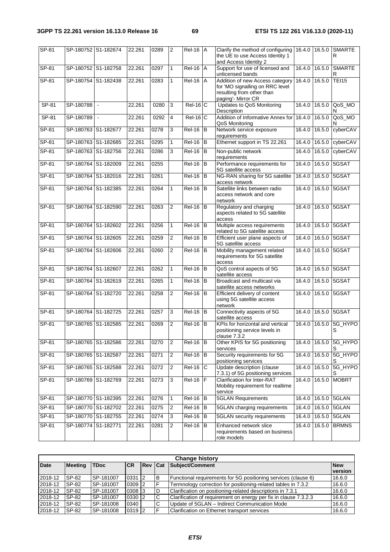| SP-81   | SP-180752 S1-182674 |        | 22.261 | 0289 | 2              | $Rel-16$ $A$    | Clarify the method of configuring<br>the UE to use Access Identity 1<br>and Access Identity 2                         | 16.4.0 |        | 16.5.0 SMARTE<br>R         |
|---------|---------------------|--------|--------|------|----------------|-----------------|-----------------------------------------------------------------------------------------------------------------------|--------|--------|----------------------------|
| $SP-81$ | SP-180752 S1-182758 |        | 22.261 | 0297 | $\mathbf{1}$   | <b>Rel-16 A</b> | Support for use of licensed and<br>unlicensed bands                                                                   | 16.4.0 | 16.5.0 | <b>SMARTE</b><br>R         |
| SP-81   | SP-180754 S1-182438 |        | 22.261 | 0283 | $\mathbf{1}$   | $Rel-16$ $A$    | Addition of new Access category<br>for 'MO signalling on RRC level<br>resulting from other than<br>paging'- Mirror CR | 16.4.0 | 16.5.0 | <b>TEI15</b>               |
| SP-81   | SP-180788           | $\sim$ | 22.261 | 0280 | 3              | $Rel-16$ C      | Updates to QoS Monitoring<br>Description                                                                              | 16.4.0 | 16.5.0 | QoS_MO<br>N                |
| SP-81   | SP-180789           | $\sim$ | 22.261 | 0292 | $\overline{4}$ | $Rel-16 C$      | Addition of Informative Annex for<br>QoS Monitoring                                                                   | 16.4.0 | 16.5.0 | QoS_MO                     |
| $SP-81$ | SP-180763 S1-182677 |        | 22.261 | 0278 | 3              | $Rel-16$ B      | Network service exposure<br>requirements                                                                              | 16.4.0 | 16.5.0 | cyberCAV                   |
| $SP-81$ | SP-180763 S1-182685 |        | 22.261 | 0295 | $\mathbf{1}$   | $Rel-16$ $B$    | Ethernet support in TS 22.261                                                                                         | 16.4.0 | 16.5.0 | cyberCAV                   |
| SP-81   | SP-180763 S1-182756 |        | 22.261 | 0286 | 3              | $Rel-16$ B      | Non-public network<br>requirements                                                                                    | 16.4.0 | 16.5.0 | cyberCAV                   |
| SP-81   | SP-180764 S1-182009 |        | 22.261 | 0255 |                | $Rel-16$ B      | Performance requirements for<br>5G satellite access                                                                   | 16.4.0 | 16.5.0 | 5GSAT                      |
| $SP-81$ | SP-180764 S1-182016 |        | 22.261 | 0261 |                | $Rel-16$ B      | NG-RAN sharing for 5G satellite<br>access network                                                                     | 16.4.0 | 16.5.0 | 5GSAT                      |
| SP-81   | SP-180764 S1-182385 |        | 22.261 | 0264 | 1              | $ReI-16$ B      | Satellite links between radio<br>access network and core<br>network                                                   | 16.4.0 | 16.5.0 | 5GSAT                      |
| SP-81   | SP-180764 S1-182590 |        | 22.261 | 0263 | 2              | $ReI-16$ B      | Regulatory and charging<br>aspects related to 5G satellite<br>access                                                  | 16.4.0 |        | 16.5.0 5GSAT               |
| $SP-81$ | SP-180764 S1-182602 |        | 22.261 | 0256 | $\mathbf{1}$   | $Rel-16$ B      | Multiple access requirements<br>related to 5G satellite access                                                        | 16.4.0 | 16.5.0 | 5GSAT                      |
| $SP-81$ | SP-180764 S1-182605 |        | 22.261 | 0259 | $\overline{2}$ | $Rel-16$ B      | Efficient user plane aspects of<br>5G satellite access                                                                | 16.4.0 | 16.5.0 | 5GSAT                      |
| SP-81   | SP-180764 S1-182606 |        | 22.261 | 0260 | $\overline{2}$ | $ReI-16$ B      | Mobility management related<br>requirements for 5G satellite<br>access                                                | 16.4.0 | 16.5.0 | 5GSAT                      |
| SP-81   | SP-180764 S1-182607 |        | 22.261 | 0262 | $\mathbf{1}$   | $Rel-16$ B      | QoS control aspects of 5G<br>satellite access                                                                         | 16.4.0 | 16.5.0 | 5GSAT                      |
| SP-81   | SP-180764 S1-182619 |        | 22.261 | 0265 | $\mathbf{1}$   | $Rel-16$ B      | Broadcast and multicast via<br>satellite access networks                                                              | 16.4.0 | 16.5.0 | 5GSAT                      |
| $SP-81$ | SP-180764 S1-182720 |        | 22.261 | 0258 | $\overline{2}$ | $Rel-16$ B      | Efficient delivery of content<br>using 5G satellite access<br>network                                                 | 16.4.0 |        | 16.5.0 5GSAT               |
| SP-81   | SP-180764 S1-182725 |        | 22.261 | 0257 | 3              | $Rel-16$ B      | Connectivity aspects of 5G<br>satellite access                                                                        | 16.4.0 | 16.5.0 | 5GSAT                      |
| SP-81   | SP-180765 S1-182585 |        | 22.261 | 0269 | 2              | $ReI-16$ B      | KPIs for horizontal and vertical<br>positioning service levels in<br>clause 7.3.2                                     | 16.4.0 | 16.5.0 | 5G_HYPO<br>S               |
| $SP-81$ | SP-180765 S1-182586 |        | 22.261 | 0270 | $\sqrt{2}$     | $Rel-16$ B      | Other KPIS for 5G positioning<br>services                                                                             |        |        | 16.4.0 16.5.0 5G_HYPO<br>S |
| $SP-81$ | SP-180765 S1-182587 |        | 22.261 | 0271 | 2              | $Rel-16$ B      | Security requirements for 5G<br>positioning services                                                                  | 16.4.0 | 16.5.0 | 5G_HYPO                    |
| $SP-81$ | SP-180765 S1-182588 |        | 22.261 | 0272 | $\overline{2}$ | $Rel-16$ C      | Update description (clause<br>7.3.1) of 5G positioning services                                                       | 16.4.0 | 16.5.0 | 5G_HYPO                    |
| SP-81   | SP-180769 S1-182769 |        | 22.261 | 0273 | 3              | $Rel-16$ $F$    | <b>Clarification for Inter-RAT</b><br>Mobility requirement for realtime<br>service                                    | 16.4.0 | 16.5.0 | <b>MOBRT</b>               |
| SP-81   | SP-180770 S1-182395 |        | 22.261 | 0276 | $\mathbf{1}$   | $Rel-16$ $B$    | <b>5GLAN Requirements</b>                                                                                             | 16.4.0 |        | 16.5.0 5GLAN               |
| $SP-81$ | SP-180770 S1-182702 |        | 22.261 | 0275 | $\overline{c}$ | $Rel-16$ $B$    | 5GLAN charging requirements                                                                                           | 16.4.0 | 16.5.0 | 5GLAN                      |
| $SP-81$ | SP-180770 S1-182755 |        | 22.261 | 0274 | 3              | $Rel-16$ $B$    | 5GLAN security requirements                                                                                           | 16.4.0 | 16.5.0 | 5GLAN                      |
| SP-81   | SP-180774 S1-182771 |        | 22.261 | 0281 | $\overline{2}$ | $Rel-16$ B      | Enhanced network slice<br>requirements based on business<br>role models                                               | 16.4.0 | 16.5.0 | <b>BRMNS</b>               |

|             | <b>Change history</b> |             |            |                |   |                                                                  |                       |  |  |  |  |  |  |  |
|-------------|-----------------------|-------------|------------|----------------|---|------------------------------------------------------------------|-----------------------|--|--|--|--|--|--|--|
| <b>Date</b> | <b>Meeting</b>        | <b>TDoc</b> | <b>CR</b>  | <b>Rev Cat</b> |   | Subject/Comment                                                  | <b>New</b><br>version |  |  |  |  |  |  |  |
| 2018-12     | SP-82                 | ISP-181007  | $0331$   2 |                | B | Functional requirements for 5G positioning services (clause 6)   | 16.6.0                |  |  |  |  |  |  |  |
| 2018-12     | SP-82                 | SP-181007   | $0309$ 2   |                |   | Termnology correction for positioning-related tables in 7.3.2    | 16.6.0                |  |  |  |  |  |  |  |
| 2018-12     | SP-82                 | SP-181007   | 0308 3     |                | D | Clarification on positioning-related descriptions in 7.3.1       | 16.6.0                |  |  |  |  |  |  |  |
| 2018-12     | SP-82                 | SP-181007   | $0330$   2 |                | C | Clarification of requirement on energy per fix in clause 7.3.2.3 | 16.6.0                |  |  |  |  |  |  |  |
| 2018-12     | SP-82                 | SP-181008   | 0340       |                | C | Update of 5GLAN - Indirect Communication Mode                    | 16.6.0                |  |  |  |  |  |  |  |
| 2018-12     | SP-82                 | SP-181008   | 0319 2     |                | ⊏ | Clarification on Ethernet transport services                     | 16.6.0                |  |  |  |  |  |  |  |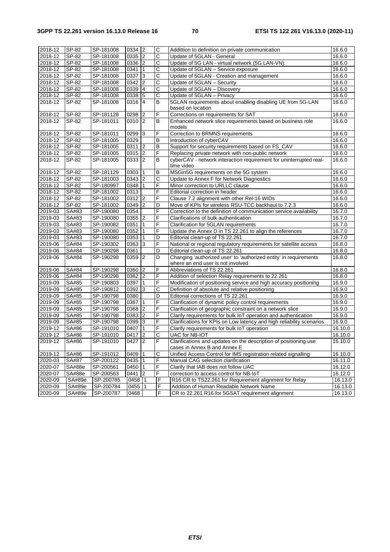| 2018-12     | SP-82        | SP-181008 | 0334 2     |                | C                     | Addittion to definition on private communication                                                       | 16.6.0  |
|-------------|--------------|-----------|------------|----------------|-----------------------|--------------------------------------------------------------------------------------------------------|---------|
| 2018-12     | SP-82        | SP-181008 | $0335$ 2   |                | $\overline{\text{c}}$ | Update of 5GLAN - General                                                                              | 16.6.0  |
| 2018-12     | SP-82        | SP-181008 | 0336 2     |                | $\mathsf C$           | Update of 5G LAN - virtual network (5G LAN-VN).                                                        | 16.6.0  |
| 2018-12     | SP-82        | SP-181008 | 0341       | $\mathbf{1}$   | C                     | Update of 5GLAN - Service exposure                                                                     | 16.6.0  |
| 2018-12     | SP-82        | SP-181008 | 0337       | 3              | C                     | Update of 5GLAN - Creation and management                                                              | 16.6.0  |
| 2018-12     | SP-82        | SP-181008 | 0342       | $\overline{c}$ | C                     | Update of 5GLAN - Security                                                                             | 16.6.0  |
| 2018-12     | SP-82        | SP-181008 | 0339       | $\overline{4}$ | C                     | Update of 5GLAN - Discovery                                                                            | 16.6.0  |
| 2018-12     | SP-82        | SP-181008 | 0338 5     |                | C                     | Update of 5GLAN - Privacy                                                                              | 16.6.0  |
| 2018-12     | SP-82        | SP-181008 | 0316       | $\overline{4}$ | B                     | 5GLAN requirements about enabling disabling UE from 5G-LAN                                             | 16.6.0  |
|             |              |           |            |                |                       | based on location                                                                                      |         |
| 2018-12     | SP-82        | SP-181128 | 0298       | $\overline{2}$ | F                     | Corrections on requirements for SAT                                                                    | 16.6.0  |
| 2018-12     | SP-82        | SP-181011 | 0310       | 2              | B                     | Enhanced network slice requirements based on business role<br>models                                   | 16.6.0  |
| 2018-12     | SP-82        | SP-181011 | 0299       | 3              | F                     | Correction to BRMNS requirements                                                                       | 16.6.0  |
| 2018-12     | SP-82        | SP-181005 | 0329       |                | В                     | Introduction of cyberCAV                                                                               | 16.6.0  |
| 2018-12     | SP-82        | SP-181005 | $0311$   2 |                | B                     | Support for security requirements based on FS_CAV                                                      | 16.6.0  |
| 2018-12     | SP-82        | SP-181005 | 0315       | $\overline{2}$ | F                     | Replacing private network with non-public network                                                      | 16.6.0  |
| 2018-12     | SP-82        | SP-181005 | 0333 2     |                | B                     | cyberCAV - network interaction requirement for uninterrupted real-                                     | 16.6.0  |
|             |              |           |            |                |                       | time video                                                                                             |         |
| 2018-12     | SP-82        | SP-181129 | 0303       | 1              | В                     | MSGin5G requirements on the 5G system                                                                  | 16.6.0  |
| 2018-12     | SP-82        | SP-181003 | $0343$ 2   |                | C                     | Update to Annex F for Network Diagnostics                                                              | 16.6.0  |
| 2018-12     | SP-82        | SP-180997 | 0348       | $\vert$ 1      | F                     | Minor correction to URLLC clause                                                                       | 16.6.0  |
| 2018-12     | SP-82        | SP-181002 | 0313       |                | F                     | Editorial correction in header                                                                         | 16.6.0  |
| 2018-12     | SP-82        | SP-181002 | $0312$ 2   |                | F                     | Clause 7.2 alignment with other Rel-16 WIDs                                                            | 16.6.0  |
| 2018-12     | SP-82        | SP-181002 | 0349       | $\overline{2}$ | D                     | Move of KPIs for wireless RSU-TCC backhaul to 7.2.3                                                    | 16.6.0  |
| 2019-03     | SA#83        | SP-190080 | 0354       |                | F                     | Correction to the definition of communication service availability                                     | 16.7.0  |
| 2019-03     | SA#83        | SP-190080 | 0355       | 2              | F                     | Clarifications of bulk authentication                                                                  | 16.7.0  |
| 2019-03     | SA#83        | SP-190082 | 0351       | 1              | F                     | Clarification for 5GLAN requirements                                                                   | 16.7.0  |
| 2019-03     | SA#83        | SP-190080 | 0352       | $\mathbf{1}$   | F                     | Update the Annex D in TS 22.261 to align the references                                                | 16.7.0  |
| 2019-03     | SA#83        | SP-190080 | 0353       | 1              | D                     | Editorial clean-up of TS 22.261                                                                        | 16.7.0  |
| 2019-06     | SA#84        | SP-190302 | 0363       | 3              | F                     | National or regional regulatory requirements for satellite access                                      | 16.8.0  |
| 2019-06     | SA#84        | SP-190298 | 0361       |                | D                     | Editorial clean-up of TS 22.261                                                                        | 16.8.0  |
| 2019-06     | SA#84        | SP-190298 | 0359       | 2              | D                     | Changing 'authorized user' to 'authorized entity' in requirements<br>where an end user is not involved | 16.8.0  |
| 2019-06     | SA#84        | SP-190298 | 0360       | $\overline{2}$ | F                     | Abbreviations of TS 22.261                                                                             | 16.8.0  |
| 2019-06     | SA#84        | SP-190298 | 0362       | 2              | F                     | Addition of selection Relay requirements to 22.261                                                     | 16.8.0  |
| 2019-09     | SA#85        | SP-190803 | 0397       | 1              | F                     | Modification of positioning service and high accuracy positioning                                      | 16.9.0  |
| 2019-09     | SA#85        | SP-190812 | 0392       | 3              | $\mathsf C$           | Definition of absolute and relative positioning                                                        | 16.9.0  |
| 2019-09     | SA#85        | SP-190798 | 0380       |                | $\overline{D}$        | Editorial corrections of TS 22.261                                                                     | 16.9.0  |
| 2019-09     | SA#85        | SP-190798 | 0367       | 1              | F                     | Clarification of dynamic policy control requirements                                                   | 16.9.0  |
| 2019-09     | <b>SA#85</b> | SP-190798 | 0368       | $\overline{2}$ | F                     | Clarification of geographic constraint on a network slice                                              | 16.9.0  |
| 2019-09     | SA#85        | SP-190798 | 0383 2     |                | F                     | Clarify requirements for bulk IoT operation and authentication                                         | 16.9.0  |
| 2019-09     | SA#85        | SP-190798 | 0399       | 3              | F                     | Clarifications for KPIs on Low latency and high reliability scenarios                                  | 16.9.0  |
| 2019-12     | SA#86        | SP-191010 | 0407       | $\mathbf{1}$   | F                     | Clarify requirements for bulk IoT operation                                                            | 16.10.0 |
| 2019-12     | SA#86        | SP-191010 | 0417       | $\overline{2}$ | $\overline{\text{c}}$ | UAC for NB-IOT                                                                                         | 16.10.0 |
| 2019-12     | SA#86        | SP-191010 | 0427   2   |                | IF                    | Clarifications and updates on the description of positioning use                                       | 16.10.0 |
|             |              |           |            |                |                       | cases in Annex B and Annex E                                                                           |         |
| 2019-12     | SA#86        | SP-191012 | 0409       |                | C                     | Unified Access Control for IMS registration related signalling                                         | 16.10.0 |
| $2020 - 03$ | SA#87        | SP-200122 | 0435 1     |                | F                     | Manual CAG selection clarification                                                                     | 16.11.0 |
| 2020-07     | SA#88e       | SP-200561 | 0450       | $\vert$ 1      | F                     | Clarify that IAB does not follow UAC                                                                   | 16.12.0 |
| 2020-07     | SA#88e       | SP-200563 | 0441       | $\overline{2}$ | F                     | correction to access control for NB-IoT                                                                | 16.12.0 |
| 2020-09     | SA#89e       | SP-200785 | 0458 1     |                | F                     | R16 CR to TS22.261 for Requirement alignment for Relay                                                 | 16.13.0 |
| 2020-09     | SA#89e       | SP-200784 | 0455       | $\mathbf{1}$   | F                     | Addition of Human Readable Network Name                                                                | 16.13.0 |
| 2020-09     | SA#89e       | SP-200787 | 0468       |                | $\overline{F}$        | CR to 22.261 R16 for 5GSAT requirement alignment                                                       | 16.13.0 |